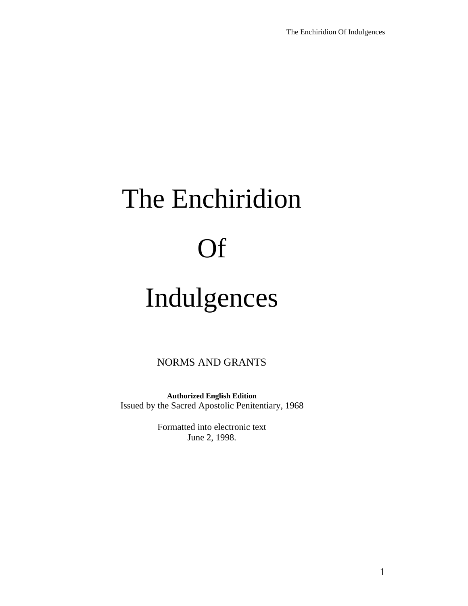# The Enchiridion

# Of

# Indulgences

NORMS AND GRANTS

**Authorized English Edition** Issued by the Sacred Apostolic Penitentiary, 1968

> Formatted into electronic text June 2, 1998.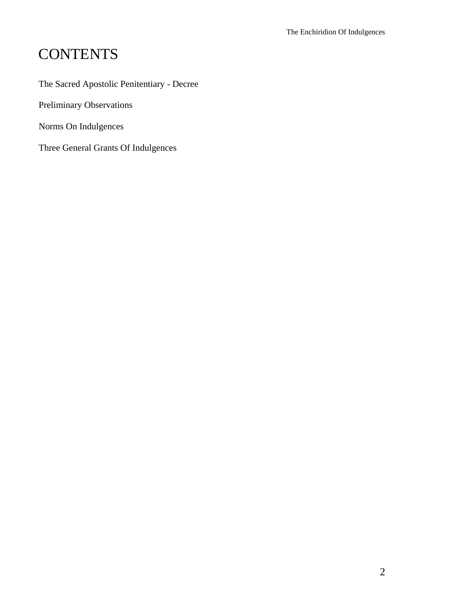# **CONTENTS**

The Sacred Apostolic Penitentiary - Decree

Preliminary Observations

Norms On Indulgences

Three General Grants Of Indulgences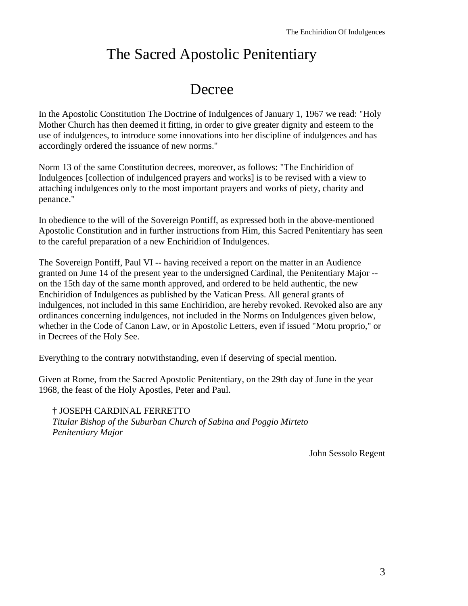# The Sacred Apostolic Penitentiary

# Decree

In the Apostolic Constitution The Doctrine of Indulgences of January 1, 1967 we read: "Holy Mother Church has then deemed it fitting, in order to give greater dignity and esteem to the use of indulgences, to introduce some innovations into her discipline of indulgences and has accordingly ordered the issuance of new norms."

Norm 13 of the same Constitution decrees, moreover, as follows: "The Enchiridion of Indulgences [collection of indulgenced prayers and works] is to be revised with a view to attaching indulgences only to the most important prayers and works of piety, charity and penance."

In obedience to the will of the Sovereign Pontiff, as expressed both in the above-mentioned Apostolic Constitution and in further instructions from Him, this Sacred Penitentiary has seen to the careful preparation of a new Enchiridion of Indulgences.

The Sovereign Pontiff, Paul VI -- having received a report on the matter in an Audience granted on June 14 of the present year to the undersigned Cardinal, the Penitentiary Major - on the 15th day of the same month approved, and ordered to be held authentic, the new Enchiridion of Indulgences as published by the Vatican Press. All general grants of indulgences, not included in this same Enchiridion, are hereby revoked. Revoked also are any ordinances concerning indulgences, not included in the Norms on Indulgences given below, whether in the Code of Canon Law, or in Apostolic Letters, even if issued "Motu proprio," or in Decrees of the Holy See.

Everything to the contrary notwithstanding, even if deserving of special mention.

Given at Rome, from the Sacred Apostolic Penitentiary, on the 29th day of June in the year 1968, the feast of the Holy Apostles, Peter and Paul.

† JOSEPH CARDINAL FERRETTO *Titular Bishop of the Suburban Church of Sabina and Poggio Mirteto Penitentiary Major*

John Sessolo Regent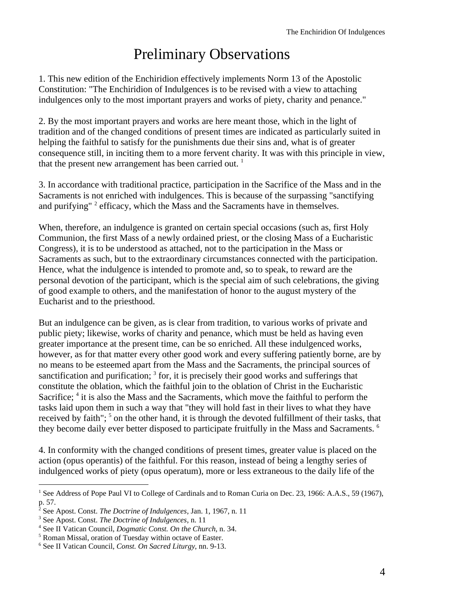# Preliminary Observations

1. This new edition of the Enchiridion effectively implements Norm 13 of the Apostolic Constitution: "The Enchiridion of Indulgences is to be revised with a view to attaching indulgences only to the most important prayers and works of piety, charity and penance."

2. By the most important prayers and works are here meant those, which in the light of tradition and of the changed conditions of present times are indicated as particularly suited in helping the faithful to satisfy for the punishments due their sins and, what is of greater consequence still, in inciting them to a more fervent charity. It was with this principle in view, that the present new arrangement has been carried out.  $\frac{1}{1}$ 

3. In accordance with traditional practice, participation in the Sacrifice of the Mass and in the Sacraments is not enriched with indulgences. This is because of the surpassing "sanctifying and purifying"<sup>2</sup> efficacy, which the Mass and the Sacraments have in themselves.

When, therefore, an indulgence is granted on certain special occasions (such as, first Holy Communion, the first Mass of a newly ordained priest, or the closing Mass of a Eucharistic Congress), it is to be understood as attached, not to the participation in the Mass or Sacraments as such, but to the extraordinary circumstances connected with the participation. Hence, what the indulgence is intended to promote and, so to speak, to reward are the personal devotion of the participant, which is the special aim of such celebrations, the giving of good example to others, and the manifestation of honor to the august mystery of the Eucharist and to the priesthood.

But an indulgence can be given, as is clear from tradition, to various works of private and public piety; likewise, works of charity and penance, which must be held as having even greater importance at the present time, can be so enriched. All these indulgenced works, however, as for that matter every other good work and every suffering patiently borne, are by no means to be esteemed apart from the Mass and the Sacraments, the principal sources of sanctification and purification;  $3$  for, it is precisely their good works and sufferings that constitute the oblation, which the faithful join to the oblation of Christ in the Eucharistic Sacrifice; <sup>4</sup> it is also the Mass and the Sacraments, which move the faithful to perform the tasks laid upon them in such a way that "they will hold fast in their lives to what they have received by faith"; <sup>5</sup> on the other hand, it is through the devoted fulfillment of their tasks, that they become daily ever better disposed to participate fruitfully in the Mass and Sacraments.<sup>6</sup>

4. In conformity with the changed conditions of present times, greater value is placed on the action (opus operantis) of the faithful. For this reason, instead of being a lengthy series of indulgenced works of piety (opus operatum), more or less extraneous to the daily life of the

<sup>&</sup>lt;sup>1</sup> See Address of Pope Paul VI to College of Cardinals and to Roman Curia on Dec. 23, 1966: A.A.S., 59 (1967), p. 57.

<sup>2</sup> See Apost. Const. *The Doctrine of Indulgences*, Jan. 1, 1967, n. 11

<sup>3</sup> See Apost. Const. *The Doctrine of Indulgences*, n. 11

<sup>4</sup> See II Vatican Council, *Dogmatic Const. On the Church*, n. 34.

<sup>&</sup>lt;sup>5</sup> Roman Missal, oration of Tuesday within octave of Easter.

<sup>6</sup> See II Vatican Council, *Const. On Sacred Liturgy*, nn. 9-13.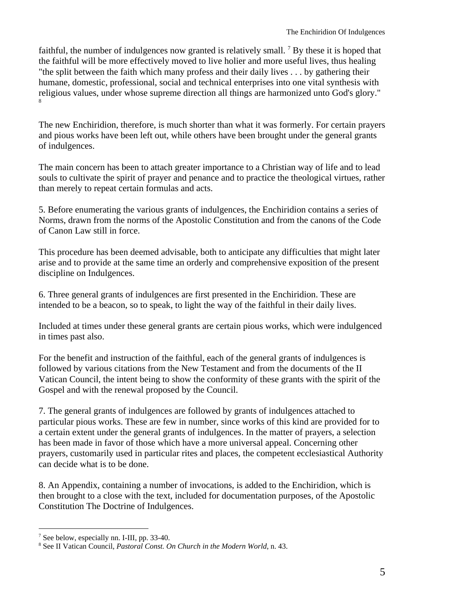faithful, the number of indulgences now granted is relatively small.  $^7$  By these it is hoped that the faithful will be more effectively moved to live holier and more useful lives, thus healing "the split between the faith which many profess and their daily lives . . . by gathering their humane, domestic, professional, social and technical enterprises into one vital synthesis with religious values, under whose supreme direction all things are harmonized unto God's glory." 8

The new Enchiridion, therefore, is much shorter than what it was formerly. For certain prayers and pious works have been left out, while others have been brought under the general grants of indulgences.

The main concern has been to attach greater importance to a Christian way of life and to lead souls to cultivate the spirit of prayer and penance and to practice the theological virtues, rather than merely to repeat certain formulas and acts.

5. Before enumerating the various grants of indulgences, the Enchiridion contains a series of Norms, drawn from the norms of the Apostolic Constitution and from the canons of the Code of Canon Law still in force.

This procedure has been deemed advisable, both to anticipate any difficulties that might later arise and to provide at the same time an orderly and comprehensive exposition of the present discipline on Indulgences.

6. Three general grants of indulgences are first presented in the Enchiridion. These are intended to be a beacon, so to speak, to light the way of the faithful in their daily lives.

Included at times under these general grants are certain pious works, which were indulgenced in times past also.

For the benefit and instruction of the faithful, each of the general grants of indulgences is followed by various citations from the New Testament and from the documents of the II Vatican Council, the intent being to show the conformity of these grants with the spirit of the Gospel and with the renewal proposed by the Council.

7. The general grants of indulgences are followed by grants of indulgences attached to particular pious works. These are few in number, since works of this kind are provided for to a certain extent under the general grants of indulgences. In the matter of prayers, a selection has been made in favor of those which have a more universal appeal. Concerning other prayers, customarily used in particular rites and places, the competent ecclesiastical Authority can decide what is to be done.

8. An Appendix, containing a number of invocations, is added to the Enchiridion, which is then brought to a close with the text, included for documentation purposes, of the Apostolic Constitution The Doctrine of Indulgences.

<sup>&</sup>lt;sup>7</sup> See below, especially nn. I-III, pp. 33-40.

<sup>8</sup> See II Vatican Council, *Pastoral Const. On Church in the Modern World*, n. 43.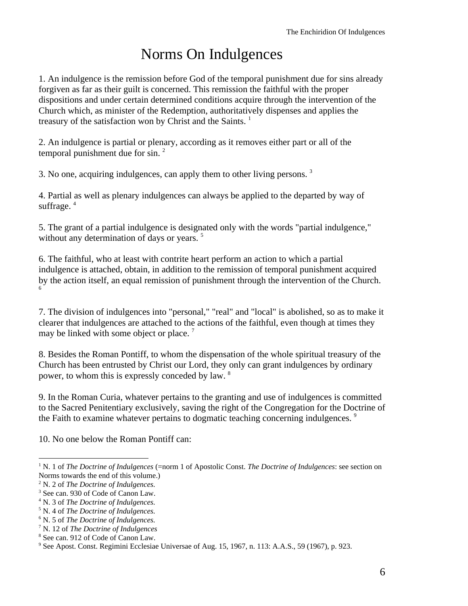# Norms On Indulgences

1. An indulgence is the remission before God of the temporal punishment due for sins already forgiven as far as their guilt is concerned. This remission the faithful with the proper dispositions and under certain determined conditions acquire through the intervention of the Church which, as minister of the Redemption, authoritatively dispenses and applies the treasury of the satisfaction won by Christ and the Saints.  $<sup>1</sup>$ </sup>

2. An indulgence is partial or plenary, according as it removes either part or all of the temporal punishment due for sin.<sup>2</sup>

3. No one, acquiring indulgences, can apply them to other living persons. <sup>3</sup>

4. Partial as well as plenary indulgences can always be applied to the departed by way of suffrage.<sup>4</sup>

5. The grant of a partial indulgence is designated only with the words "partial indulgence," without any determination of days or years.<sup>5</sup>

6. The faithful, who at least with contrite heart perform an action to which a partial indulgence is attached, obtain, in addition to the remission of temporal punishment acquired by the action itself, an equal remission of punishment through the intervention of the Church. 6

7. The division of indulgences into "personal," "real" and "local" is abolished, so as to make it clearer that indulgences are attached to the actions of the faithful, even though at times they may be linked with some object or place.<sup>7</sup>

8. Besides the Roman Pontiff, to whom the dispensation of the whole spiritual treasury of the Church has been entrusted by Christ our Lord, they only can grant indulgences by ordinary power, to whom this is expressly conceded by law. <sup>8</sup>

9. In the Roman Curia, whatever pertains to the granting and use of indulgences is committed to the Sacred Penitentiary exclusively, saving the right of the Congregation for the Doctrine of the Faith to examine whatever pertains to dogmatic teaching concerning indulgences.<sup>9</sup>

10. No one below the Roman Pontiff can:

 $\overline{a}$ <sup>1</sup> N. 1 of *The Doctrine of Indulgences* (=norm 1 of Apostolic Const. *The Doctrine of Indulgences*: see section on Norms towards the end of this volume.)

<sup>2</sup> N. 2 of *The Doctrine of Indulgences.*

<sup>&</sup>lt;sup>3</sup> See can. 930 of Code of Canon Law.

<sup>4</sup> N. 3 of *The Doctrine of Indulgences.*

<sup>5</sup> N. 4 of *The Doctrine of Indulgences.*

<sup>6</sup> N. 5 of *The Doctrine of Indulgences.*

<sup>7</sup> N. 12 of *The Doctrine of Indulgences*

<sup>8</sup> See can. 912 of Code of Canon Law.

<sup>&</sup>lt;sup>9</sup> See Apost. Const. Regimini Ecclesiae Universae of Aug. 15, 1967, n. 113: A.A.S., 59 (1967), p. 923.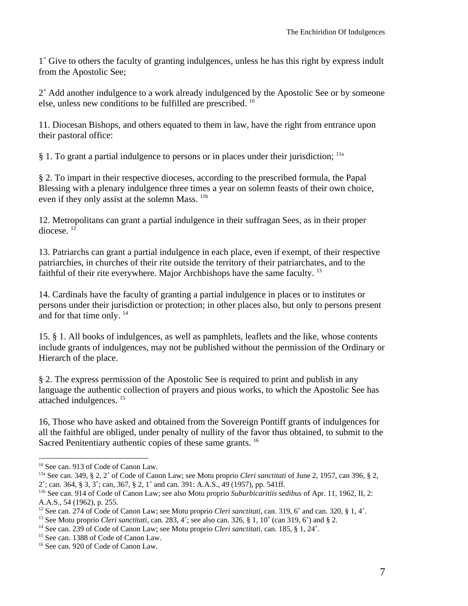1˚ Give to others the faculty of granting indulgences, unless he has this right by express indult from the Apostolic See;

2˚ Add another indulgence to a work already indulgenced by the Apostolic See or by someone else, unless new conditions to be fulfilled are prescribed. <sup>10</sup>

11. Diocesan Bishops, and others equated to them in law, have the right from entrance upon their pastoral office:

 $§$  1. To grant a partial indulgence to persons or in places under their jurisdiction;  $<sup>11a</sup>$ </sup>

§ 2. To impart in their respective dioceses, according to the prescribed formula, the Papal Blessing with a plenary indulgence three times a year on solemn feasts of their own choice, even if they only assist at the solemn Mass.<sup>11b</sup>

12. Metropolitans can grant a partial indulgence in their suffragan Sees, as in their proper  $diocese<sup>12</sup>$ 

13. Patriarchs can grant a partial indulgence in each place, even if exempt, of their respective patriarchies, in churches of their rite outside the territory of their patriarchates, and to the faithful of their rite everywhere. Major Archbishops have the same faculty.  $13$ 

14. Cardinals have the faculty of granting a partial indulgence in places or to institutes or persons under their jurisdiction or protection; in other places also, but only to persons present and for that time only.  $14$ 

15. § 1. All books of indulgences, as well as pamphlets, leaflets and the like, whose contents include grants of indulgences, may not be published without the permission of the Ordinary or Hierarch of the place.

§ 2. The express permission of the Apostolic See is required to print and publish in any language the authentic collection of prayers and pious works, to which the Apostolic See has attached indulgences. <sup>15</sup>

16, Those who have asked and obtained from the Sovereign Pontiff grants of indulgences for all the faithful are obliged, under penalty of nullity of the favor thus obtained, to submit to the Sacred Penitentiary authentic copies of these same grants.<sup>16</sup>

 $\overline{a}$ <sup>10</sup> See can. 913 of Code of Canon Law.

<sup>11</sup>a See can. 349, § 2, 2˚ of Code of Canon Law; see Motu proprio *Cleri sanctitati* of June 2, 1957, can 396, § 2, 2°; can. 364, § 3, 3°; can, 367, § 2, 1° and can. 391: A.A.S., 49 (1957), pp. 541ff.

<sup>11</sup>b See can. 914 of Code of Canon Law; see also Motu proprio *Suburbicaritiis sedibus* of Apr. 11, 1962, II, 2: A.A.S., 54 (1962), p. 255.

<sup>12</sup> See can. 274 of Code of Canon Law; see Motu proprio *Cleri sanctitati,* can. 319, 6˚ and can. 320, § 1, 4˚.

<sup>&</sup>lt;sup>13</sup> See Motu proprio *Cleri sanctitati*, can. 283,  $4^\circ$ ; see also can. 326, § 1,  $10^\circ$  (can 319, 6 $^\circ$ ) and § 2.

<sup>14</sup> See can. 239 of Code of Canon Law; see Motu proprio *Cleri sanctitati,* can. 185, § 1, 24˚.

<sup>&</sup>lt;sup>15</sup> See can. 1388 of Code of Canon Law.

<sup>16</sup> See can. 920 of Code of Canon Law.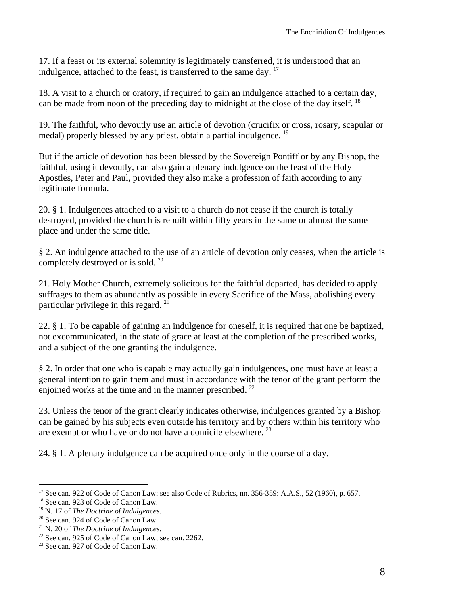17. If a feast or its external solemnity is legitimately transferred, it is understood that an indulgence, attached to the feast, is transferred to the same day.  $17$ 

18. A visit to a church or oratory, if required to gain an indulgence attached to a certain day, can be made from noon of the preceding day to midnight at the close of the day itself. <sup>18</sup>

19. The faithful, who devoutly use an article of devotion (crucifix or cross, rosary, scapular or medal) properly blessed by any priest, obtain a partial indulgence. <sup>19</sup>

But if the article of devotion has been blessed by the Sovereign Pontiff or by any Bishop, the faithful, using it devoutly, can also gain a plenary indulgence on the feast of the Holy Apostles, Peter and Paul, provided they also make a profession of faith according to any legitimate formula.

20. § 1. Indulgences attached to a visit to a church do not cease if the church is totally destroyed, provided the church is rebuilt within fifty years in the same or almost the same place and under the same title.

§ 2. An indulgence attached to the use of an article of devotion only ceases, when the article is completely destroyed or is sold. <sup>20</sup>

21. Holy Mother Church, extremely solicitous for the faithful departed, has decided to apply suffrages to them as abundantly as possible in every Sacrifice of the Mass, abolishing every particular privilege in this regard. <sup>21</sup>

22. § 1. To be capable of gaining an indulgence for oneself, it is required that one be baptized, not excommunicated, in the state of grace at least at the completion of the prescribed works, and a subject of the one granting the indulgence.

§ 2. In order that one who is capable may actually gain indulgences, one must have at least a general intention to gain them and must in accordance with the tenor of the grant perform the enjoined works at the time and in the manner prescribed.<sup>22</sup>

23. Unless the tenor of the grant clearly indicates otherwise, indulgences granted by a Bishop can be gained by his subjects even outside his territory and by others within his territory who are exempt or who have or do not have a domicile elsewhere.  $2<sup>3</sup>$ 

24. § 1. A plenary indulgence can be acquired once only in the course of a day.

 $\overline{a}$ <sup>17</sup> See can. 922 of Code of Canon Law; see also Code of Rubrics, nn. 356-359: A.A.S., 52 (1960), p. 657.

<sup>18</sup> See can. 923 of Code of Canon Law.

<sup>19</sup> N. 17 of *The Doctrine of Indulgences.*

<sup>20</sup> See can. 924 of Code of Canon Law.

<sup>21</sup> N. 20 of *The Doctrine of Indulgences.*

<sup>&</sup>lt;sup>22</sup> See can. 925 of Code of Canon Law; see can. 2262.

<sup>&</sup>lt;sup>23</sup> See can. 927 of Code of Canon Law.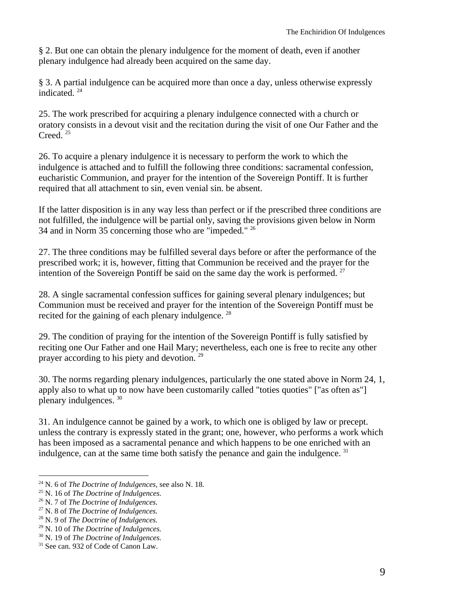§ 2. But one can obtain the plenary indulgence for the moment of death, even if another plenary indulgence had already been acquired on the same day.

§ 3. A partial indulgence can be acquired more than once a day, unless otherwise expressly indicated. <sup>24</sup>

25. The work prescribed for acquiring a plenary indulgence connected with a church or oratory consists in a devout visit and the recitation during the visit of one Our Father and the Creed.<sup>25</sup>

26. To acquire a plenary indulgence it is necessary to perform the work to which the indulgence is attached and to fulfill the following three conditions: sacramental confession, eucharistic Communion, and prayer for the intention of the Sovereign Pontiff. It is further required that all attachment to sin, even venial sin. be absent.

If the latter disposition is in any way less than perfect or if the prescribed three conditions are not fulfilled, the indulgence will be partial only, saving the provisions given below in Norm 34 and in Norm 35 concerning those who are "impeded." <sup>26</sup>

27. The three conditions may be fulfilled several days before or after the performance of the prescribed work; it is, however, fitting that Communion be received and the prayer for the intention of the Sovereign Pontiff be said on the same day the work is performed.  $27$ 

28. A single sacramental confession suffices for gaining several plenary indulgences; but Communion must be received and prayer for the intention of the Sovereign Pontiff must be recited for the gaining of each plenary indulgence. <sup>28</sup>

29. The condition of praying for the intention of the Sovereign Pontiff is fully satisfied by reciting one Our Father and one Hail Mary; nevertheless, each one is free to recite any other prayer according to his piety and devotion. <sup>29</sup>

30. The norms regarding plenary indulgences, particularly the one stated above in Norm 24, 1, apply also to what up to now have been customarily called "toties quoties" ["as often as"] plenary indulgences. <sup>30</sup>

31. An indulgence cannot be gained by a work, to which one is obliged by law or precept. unless the contrary is expressly stated in the grant; one, however, who performs a work which has been imposed as a sacramental penance and which happens to be one enriched with an indulgence, can at the same time both satisfy the penance and gain the indulgence.  $31$ 

<sup>24</sup> N. 6 of *The Doctrine of Indulgences,* see also N. 18.

<sup>25</sup> N. 16 of *The Doctrine of Indulgences.*

<sup>26</sup> N. 7 of *The Doctrine of Indulgences.*

<sup>27</sup> N. 8 of *The Doctrine of Indulgences.*

<sup>28</sup> N. 9 of *The Doctrine of Indulgences.*

<sup>29</sup> N. 10 of *The Doctrine of Indulgences.*

<sup>30</sup> N. 19 of *The Doctrine of Indulgences.*

<sup>&</sup>lt;sup>31</sup> See can. 932 of Code of Canon Law.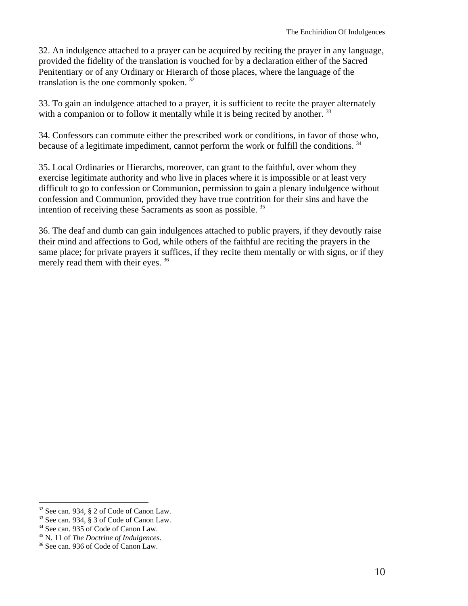32. An indulgence attached to a prayer can be acquired by reciting the prayer in any language, provided the fidelity of the translation is vouched for by a declaration either of the Sacred Penitentiary or of any Ordinary or Hierarch of those places, where the language of the translation is the one commonly spoken. <sup>32</sup>

33. To gain an indulgence attached to a prayer, it is sufficient to recite the prayer alternately with a companion or to follow it mentally while it is being recited by another.<sup>33</sup>

34. Confessors can commute either the prescribed work or conditions, in favor of those who, because of a legitimate impediment, cannot perform the work or fulfill the conditions.<sup>34</sup>

35. Local Ordinaries or Hierarchs, moreover, can grant to the faithful, over whom they exercise legitimate authority and who live in places where it is impossible or at least very difficult to go to confession or Communion, permission to gain a plenary indulgence without confession and Communion, provided they have true contrition for their sins and have the intention of receiving these Sacraments as soon as possible.<sup>35</sup>

36. The deaf and dumb can gain indulgences attached to public prayers, if they devoutly raise their mind and affections to God, while others of the faithful are reciting the prayers in the same place; for private prayers it suffices, if they recite them mentally or with signs, or if they merely read them with their eyes. <sup>36</sup>

<sup>32</sup> See can. 934, § 2 of Code of Canon Law.

<sup>33</sup> See can. 934, § 3 of Code of Canon Law.

<sup>34</sup> See can. 935 of Code of Canon Law.

<sup>35</sup> N. 11 of *The Doctrine of Indulgences.*

<sup>36</sup> See can. 936 of Code of Canon Law.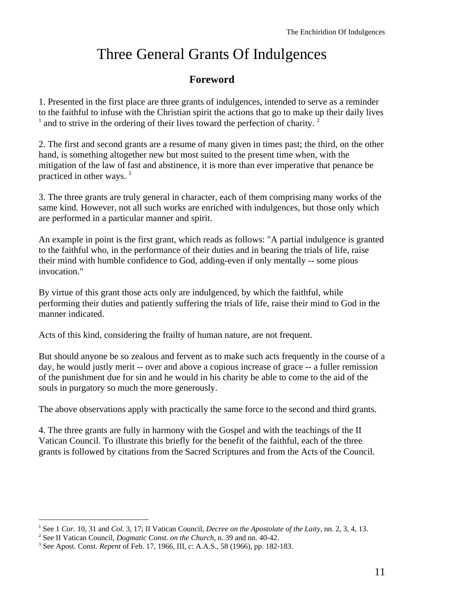# Three General Grants Of Indulgences

# **Foreword**

1. Presented in the first place are three grants of indulgences, intended to serve as a reminder to the faithful to infuse with the Christian spirit the actions that go to make up their daily lives  $<sup>1</sup>$  and to strive in the ordering of their lives toward the perfection of charity.  $<sup>2</sup>$ </sup></sup>

2. The first and second grants are a resume of many given in times past; the third, on the other hand, is something altogether new but most suited to the present time when, with the mitigation of the law of fast and abstinence, it is more than ever imperative that penance be practiced in other ways. <sup>3</sup>

3. The three grants are truly general in character, each of them comprising many works of the same kind. However, not all such works are enriched with indulgences, but those only which are performed in a particular manner and spirit.

An example in point is the first grant, which reads as follows: "A partial indulgence is granted to the faithful who, in the performance of their duties and in bearing the trials of life, raise their mind with humble confidence to God, adding-even if only mentally -- some pious invocation."

By virtue of this grant those acts only are indulgenced, by which the faithful, while performing their duties and patiently suffering the trials of life, raise their mind to God in the manner indicated.

Acts of this kind, considering the frailty of human nature, are not frequent.

But should anyone be so zealous and fervent as to make such acts frequently in the course of a day, he would justly merit -- over and above a copious increase of grace -- a fuller remission of the punishment due for sin and he would in his charity be able to come to the aid of the souls in purgatory so much the more generously.

The above observations apply with practically the same force to the second and third grants.

4. The three grants are fully in harmony with the Gospel and with the teachings of the II Vatican Council. To illustrate this briefly for the benefit of the faithful, each of the three grants is followed by citations from the Sacred Scriptures and from the Acts of the Council.

<sup>&</sup>lt;sup>1</sup> See 1 *Cor.* 10, 31 and *Col.* 3, 17; II Vatican Council, *Decree on the Apostolate of the Laity*, nn. 2, 3, 4, 13.

<sup>2</sup> See II Vatican Council, *Dogmatic Const. on the Church*, n. 39 and nn. 40-42.

<sup>3</sup> See Apost. Const. *Repent* of Feb. 17, 1966, III, c: A.A.S., 58 (1966), pp. 182-183.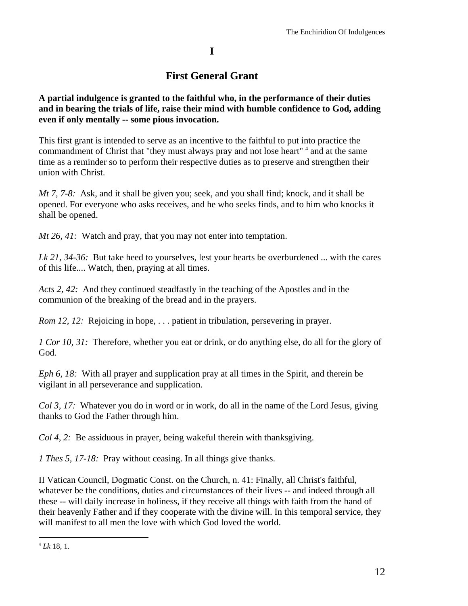# **First General Grant**

**A partial indulgence is granted to the faithful who, in the performance of their duties and in bearing the trials of life, raise their mind with humble confidence to God, adding even if only mentally -- some pious invocation.**

This first grant is intended to serve as an incentive to the faithful to put into practice the commandment of Christ that "they must always pray and not lose heart" <sup>4</sup> and at the same time as a reminder so to perform their respective duties as to preserve and strengthen their union with Christ.

*Mt 7, 7-8:* Ask, and it shall be given you; seek, and you shall find; knock, and it shall be opened. For everyone who asks receives, and he who seeks finds, and to him who knocks it shall be opened.

*Mt 26, 41:* Watch and pray, that you may not enter into temptation.

*Lk 21, 34-36:* But take heed to yourselves, lest your hearts be overburdened ... with the cares of this life.... Watch, then, praying at all times.

*Acts 2, 42:* And they continued steadfastly in the teaching of the Apostles and in the communion of the breaking of the bread and in the prayers.

*Rom 12, 12:* Rejoicing in hope, ... patient in tribulation, persevering in prayer.

*1 Cor 10, 31:* Therefore, whether you eat or drink, or do anything else, do all for the glory of God.

*Eph 6, 18:* With all prayer and supplication pray at all times in the Spirit, and therein be vigilant in all perseverance and supplication.

*Col 3, 17:* Whatever you do in word or in work, do all in the name of the Lord Jesus, giving thanks to God the Father through him.

*Col 4, 2:* Be assiduous in prayer, being wakeful therein with thanksgiving.

*1 Thes 5, 17-18:* Pray without ceasing. In all things give thanks.

II Vatican Council, Dogmatic Const. on the Church, n. 41: Finally, all Christ's faithful, whatever be the conditions, duties and circumstances of their lives -- and indeed through all these -- will daily increase in holiness, if they receive all things with faith from the hand of their heavenly Father and if they cooperate with the divine will. In this temporal service, they will manifest to all men the love with which God loved the world.

 $4$  *Lk* 18, 1.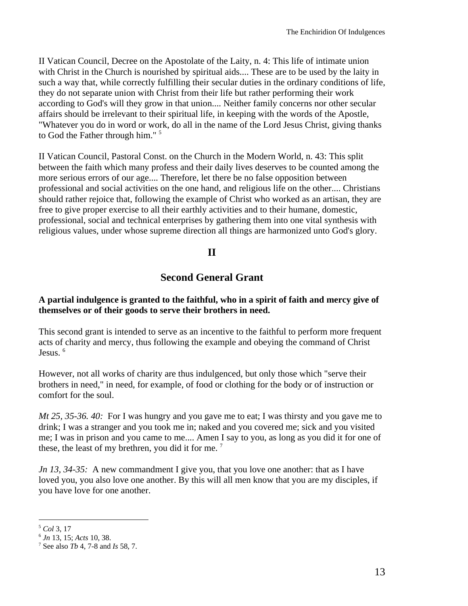II Vatican Council, Decree on the Apostolate of the Laity, n. 4: This life of intimate union with Christ in the Church is nourished by spiritual aids.... These are to be used by the laity in such a way that, while correctly fulfilling their secular duties in the ordinary conditions of life, they do not separate union with Christ from their life but rather performing their work according to God's will they grow in that union.... Neither family concerns nor other secular affairs should be irrelevant to their spiritual life, in keeping with the words of the Apostle, "Whatever you do in word or work, do all in the name of the Lord Jesus Christ, giving thanks to God the Father through him."<sup>5</sup>

II Vatican Council, Pastoral Const. on the Church in the Modern World, n. 43: This split between the faith which many profess and their daily lives deserves to be counted among the more serious errors of our age.... Therefore, let there be no false opposition between professional and social activities on the one hand, and religious life on the other.... Christians should rather rejoice that, following the example of Christ who worked as an artisan, they are free to give proper exercise to all their earthly activities and to their humane, domestic, professional, social and technical enterprises by gathering them into one vital synthesis with religious values, under whose supreme direction all things are harmonized unto God's glory.

# **II**

# **Second General Grant**

#### **A partial indulgence is granted to the faithful, who in a spirit of faith and mercy give of themselves or of their goods to serve their brothers in need.**

This second grant is intended to serve as an incentive to the faithful to perform more frequent acts of charity and mercy, thus following the example and obeying the command of Christ Jesus. <sup>6</sup>

However, not all works of charity are thus indulgenced, but only those which "serve their brothers in need," in need, for example, of food or clothing for the body or of instruction or comfort for the soul.

*Mt 25, 35-36. 40:* For I was hungry and you gave me to eat; I was thirsty and you gave me to drink; I was a stranger and you took me in; naked and you covered me; sick and you visited me; I was in prison and you came to me.... Amen I say to you, as long as you did it for one of these, the least of my brethren, you did it for me.<sup>7</sup>

*Jn 13, 34-35:* A new commandment I give you, that you love one another: that as I have loved you, you also love one another. By this will all men know that you are my disciples, if you have love for one another.

<sup>5</sup> *Col* 3, 17

<sup>6</sup> *Jn* 13, 15; *Acts* 10, 38.

<sup>7</sup> See also *Tb* 4, 7-8 and *Is* 58, 7.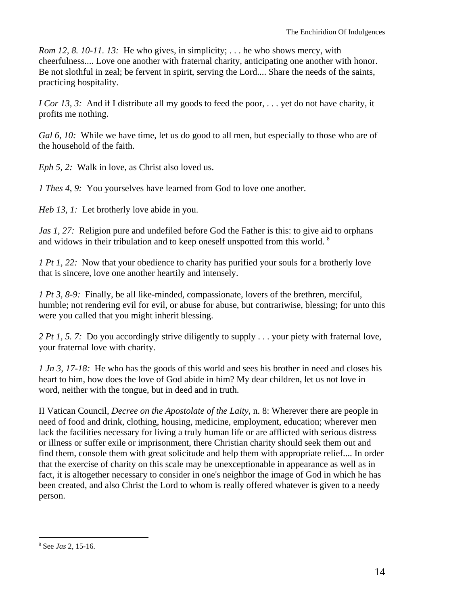*Rom 12, 8. 10-11. 13:* He who gives, in simplicity; . . . he who shows mercy, with cheerfulness.... Love one another with fraternal charity, anticipating one another with honor. Be not slothful in zeal; be fervent in spirit, serving the Lord.... Share the needs of the saints, practicing hospitality.

*I Cor 13, 3:* And if I distribute all my goods to feed the poor, ... yet do not have charity, it profits me nothing.

*Gal 6, 10:* While we have time, let us do good to all men, but especially to those who are of the household of the faith.

*Eph 5, 2:* Walk in love, as Christ also loved us.

*1 Thes 4, 9:* You yourselves have learned from God to love one another.

*Heb 13, 1:* Let brotherly love abide in you.

*Jas 1, 27:* Religion pure and undefiled before God the Father is this: to give aid to orphans and widows in their tribulation and to keep oneself unspotted from this world. <sup>8</sup>

*1 Pt 1, 22:* Now that your obedience to charity has purified your souls for a brotherly love that is sincere, love one another heartily and intensely.

*1 Pt 3, 8-9:* Finally, be all like-minded, compassionate, lovers of the brethren, merciful, humble; not rendering evil for evil, or abuse for abuse, but contrariwise, blessing; for unto this were you called that you might inherit blessing.

*2 Pt 1, 5. 7:* Do you accordingly strive diligently to supply . . . your piety with fraternal love, your fraternal love with charity.

*1 Jn 3, 17-18:* He who has the goods of this world and sees his brother in need and closes his heart to him, how does the love of God abide in him? My dear children, let us not love in word, neither with the tongue, but in deed and in truth.

II Vatican Council, *Decree on the Apostolate of the Laity*, n. 8: Wherever there are people in need of food and drink, clothing, housing, medicine, employment, education; wherever men lack the facilities necessary for living a truly human life or are afflicted with serious distress or illness or suffer exile or imprisonment, there Christian charity should seek them out and find them, console them with great solicitude and help them with appropriate relief.... In order that the exercise of charity on this scale may be unexceptionable in appearance as well as in fact, it is altogether necessary to consider in one's neighbor the image of God in which he has been created, and also Christ the Lord to whom is really offered whatever is given to a needy person.

<sup>8</sup> See *Jas* 2, 15-16.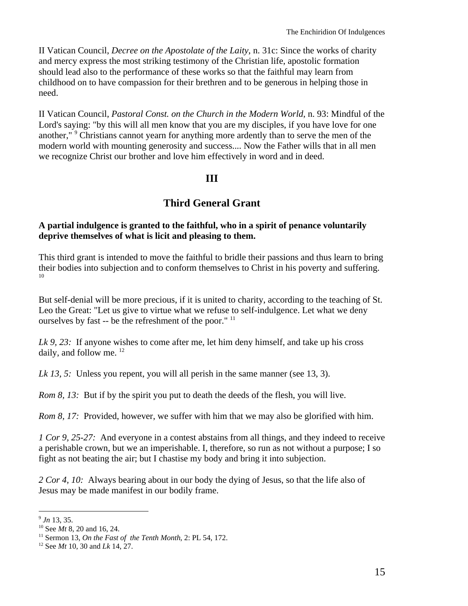II Vatican Council, *Decree on the Apostolate of the Laity*, n. 31c: Since the works of charity and mercy express the most striking testimony of the Christian life, apostolic formation should lead also to the performance of these works so that the faithful may learn from childhood on to have compassion for their brethren and to be generous in helping those in need.

II Vatican Council, *Pastoral Const. on the Church in the Modern World*, n. 93: Mindful of the Lord's saying: "by this will all men know that you are my disciples, if you have love for one another," <sup>9</sup> Christians cannot yearn for anything more ardently than to serve the men of the modern world with mounting generosity and success.... Now the Father wills that in all men we recognize Christ our brother and love him effectively in word and in deed.

# **III**

# **Third General Grant**

#### **A partial indulgence is granted to the faithful, who in a spirit of penance voluntarily deprive themselves of what is licit and pleasing to them.**

This third grant is intended to move the faithful to bridle their passions and thus learn to bring their bodies into subjection and to conform themselves to Christ in his poverty and suffering. 10

But self-denial will be more precious, if it is united to charity, according to the teaching of St. Leo the Great: "Let us give to virtue what we refuse to self-indulgence. Let what we deny ourselves by fast -- be the refreshment of the poor." <sup>11</sup>

*Lk 9, 23:* If anyone wishes to come after me, let him deny himself, and take up his cross daily, and follow me.  $12$ 

*Lk 13, 5:* Unless you repent, you will all perish in the same manner (see 13, 3).

*Rom 8, 13:* But if by the spirit you put to death the deeds of the flesh, you will live.

*Rom 8, 17:* Provided, however, we suffer with him that we may also be glorified with him.

*1 Cor 9, 25-27:* And everyone in a contest abstains from all things, and they indeed to receive a perishable crown, but we an imperishable. I, therefore, so run as not without a purpose; I so fight as not beating the air; but I chastise my body and bring it into subjection.

*2 Cor 4, 10:* Always bearing about in our body the dying of Jesus, so that the life also of Jesus may be made manifest in our bodily frame.

 9 *Jn* 13, 35.

<sup>10</sup> See *Mt* 8, 20 and 16, 24.

<sup>11</sup> Sermon 13, *On the Fast of the Tenth Month*, 2: PL 54, 172.

<sup>12</sup> See *Mt* 10, 30 and *Lk* 14, 27.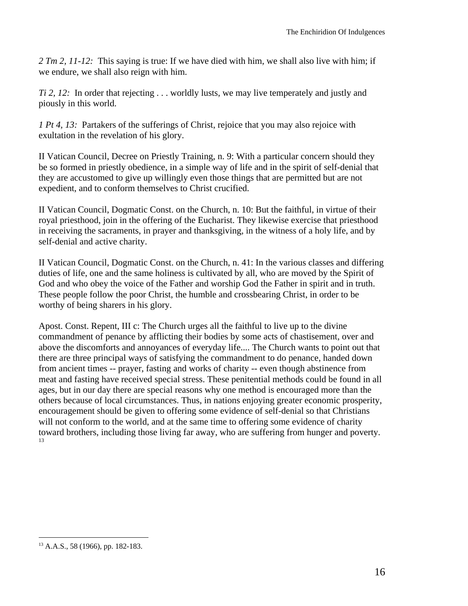*2 Tm 2, 11-12:* This saying is true: If we have died with him, we shall also live with him; if we endure, we shall also reign with him.

*Ti 2, 12:* In order that rejecting . . . worldly lusts, we may live temperately and justly and piously in this world.

*1 Pt 4, 13:* Partakers of the sufferings of Christ, rejoice that you may also rejoice with exultation in the revelation of his glory.

II Vatican Council, Decree on Priestly Training, n. 9: With a particular concern should they be so formed in priestly obedience, in a simple way of life and in the spirit of self-denial that they are accustomed to give up willingly even those things that are permitted but are not expedient, and to conform themselves to Christ crucified.

II Vatican Council, Dogmatic Const. on the Church, n. 10: But the faithful, in virtue of their royal priesthood, join in the offering of the Eucharist. They likewise exercise that priesthood in receiving the sacraments, in prayer and thanksgiving, in the witness of a holy life, and by self-denial and active charity.

II Vatican Council, Dogmatic Const. on the Church, n. 41: In the various classes and differing duties of life, one and the same holiness is cultivated by all, who are moved by the Spirit of God and who obey the voice of the Father and worship God the Father in spirit and in truth. These people follow the poor Christ, the humble and crossbearing Christ, in order to be worthy of being sharers in his glory.

Apost. Const. Repent, III c: The Church urges all the faithful to live up to the divine commandment of penance by afflicting their bodies by some acts of chastisement, over and above the discomforts and annoyances of everyday life.... The Church wants to point out that there are three principal ways of satisfying the commandment to do penance, handed down from ancient times -- prayer, fasting and works of charity -- even though abstinence from meat and fasting have received special stress. These penitential methods could be found in all ages, but in our day there are special reasons why one method is encouraged more than the others because of local circumstances. Thus, in nations enjoying greater economic prosperity, encouragement should be given to offering some evidence of self-denial so that Christians will not conform to the world, and at the same time to offering some evidence of charity toward brothers, including those living far away, who are suffering from hunger and poverty. 13

<sup>13</sup> A.A.S., 58 (1966), pp. 182-183.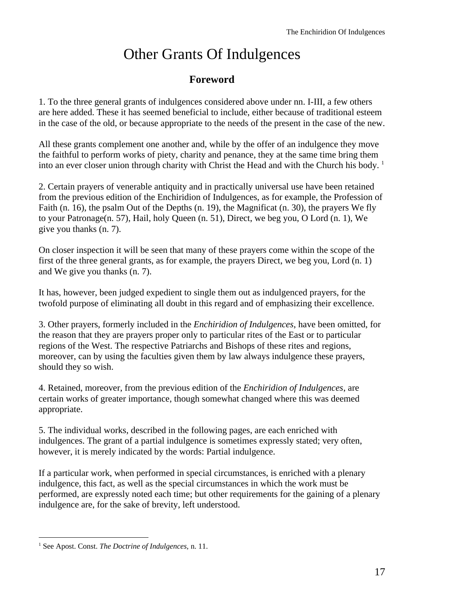# Other Grants Of Indulgences

# **Foreword**

1. To the three general grants of indulgences considered above under nn. I-III, a few others are here added. These it has seemed beneficial to include, either because of traditional esteem in the case of the old, or because appropriate to the needs of the present in the case of the new.

All these grants complement one another and, while by the offer of an indulgence they move the faithful to perform works of piety, charity and penance, they at the same time bring them into an ever closer union through charity with Christ the Head and with the Church his body.<sup>1</sup>

2. Certain prayers of venerable antiquity and in practically universal use have been retained from the previous edition of the Enchiridion of Indulgences, as for example, the Profession of Faith (n. 16), the psalm Out of the Depths (n. 19), the Magnificat (n. 30), the prayers We fly to your Patronage(n. 57), Hail, holy Queen (n. 51), Direct, we beg you, O Lord (n. 1), We give you thanks (n. 7).

On closer inspection it will be seen that many of these prayers come within the scope of the first of the three general grants, as for example, the prayers Direct, we beg you, Lord (n. 1) and We give you thanks (n. 7).

It has, however, been judged expedient to single them out as indulgenced prayers, for the twofold purpose of eliminating all doubt in this regard and of emphasizing their excellence.

3. Other prayers, formerly included in the *Enchiridion of Indulgences*, have been omitted, for the reason that they are prayers proper only to particular rites of the East or to particular regions of the West. The respective Patriarchs and Bishops of these rites and regions, moreover, can by using the faculties given them by law always indulgence these prayers, should they so wish.

4. Retained, moreover, from the previous edition of the *Enchiridion of Indulgences*, are certain works of greater importance, though somewhat changed where this was deemed appropriate.

5. The individual works, described in the following pages, are each enriched with indulgences. The grant of a partial indulgence is sometimes expressly stated; very often, however, it is merely indicated by the words: Partial indulgence.

If a particular work, when performed in special circumstances, is enriched with a plenary indulgence, this fact, as well as the special circumstances in which the work must be performed, are expressly noted each time; but other requirements for the gaining of a plenary indulgence are, for the sake of brevity, left understood.

<sup>1</sup> See Apost. Const. *The Doctrine of Indulgences,* n. 11.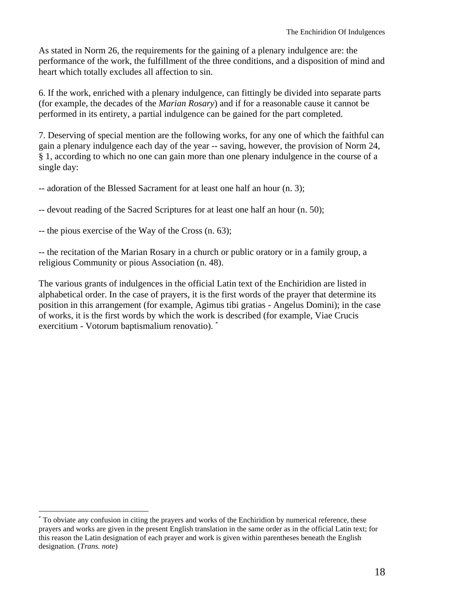As stated in Norm 26, the requirements for the gaining of a plenary indulgence are: the performance of the work, the fulfillment of the three conditions, and a disposition of mind and heart which totally excludes all affection to sin.

6. If the work, enriched with a plenary indulgence, can fittingly be divided into separate parts (for example, the decades of the *Marian Rosary*) and if for a reasonable cause it cannot be performed in its entirety, a partial indulgence can be gained for the part completed.

7. Deserving of special mention are the following works, for any one of which the faithful can gain a plenary indulgence each day of the year -- saving, however, the provision of Norm 24, § 1, according to which no one can gain more than one plenary indulgence in the course of a single day:

-- adoration of the Blessed Sacrament for at least one half an hour (n. 3);

-- devout reading of the Sacred Scriptures for at least one half an hour (n. 50);

-- the pious exercise of the Way of the Cross (n. 63);

-- the recitation of the Marian Rosary in a church or public oratory or in a family group, a religious Community or pious Association (n. 48).

The various grants of indulgences in the official Latin text of the Enchiridion are listed in alphabetical order. In the case of prayers, it is the first words of the prayer that determine its position in this arrangement (for example, Agimus tibi gratias - Angelus Domini); in the case of works, it is the first words by which the work is described (for example, Viae Crucis exercitium - Votorum baptismalium renovatio). \*

 $\overline{a}$ \* To obviate any confusion in citing the prayers and works of the Enchiridion by numerical reference, these prayers and works are given in the present English translation in the same order as in the official Latin text; for this reason the Latin designation of each prayer and work is given within parentheses beneath the English designation. (*Trans. note*)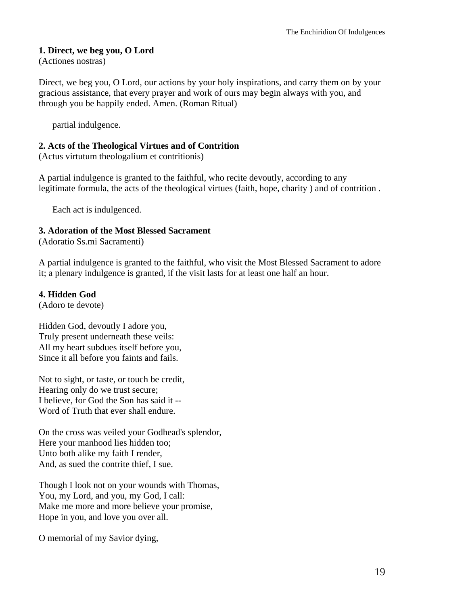## **1. Direct, we beg you, O Lord**

(Actiones nostras)

Direct, we beg you, O Lord, our actions by your holy inspirations, and carry them on by your gracious assistance, that every prayer and work of ours may begin always with you, and through you be happily ended. Amen. (Roman Ritual)

partial indulgence.

#### **2. Acts of the Theological Virtues and of Contrition**

(Actus virtutum theologalium et contritionis)

A partial indulgence is granted to the faithful, who recite devoutly, according to any legitimate formula, the acts of the theological virtues (faith, hope, charity ) and of contrition .

Each act is indulgenced.

#### **3. Adoration of the Most Blessed Sacrament**

(Adoratio Ss.mi Sacramenti)

A partial indulgence is granted to the faithful, who visit the Most Blessed Sacrament to adore it; a plenary indulgence is granted, if the visit lasts for at least one half an hour.

**4. Hidden God**

(Adoro te devote)

Hidden God, devoutly I adore you, Truly present underneath these veils: All my heart subdues itself before you, Since it all before you faints and fails.

Not to sight, or taste, or touch be credit, Hearing only do we trust secure; I believe, for God the Son has said it -- Word of Truth that ever shall endure.

On the cross was veiled your Godhead's splendor, Here your manhood lies hidden too; Unto both alike my faith I render, And, as sued the contrite thief, I sue.

Though I look not on your wounds with Thomas, You, my Lord, and you, my God, I call: Make me more and more believe your promise, Hope in you, and love you over all.

O memorial of my Savior dying,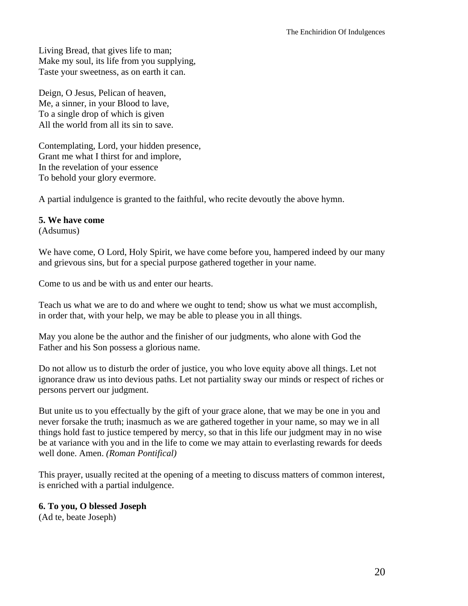Living Bread, that gives life to man; Make my soul, its life from you supplying, Taste your sweetness, as on earth it can.

Deign, O Jesus, Pelican of heaven, Me, a sinner, in your Blood to lave, To a single drop of which is given All the world from all its sin to save.

Contemplating, Lord, your hidden presence, Grant me what I thirst for and implore, In the revelation of your essence To behold your glory evermore.

A partial indulgence is granted to the faithful, who recite devoutly the above hymn.

#### **5. We have come**

(Adsumus)

We have come, O Lord, Holy Spirit, we have come before you, hampered indeed by our many and grievous sins, but for a special purpose gathered together in your name.

Come to us and be with us and enter our hearts.

Teach us what we are to do and where we ought to tend; show us what we must accomplish, in order that, with your help, we may be able to please you in all things.

May you alone be the author and the finisher of our judgments, who alone with God the Father and his Son possess a glorious name.

Do not allow us to disturb the order of justice, you who love equity above all things. Let not ignorance draw us into devious paths. Let not partiality sway our minds or respect of riches or persons pervert our judgment.

But unite us to you effectually by the gift of your grace alone, that we may be one in you and never forsake the truth; inasmuch as we are gathered together in your name, so may we in all things hold fast to justice tempered by mercy, so that in this life our judgment may in no wise be at variance with you and in the life to come we may attain to everlasting rewards for deeds well done. Amen. *(Roman Pontifical)*

This prayer, usually recited at the opening of a meeting to discuss matters of common interest, is enriched with a partial indulgence.

#### **6. To you, O blessed Joseph**

(Ad te, beate Joseph)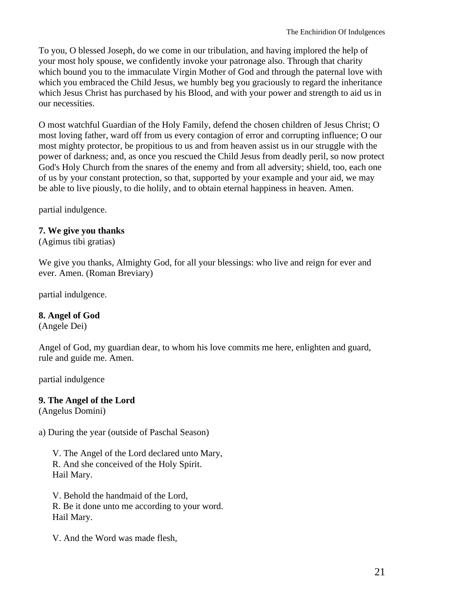To you, O blessed Joseph, do we come in our tribulation, and having implored the help of your most holy spouse, we confidently invoke your patronage also. Through that charity which bound you to the immaculate Virgin Mother of God and through the paternal love with which you embraced the Child Jesus, we humbly beg you graciously to regard the inheritance which Jesus Christ has purchased by his Blood, and with your power and strength to aid us in our necessities.

O most watchful Guardian of the Holy Family, defend the chosen children of Jesus Christ; O most loving father, ward off from us every contagion of error and corrupting influence; O our most mighty protector, be propitious to us and from heaven assist us in our struggle with the power of darkness; and, as once you rescued the Child Jesus from deadly peril, so now protect God's Holy Church from the snares of the enemy and from all adversity; shield, too, each one of us by your constant protection, so that, supported by your example and your aid, we may be able to live piously, to die holily, and to obtain eternal happiness in heaven. Amen.

partial indulgence.

## **7. We give you thanks**

(Agimus tibi gratias)

We give you thanks, Almighty God, for all your blessings: who live and reign for ever and ever. Amen. (Roman Breviary)

partial indulgence.

# **8. Angel of God**

(Angele Dei)

Angel of God, my guardian dear, to whom his love commits me here, enlighten and guard, rule and guide me. Amen.

partial indulgence

# **9. The Angel of the Lord**

(Angelus Domini)

a) During the year (outside of Paschal Season)

V. The Angel of the Lord declared unto Mary, R. And she conceived of the Holy Spirit. Hail Mary.

V. Behold the handmaid of the Lord, R. Be it done unto me according to your word. Hail Mary.

V. And the Word was made flesh,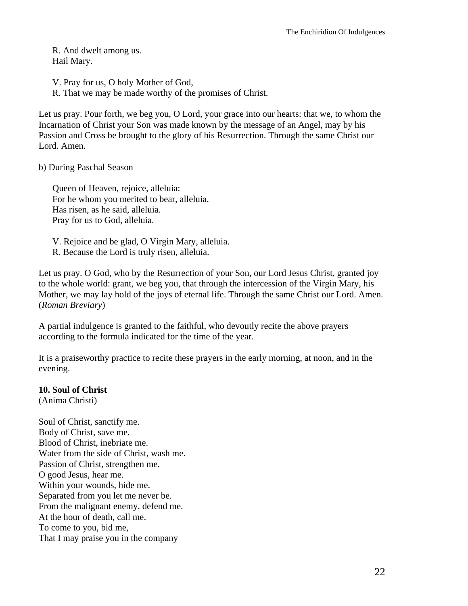R. And dwelt among us. Hail Mary.

V. Pray for us, O holy Mother of God, R. That we may be made worthy of the promises of Christ.

Let us pray. Pour forth, we beg you, O Lord, your grace into our hearts: that we, to whom the Incarnation of Christ your Son was made known by the message of an Angel, may by his Passion and Cross be brought to the glory of his Resurrection. Through the same Christ our Lord. Amen.

#### b) During Paschal Season

Queen of Heaven, rejoice, alleluia: For he whom you merited to bear, alleluia, Has risen, as he said, alleluia. Pray for us to God, alleluia.

V. Rejoice and be glad, O Virgin Mary, alleluia.

R. Because the Lord is truly risen, alleluia.

Let us pray. O God, who by the Resurrection of your Son, our Lord Jesus Christ, granted joy to the whole world: grant, we beg you, that through the intercession of the Virgin Mary, his Mother, we may lay hold of the joys of eternal life. Through the same Christ our Lord. Amen. (*Roman Breviary*)

A partial indulgence is granted to the faithful, who devoutly recite the above prayers according to the formula indicated for the time of the year.

It is a praiseworthy practice to recite these prayers in the early morning, at noon, and in the evening.

# **10. Soul of Christ**

(Anima Christi)

Soul of Christ, sanctify me. Body of Christ, save me. Blood of Christ, inebriate me. Water from the side of Christ, wash me. Passion of Christ, strengthen me. O good Jesus, hear me. Within your wounds, hide me. Separated from you let me never be. From the malignant enemy, defend me. At the hour of death, call me. To come to you, bid me, That I may praise you in the company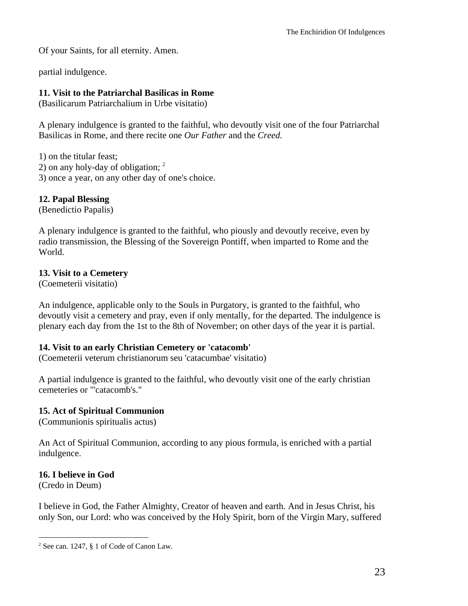Of your Saints, for all eternity. Amen.

partial indulgence.

# **11. Visit to the Patriarchal Basilicas in Rome**

(Basilicarum Patriarchalium in Urbe visitatio)

A plenary indulgence is granted to the faithful, who devoutly visit one of the four Patriarchal Basilicas in Rome, and there recite one *Our Father* and the *Creed*.

1) on the titular feast; 2) on any holy-day of obligation;  $<sup>2</sup>$ </sup> 3) once a year, on any other day of one's choice.

## **12. Papal Blessing**

(Benedictio Papalis)

A plenary indulgence is granted to the faithful, who piously and devoutly receive, even by radio transmission, the Blessing of the Sovereign Pontiff, when imparted to Rome and the World.

# **13. Visit to a Cemetery**

(Coemeterii visitatio)

An indulgence, applicable only to the Souls in Purgatory, is granted to the faithful, who devoutly visit a cemetery and pray, even if only mentally, for the departed. The indulgence is plenary each day from the 1st to the 8th of November; on other days of the year it is partial.

#### **14. Visit to an early Christian Cemetery or 'catacomb'**

(Coemeterii veterum christianorum seu 'catacumbae' visitatio)

A partial indulgence is granted to the faithful, who devoutly visit one of the early christian cemeteries or "'catacomb's."

# **15. Act of Spiritual Communion**

(Communionis spiritualis actus)

An Act of Spiritual Communion, according to any pious formula, is enriched with a partial indulgence.

# **16. I believe in God**

(Credo in Deum)

I believe in God, the Father Almighty, Creator of heaven and earth. And in Jesus Christ, his only Son, our Lord: who was conceived by the Holy Spirit, born of the Virgin Mary, suffered

 $\overline{a}$ 2 See can. 1247, § 1 of Code of Canon Law.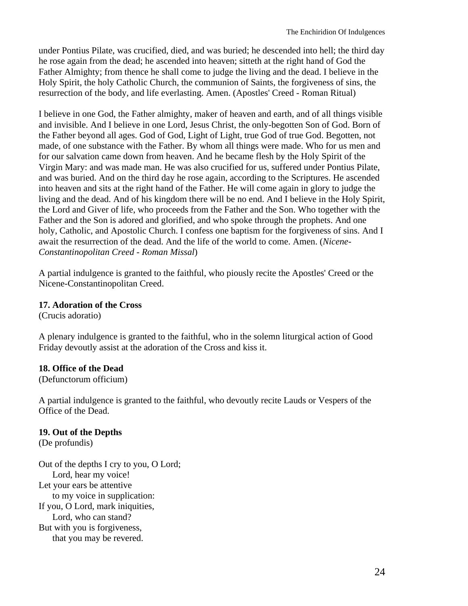under Pontius Pilate, was crucified, died, and was buried; he descended into hell; the third day he rose again from the dead; he ascended into heaven; sitteth at the right hand of God the Father Almighty; from thence he shall come to judge the living and the dead. I believe in the Holy Spirit, the holy Catholic Church, the communion of Saints, the forgiveness of sins, the resurrection of the body, and life everlasting. Amen. (Apostles' Creed - Roman Ritual)

I believe in one God, the Father almighty, maker of heaven and earth, and of all things visible and invisible. And I believe in one Lord, Jesus Christ, the only-begotten Son of God. Born of the Father beyond all ages. God of God, Light of Light, true God of true God. Begotten, not made, of one substance with the Father. By whom all things were made. Who for us men and for our salvation came down from heaven. And he became flesh by the Holy Spirit of the Virgin Mary: and was made man. He was also crucified for us, suffered under Pontius Pilate, and was buried. And on the third day he rose again, according to the Scriptures. He ascended into heaven and sits at the right hand of the Father. He will come again in glory to judge the living and the dead. And of his kingdom there will be no end. And I believe in the Holy Spirit, the Lord and Giver of life, who proceeds from the Father and the Son. Who together with the Father and the Son is adored and glorified, and who spoke through the prophets. And one holy, Catholic, and Apostolic Church. I confess one baptism for the forgiveness of sins. And I await the resurrection of the dead. And the life of the world to come. Amen. (*Nicene-Constantinopolitan Creed - Roman Missal*)

A partial indulgence is granted to the faithful, who piously recite the Apostles' Creed or the Nicene-Constantinopolitan Creed.

# **17. Adoration of the Cross**

(Crucis adoratio)

A plenary indulgence is granted to the faithful, who in the solemn liturgical action of Good Friday devoutly assist at the adoration of the Cross and kiss it.

# **18. Office of the Dead**

(Defunctorum officium)

A partial indulgence is granted to the faithful, who devoutly recite Lauds or Vespers of the Office of the Dead.

#### **19. Out of the Depths**

(De profundis)

Out of the depths I cry to you, O Lord; Lord, hear my voice! Let your ears be attentive to my voice in supplication: If you, O Lord, mark iniquities, Lord, who can stand? But with you is forgiveness, that you may be revered.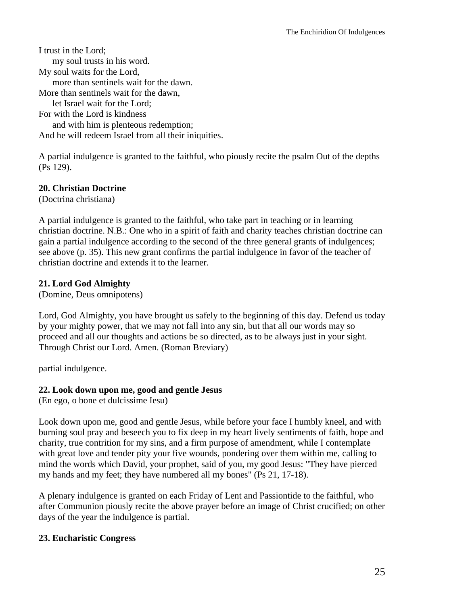I trust in the Lord; my soul trusts in his word. My soul waits for the Lord, more than sentinels wait for the dawn. More than sentinels wait for the dawn, let Israel wait for the Lord; For with the Lord is kindness and with him is plenteous redemption; And he will redeem Israel from all their iniquities.

A partial indulgence is granted to the faithful, who piously recite the psalm Out of the depths (Ps 129).

# **20. Christian Doctrine**

(Doctrina christiana)

A partial indulgence is granted to the faithful, who take part in teaching or in learning christian doctrine. N.B.: One who in a spirit of faith and charity teaches christian doctrine can gain a partial indulgence according to the second of the three general grants of indulgences; see above (p. 35). This new grant confirms the partial indulgence in favor of the teacher of christian doctrine and extends it to the learner.

## **21. Lord God Almighty**

(Domine, Deus omnipotens)

Lord, God Almighty, you have brought us safely to the beginning of this day. Defend us today by your mighty power, that we may not fall into any sin, but that all our words may so proceed and all our thoughts and actions be so directed, as to be always just in your sight. Through Christ our Lord. Amen. (Roman Breviary)

partial indulgence.

#### **22. Look down upon me, good and gentle Jesus**

(En ego, o bone et dulcissime Iesu)

Look down upon me, good and gentle Jesus, while before your face I humbly kneel, and with burning soul pray and beseech you to fix deep in my heart lively sentiments of faith, hope and charity, true contrition for my sins, and a firm purpose of amendment, while I contemplate with great love and tender pity your five wounds, pondering over them within me, calling to mind the words which David, your prophet, said of you, my good Jesus: "They have pierced my hands and my feet; they have numbered all my bones" (Ps 21, 17-18).

A plenary indulgence is granted on each Friday of Lent and Passiontide to the faithful, who after Communion piously recite the above prayer before an image of Christ crucified; on other days of the year the indulgence is partial.

#### **23. Eucharistic Congress**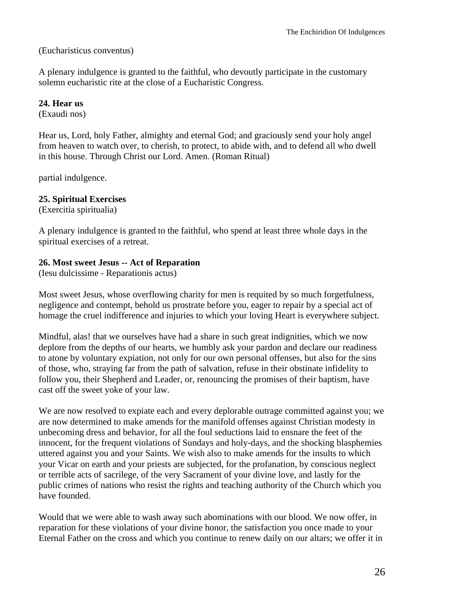#### (Eucharisticus conventus)

A plenary indulgence is granted to the faithful, who devoutly participate in the customary solemn eucharistic rite at the close of a Eucharistic Congress.

#### **24. Hear us**

(Exaudi nos)

Hear us, Lord, holy Father, almighty and eternal God; and graciously send your holy angel from heaven to watch over, to cherish, to protect, to abide with, and to defend all who dwell in this house. Through Christ our Lord. Amen. (Roman Ritual)

partial indulgence.

#### **25. Spiritual Exercises**

(Exercitia spiritualia)

A plenary indulgence is granted to the faithful, who spend at least three whole days in the spiritual exercises of a retreat.

#### **26. Most sweet Jesus -- Act of Reparation**

(Iesu dulcissime - Reparationis actus)

Most sweet Jesus, whose overflowing charity for men is requited by so much forgetfulness, negligence and contempt, behold us prostrate before you, eager to repair by a special act of homage the cruel indifference and injuries to which your loving Heart is everywhere subject.

Mindful, alas! that we ourselves have had a share in such great indignities, which we now deplore from the depths of our hearts, we humbly ask your pardon and declare our readiness to atone by voluntary expiation, not only for our own personal offenses, but also for the sins of those, who, straying far from the path of salvation, refuse in their obstinate infidelity to follow you, their Shepherd and Leader, or, renouncing the promises of their baptism, have cast off the sweet yoke of your law.

We are now resolved to expiate each and every deplorable outrage committed against you; we are now determined to make amends for the manifold offenses against Christian modesty in unbecoming dress and behavior, for all the foul seductions laid to ensnare the feet of the innocent, for the frequent violations of Sundays and holy-days, and the shocking blasphemies uttered against you and your Saints. We wish also to make amends for the insults to which your Vicar on earth and your priests are subjected, for the profanation, by conscious neglect or terrible acts of sacrilege, of the very Sacrament of your divine love, and lastly for the public crimes of nations who resist the rights and teaching authority of the Church which you have founded.

Would that we were able to wash away such abominations with our blood. We now offer, in reparation for these violations of your divine honor, the satisfaction you once made to your Eternal Father on the cross and which you continue to renew daily on our altars; we offer it in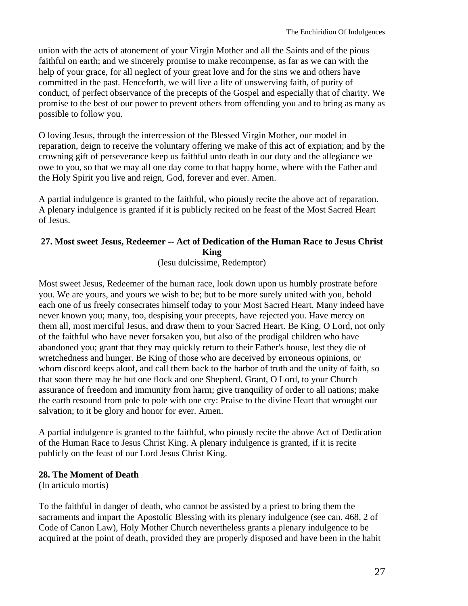union with the acts of atonement of your Virgin Mother and all the Saints and of the pious faithful on earth; and we sincerely promise to make recompense, as far as we can with the help of your grace, for all neglect of your great love and for the sins we and others have committed in the past. Henceforth, we will live a life of unswerving faith, of purity of conduct, of perfect observance of the precepts of the Gospel and especially that of charity. We promise to the best of our power to prevent others from offending you and to bring as many as possible to follow you.

O loving Jesus, through the intercession of the Blessed Virgin Mother, our model in reparation, deign to receive the voluntary offering we make of this act of expiation; and by the crowning gift of perseverance keep us faithful unto death in our duty and the allegiance we owe to you, so that we may all one day come to that happy home, where with the Father and the Holy Spirit you live and reign, God, forever and ever. Amen.

A partial indulgence is granted to the faithful, who piously recite the above act of reparation. A plenary indulgence is granted if it is publicly recited on he feast of the Most Sacred Heart of Jesus.

# **27. Most sweet Jesus, Redeemer -- Act of Dedication of the Human Race to Jesus Christ King**

(Iesu dulcissime, Redemptor)

Most sweet Jesus, Redeemer of the human race, look down upon us humbly prostrate before you. We are yours, and yours we wish to be; but to be more surely united with you, behold each one of us freely consecrates himself today to your Most Sacred Heart. Many indeed have never known you; many, too, despising your precepts, have rejected you. Have mercy on them all, most merciful Jesus, and draw them to your Sacred Heart. Be King, O Lord, not only of the faithful who have never forsaken you, but also of the prodigal children who have abandoned you; grant that they may quickly return to their Father's house, lest they die of wretchedness and hunger. Be King of those who are deceived by erroneous opinions, or whom discord keeps aloof, and call them back to the harbor of truth and the unity of faith, so that soon there may be but one flock and one Shepherd. Grant, O Lord, to your Church assurance of freedom and immunity from harm; give tranquility of order to all nations; make the earth resound from pole to pole with one cry: Praise to the divine Heart that wrought our salvation; to it be glory and honor for ever. Amen.

A partial indulgence is granted to the faithful, who piously recite the above Act of Dedication of the Human Race to Jesus Christ King. A plenary indulgence is granted, if it is recite publicly on the feast of our Lord Jesus Christ King.

#### **28. The Moment of Death**

(In articulo mortis)

To the faithful in danger of death, who cannot be assisted by a priest to bring them the sacraments and impart the Apostolic Blessing with its plenary indulgence (see can. 468, 2 of Code of Canon Law), Holy Mother Church nevertheless grants a plenary indulgence to be acquired at the point of death, provided they are properly disposed and have been in the habit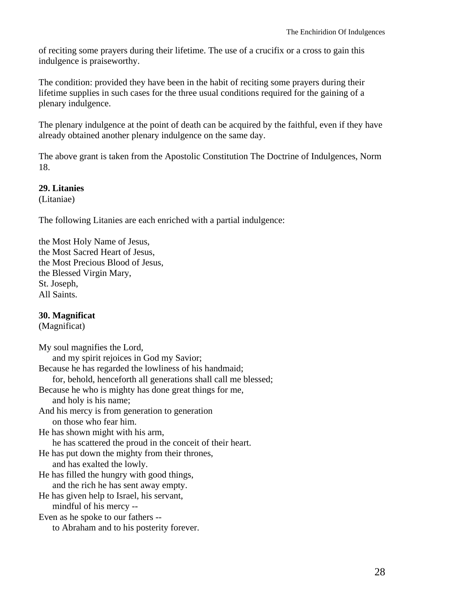of reciting some prayers during their lifetime. The use of a crucifix or a cross to gain this indulgence is praiseworthy.

The condition: provided they have been in the habit of reciting some prayers during their lifetime supplies in such cases for the three usual conditions required for the gaining of a plenary indulgence.

The plenary indulgence at the point of death can be acquired by the faithful, even if they have already obtained another plenary indulgence on the same day.

The above grant is taken from the Apostolic Constitution The Doctrine of Indulgences, Norm 18.

#### **29. Litanies**

(Litaniae)

The following Litanies are each enriched with a partial indulgence:

the Most Holy Name of Jesus, the Most Sacred Heart of Jesus, the Most Precious Blood of Jesus, the Blessed Virgin Mary, St. Joseph, All Saints.

# **30. Magnificat**

(Magnificat)

My soul magnifies the Lord, and my spirit rejoices in God my Savior; Because he has regarded the lowliness of his handmaid; for, behold, henceforth all generations shall call me blessed; Because he who is mighty has done great things for me, and holy is his name; And his mercy is from generation to generation on those who fear him. He has shown might with his arm, he has scattered the proud in the conceit of their heart. He has put down the mighty from their thrones, and has exalted the lowly. He has filled the hungry with good things, and the rich he has sent away empty. He has given help to Israel, his servant, mindful of his mercy -- Even as he spoke to our fathers - to Abraham and to his posterity forever.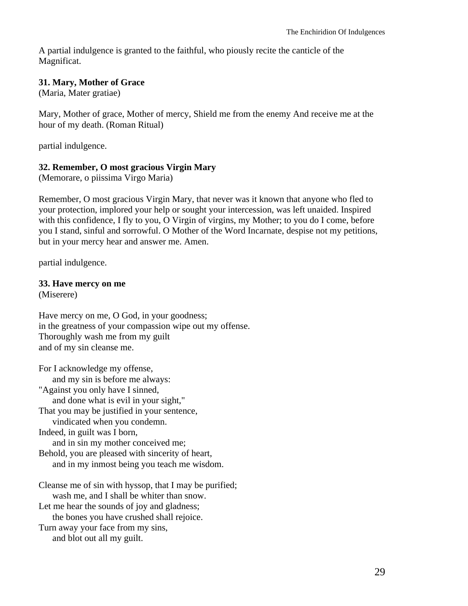A partial indulgence is granted to the faithful, who piously recite the canticle of the Magnificat.

## **31. Mary, Mother of Grace**

(Maria, Mater gratiae)

Mary, Mother of grace, Mother of mercy, Shield me from the enemy And receive me at the hour of my death. (Roman Ritual)

partial indulgence.

#### **32. Remember, O most gracious Virgin Mary**

(Memorare, o piissima Virgo Maria)

Remember, O most gracious Virgin Mary, that never was it known that anyone who fled to your protection, implored your help or sought your intercession, was left unaided. Inspired with this confidence, I fly to you, O Virgin of virgins, my Mother; to you do I come, before you I stand, sinful and sorrowful. O Mother of the Word Incarnate, despise not my petitions, but in your mercy hear and answer me. Amen.

partial indulgence.

#### **33. Have mercy on me** (Miserere)

Have mercy on me, O God, in your goodness; in the greatness of your compassion wipe out my offense. Thoroughly wash me from my guilt and of my sin cleanse me.

For I acknowledge my offense, and my sin is before me always: "Against you only have I sinned, and done what is evil in your sight," That you may be justified in your sentence, vindicated when you condemn. Indeed, in guilt was I born, and in sin my mother conceived me; Behold, you are pleased with sincerity of heart, and in my inmost being you teach me wisdom.

Cleanse me of sin with hyssop, that I may be purified; wash me, and I shall be whiter than snow. Let me hear the sounds of joy and gladness; the bones you have crushed shall rejoice. Turn away your face from my sins, and blot out all my guilt.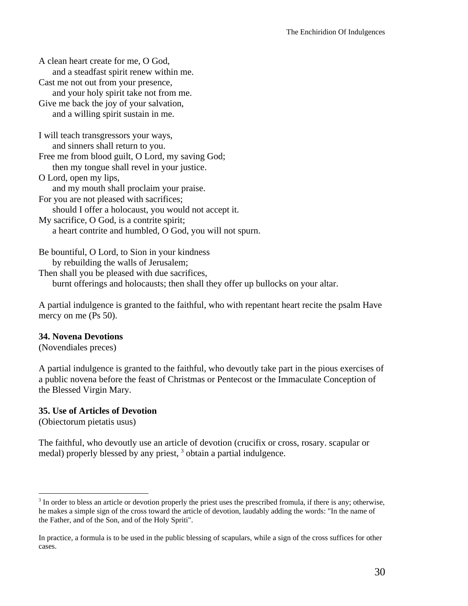A clean heart create for me, O God, and a steadfast spirit renew within me. Cast me not out from your presence, and your holy spirit take not from me. Give me back the joy of your salvation, and a willing spirit sustain in me. I will teach transgressors your ways,

and sinners shall return to you. Free me from blood guilt, O Lord, my saving God; then my tongue shall revel in your justice.

O Lord, open my lips, and my mouth shall proclaim your praise. For you are not pleased with sacrifices;

should I offer a holocaust, you would not accept it.

My sacrifice, O God, is a contrite spirit; a heart contrite and humbled, O God, you will not spurn.

Be bountiful, O Lord, to Sion in your kindness by rebuilding the walls of Jerusalem; Then shall you be pleased with due sacrifices,

burnt offerings and holocausts; then shall they offer up bullocks on your altar.

A partial indulgence is granted to the faithful, who with repentant heart recite the psalm Have mercy on me (Ps 50).

#### **34. Novena Devotions**

(Novendiales preces)

A partial indulgence is granted to the faithful, who devoutly take part in the pious exercises of a public novena before the feast of Christmas or Pentecost or the Immaculate Conception of the Blessed Virgin Mary.

#### **35. Use of Articles of Devotion**

(Obiectorum pietatis usus)

 $\overline{a}$ 

The faithful, who devoutly use an article of devotion (crucifix or cross, rosary. scapular or medal) properly blessed by any priest, <sup>3</sup> obtain a partial indulgence.

<sup>&</sup>lt;sup>3</sup> In order to bless an article or devotion properly the priest uses the prescribed fromula, if there is any; otherwise, he makes a simple sign of the cross toward the article of devotion, laudably adding the words: "In the name of the Father, and of the Son, and of the Holy Spriti".

In practice, a formula is to be used in the public blessing of scapulars, while a sign of the cross suffices for other cases.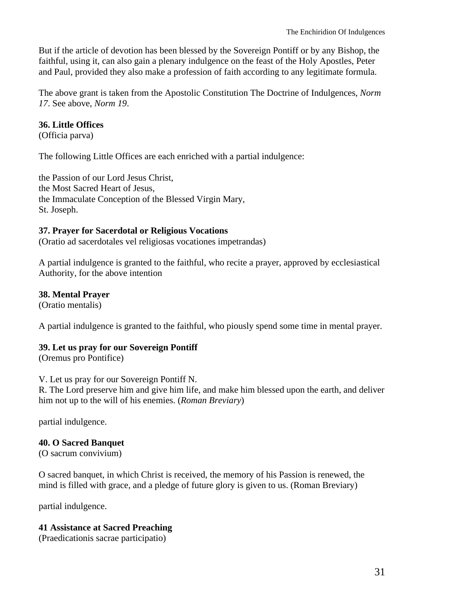But if the article of devotion has been blessed by the Sovereign Pontiff or by any Bishop, the faithful, using it, can also gain a plenary indulgence on the feast of the Holy Apostles, Peter and Paul, provided they also make a profession of faith according to any legitimate formula.

The above grant is taken from the Apostolic Constitution The Doctrine of Indulgences, *Norm 17*. See above, *Norm 19*.

#### **36. Little Offices**

(Officia parva)

The following Little Offices are each enriched with a partial indulgence:

the Passion of our Lord Jesus Christ, the Most Sacred Heart of Jesus, the Immaculate Conception of the Blessed Virgin Mary, St. Joseph.

#### **37. Prayer for Sacerdotal or Religious Vocations**

(Oratio ad sacerdotales vel religiosas vocationes impetrandas)

A partial indulgence is granted to the faithful, who recite a prayer, approved by ecclesiastical Authority, for the above intention

#### **38. Mental Prayer**

(Oratio mentalis)

A partial indulgence is granted to the faithful, who piously spend some time in mental prayer.

#### **39. Let us pray for our Sovereign Pontiff**

(Oremus pro Pontifice)

V. Let us pray for our Sovereign Pontiff N.

R. The Lord preserve him and give him life, and make him blessed upon the earth, and deliver him not up to the will of his enemies. (*Roman Breviary*)

partial indulgence.

#### **40. O Sacred Banquet**

(O sacrum convivium)

O sacred banquet, in which Christ is received, the memory of his Passion is renewed, the mind is filled with grace, and a pledge of future glory is given to us. (Roman Breviary)

partial indulgence.

#### **41 Assistance at Sacred Preaching**

(Praedicationis sacrae participatio)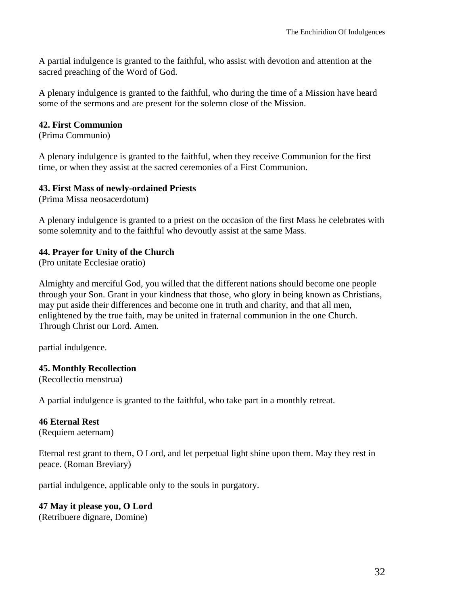A partial indulgence is granted to the faithful, who assist with devotion and attention at the sacred preaching of the Word of God.

A plenary indulgence is granted to the faithful, who during the time of a Mission have heard some of the sermons and are present for the solemn close of the Mission.

#### **42. First Communion**

(Prima Communio)

A plenary indulgence is granted to the faithful, when they receive Communion for the first time, or when they assist at the sacred ceremonies of a First Communion.

#### **43. First Mass of newly-ordained Priests**

(Prima Missa neosacerdotum)

A plenary indulgence is granted to a priest on the occasion of the first Mass he celebrates with some solemnity and to the faithful who devoutly assist at the same Mass.

#### **44. Prayer for Unity of the Church**

(Pro unitate Ecclesiae oratio)

Almighty and merciful God, you willed that the different nations should become one people through your Son. Grant in your kindness that those, who glory in being known as Christians, may put aside their differences and become one in truth and charity, and that all men, enlightened by the true faith, may be united in fraternal communion in the one Church. Through Christ our Lord. Amen.

partial indulgence.

#### **45. Monthly Recollection**

(Recollectio menstrua)

A partial indulgence is granted to the faithful, who take part in a monthly retreat.

#### **46 Eternal Rest**

(Requiem aeternam)

Eternal rest grant to them, O Lord, and let perpetual light shine upon them. May they rest in peace. (Roman Breviary)

partial indulgence, applicable only to the souls in purgatory.

#### **47 May it please you, O Lord**

(Retribuere dignare, Domine)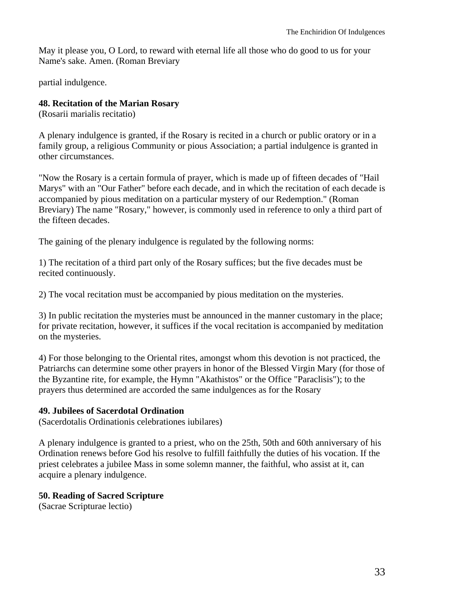May it please you, O Lord, to reward with eternal life all those who do good to us for your Name's sake. Amen. (Roman Breviary

partial indulgence.

# **48. Recitation of the Marian Rosary**

(Rosarii marialis recitatio)

A plenary indulgence is granted, if the Rosary is recited in a church or public oratory or in a family group, a religious Community or pious Association; a partial indulgence is granted in other circumstances.

"Now the Rosary is a certain formula of prayer, which is made up of fifteen decades of "Hail Marys" with an "Our Father" before each decade, and in which the recitation of each decade is accompanied by pious meditation on a particular mystery of our Redemption." (Roman Breviary) The name "Rosary," however, is commonly used in reference to only a third part of the fifteen decades.

The gaining of the plenary indulgence is regulated by the following norms:

1) The recitation of a third part only of the Rosary suffices; but the five decades must be recited continuously.

2) The vocal recitation must be accompanied by pious meditation on the mysteries.

3) In public recitation the mysteries must be announced in the manner customary in the place; for private recitation, however, it suffices if the vocal recitation is accompanied by meditation on the mysteries.

4) For those belonging to the Oriental rites, amongst whom this devotion is not practiced, the Patriarchs can determine some other prayers in honor of the Blessed Virgin Mary (for those of the Byzantine rite, for example, the Hymn "Akathistos" or the Office "Paraclisis"); to the prayers thus determined are accorded the same indulgences as for the Rosary

#### **49. Jubilees of Sacerdotal Ordination**

(Sacerdotalis Ordinationis celebrationes iubilares)

A plenary indulgence is granted to a priest, who on the 25th, 50th and 60th anniversary of his Ordination renews before God his resolve to fulfill faithfully the duties of his vocation. If the priest celebrates a jubilee Mass in some solemn manner, the faithful, who assist at it, can acquire a plenary indulgence.

#### **50. Reading of Sacred Scripture**

(Sacrae Scripturae lectio)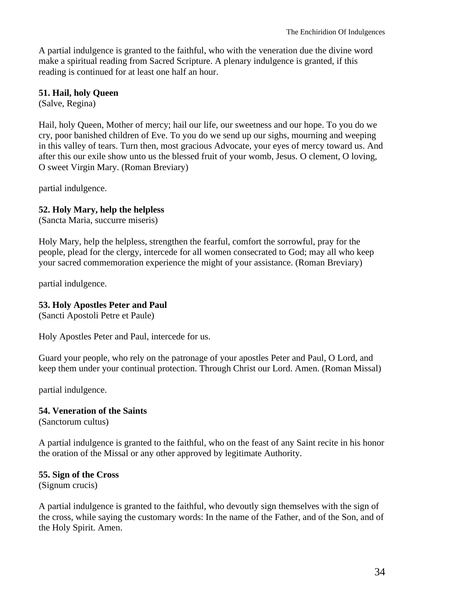A partial indulgence is granted to the faithful, who with the veneration due the divine word make a spiritual reading from Sacred Scripture. A plenary indulgence is granted, if this reading is continued for at least one half an hour.

# **51. Hail, holy Queen**

(Salve, Regina)

Hail, holy Queen, Mother of mercy; hail our life, our sweetness and our hope. To you do we cry, poor banished children of Eve. To you do we send up our sighs, mourning and weeping in this valley of tears. Turn then, most gracious Advocate, your eyes of mercy toward us. And after this our exile show unto us the blessed fruit of your womb, Jesus. O clement, O loving, O sweet Virgin Mary. (Roman Breviary)

partial indulgence.

## **52. Holy Mary, help the helpless**

(Sancta Maria, succurre miseris)

Holy Mary, help the helpless, strengthen the fearful, comfort the sorrowful, pray for the people, plead for the clergy, intercede for all women consecrated to God; may all who keep your sacred commemoration experience the might of your assistance. (Roman Breviary)

partial indulgence.

# **53. Holy Apostles Peter and Paul**

(Sancti Apostoli Petre et Paule)

Holy Apostles Peter and Paul, intercede for us.

Guard your people, who rely on the patronage of your apostles Peter and Paul, O Lord, and keep them under your continual protection. Through Christ our Lord. Amen. (Roman Missal)

partial indulgence.

#### **54. Veneration of the Saints**

(Sanctorum cultus)

A partial indulgence is granted to the faithful, who on the feast of any Saint recite in his honor the oration of the Missal or any other approved by legitimate Authority.

# **55. Sign of the Cross**

(Signum crucis)

A partial indulgence is granted to the faithful, who devoutly sign themselves with the sign of the cross, while saying the customary words: In the name of the Father, and of the Son, and of the Holy Spirit. Amen.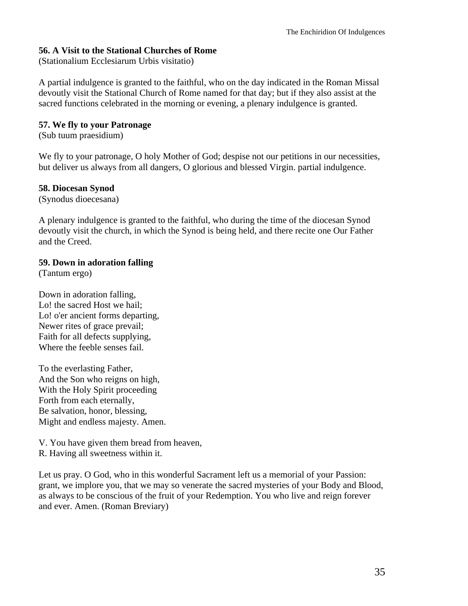## **56. A Visit to the Stational Churches of Rome**

(Stationalium Ecclesiarum Urbis visitatio)

A partial indulgence is granted to the faithful, who on the day indicated in the Roman Missal devoutly visit the Stational Church of Rome named for that day; but if they also assist at the sacred functions celebrated in the morning or evening, a plenary indulgence is granted.

#### **57. We fly to your Patronage**

(Sub tuum praesidium)

We fly to your patronage, O holy Mother of God; despise not our petitions in our necessities, but deliver us always from all dangers, O glorious and blessed Virgin. partial indulgence.

#### **58. Diocesan Synod**

(Synodus dioecesana)

A plenary indulgence is granted to the faithful, who during the time of the diocesan Synod devoutly visit the church, in which the Synod is being held, and there recite one Our Father and the Creed.

## **59. Down in adoration falling**

(Tantum ergo)

Down in adoration falling, Lo! the sacred Host we hail; Lo! o'er ancient forms departing, Newer rites of grace prevail; Faith for all defects supplying, Where the feeble senses fail.

To the everlasting Father, And the Son who reigns on high, With the Holy Spirit proceeding Forth from each eternally, Be salvation, honor, blessing, Might and endless majesty. Amen.

V. You have given them bread from heaven, R. Having all sweetness within it.

Let us pray. O God, who in this wonderful Sacrament left us a memorial of your Passion: grant, we implore you, that we may so venerate the sacred mysteries of your Body and Blood, as always to be conscious of the fruit of your Redemption. You who live and reign forever and ever. Amen. (Roman Breviary)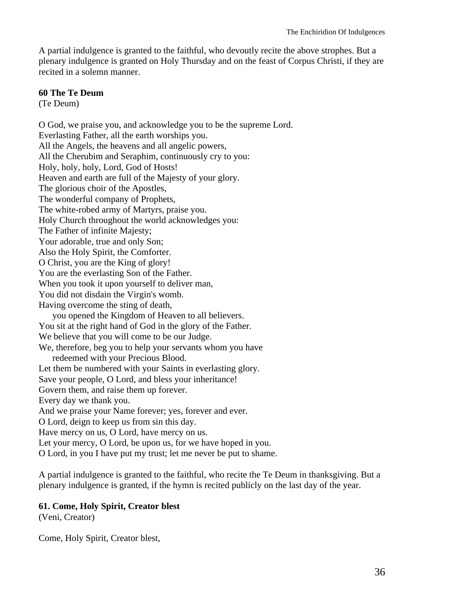A partial indulgence is granted to the faithful, who devoutly recite the above strophes. But a plenary indulgence is granted on Holy Thursday and on the feast of Corpus Christi, if they are recited in a solemn manner.

#### **60 The Te Deum**

(Te Deum)

O God, we praise you, and acknowledge you to be the supreme Lord. Everlasting Father, all the earth worships you. All the Angels, the heavens and all angelic powers, All the Cherubim and Seraphim, continuously cry to you: Holy, holy, holy, Lord, God of Hosts! Heaven and earth are full of the Majesty of your glory. The glorious choir of the Apostles, The wonderful company of Prophets, The white-robed army of Martyrs, praise you. Holy Church throughout the world acknowledges you: The Father of infinite Majesty; Your adorable, true and only Son; Also the Holy Spirit, the Comforter. O Christ, you are the King of glory! You are the everlasting Son of the Father. When you took it upon yourself to deliver man, You did not disdain the Virgin's womb. Having overcome the sting of death, you opened the Kingdom of Heaven to all believers. You sit at the right hand of God in the glory of the Father. We believe that you will come to be our Judge. We, therefore, beg you to help your servants whom you have redeemed with your Precious Blood. Let them be numbered with your Saints in everlasting glory. Save your people, O Lord, and bless your inheritance! Govern them, and raise them up forever. Every day we thank you. And we praise your Name forever; yes, forever and ever. O Lord, deign to keep us from sin this day. Have mercy on us, O Lord, have mercy on us. Let your mercy, O Lord, be upon us, for we have hoped in you. O Lord, in you I have put my trust; let me never be put to shame.

A partial indulgence is granted to the faithful, who recite the Te Deum in thanksgiving. But a plenary indulgence is granted, if the hymn is recited publicly on the last day of the year.

#### **61. Come, Holy Spirit, Creator blest**

(Veni, Creator)

Come, Holy Spirit, Creator blest,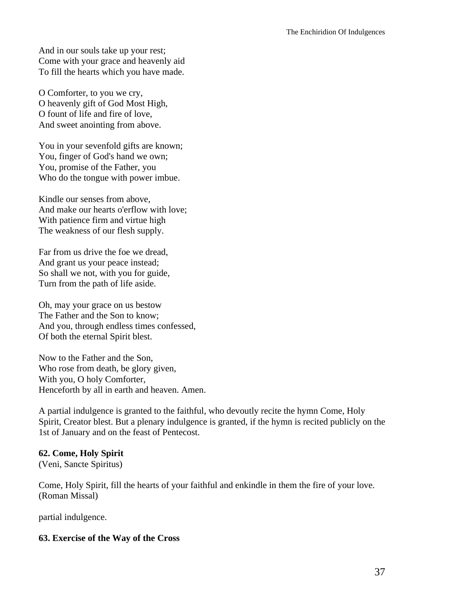And in our souls take up your rest; Come with your grace and heavenly aid To fill the hearts which you have made.

O Comforter, to you we cry, O heavenly gift of God Most High, O fount of life and fire of love, And sweet anointing from above.

You in your sevenfold gifts are known; You, finger of God's hand we own; You, promise of the Father, you Who do the tongue with power imbue.

Kindle our senses from above, And make our hearts o'erflow with love; With patience firm and virtue high The weakness of our flesh supply.

Far from us drive the foe we dread, And grant us your peace instead; So shall we not, with you for guide, Turn from the path of life aside.

Oh, may your grace on us bestow The Father and the Son to know; And you, through endless times confessed, Of both the eternal Spirit blest.

Now to the Father and the Son, Who rose from death, be glory given, With you, O holy Comforter, Henceforth by all in earth and heaven. Amen.

A partial indulgence is granted to the faithful, who devoutly recite the hymn Come, Holy Spirit, Creator blest. But a plenary indulgence is granted, if the hymn is recited publicly on the 1st of January and on the feast of Pentecost.

### **62. Come, Holy Spirit**

(Veni, Sancte Spiritus)

Come, Holy Spirit, fill the hearts of your faithful and enkindle in them the fire of your love. (Roman Missal)

partial indulgence.

#### **63. Exercise of the Way of the Cross**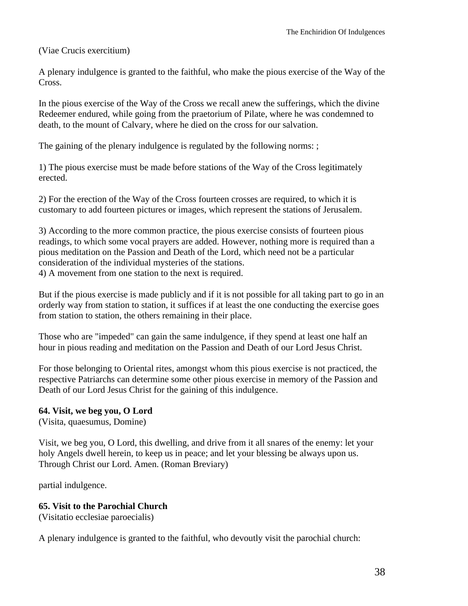(Viae Crucis exercitium)

A plenary indulgence is granted to the faithful, who make the pious exercise of the Way of the Cross.

In the pious exercise of the Way of the Cross we recall anew the sufferings, which the divine Redeemer endured, while going from the praetorium of Pilate, where he was condemned to death, to the mount of Calvary, where he died on the cross for our salvation.

The gaining of the plenary indulgence is regulated by the following norms: ;

1) The pious exercise must be made before stations of the Way of the Cross legitimately erected.

2) For the erection of the Way of the Cross fourteen crosses are required, to which it is customary to add fourteen pictures or images, which represent the stations of Jerusalem.

3) According to the more common practice, the pious exercise consists of fourteen pious readings, to which some vocal prayers are added. However, nothing more is required than a pious meditation on the Passion and Death of the Lord, which need not be a particular consideration of the individual mysteries of the stations. 4) A movement from one station to the next is required.

But if the pious exercise is made publicly and if it is not possible for all taking part to go in an orderly way from station to station, it suffices if at least the one conducting the exercise goes from station to station, the others remaining in their place.

Those who are "impeded" can gain the same indulgence, if they spend at least one half an hour in pious reading and meditation on the Passion and Death of our Lord Jesus Christ.

For those belonging to Oriental rites, amongst whom this pious exercise is not practiced, the respective Patriarchs can determine some other pious exercise in memory of the Passion and Death of our Lord Jesus Christ for the gaining of this indulgence.

### **64. Visit, we beg you, O Lord**

(Visita, quaesumus, Domine)

Visit, we beg you, O Lord, this dwelling, and drive from it all snares of the enemy: let your holy Angels dwell herein, to keep us in peace; and let your blessing be always upon us. Through Christ our Lord. Amen. (Roman Breviary)

partial indulgence.

### **65. Visit to the Parochial Church**

(Visitatio ecclesiae paroecialis)

A plenary indulgence is granted to the faithful, who devoutly visit the parochial church: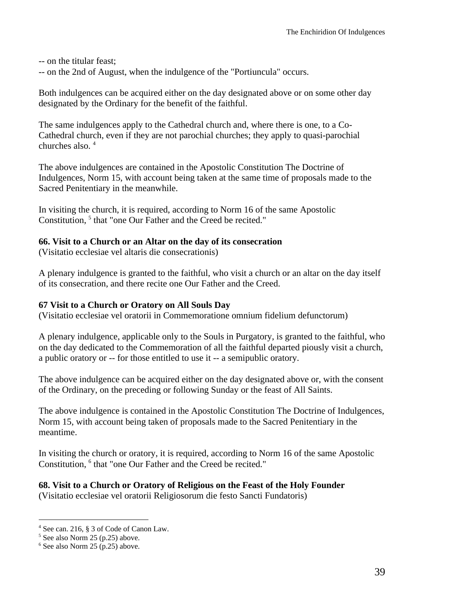-- on the titular feast;

-- on the 2nd of August, when the indulgence of the "Portiuncula" occurs.

Both indulgences can be acquired either on the day designated above or on some other day designated by the Ordinary for the benefit of the faithful.

The same indulgences apply to the Cathedral church and, where there is one, to a Co-Cathedral church, even if they are not parochial churches; they apply to quasi-parochial churches also. <sup>4</sup>

The above indulgences are contained in the Apostolic Constitution The Doctrine of Indulgences, Norm 15, with account being taken at the same time of proposals made to the Sacred Penitentiary in the meanwhile.

In visiting the church, it is required, according to Norm 16 of the same Apostolic Constitution,<sup>5</sup> that "one Our Father and the Creed be recited."

### **66. Visit to a Church or an Altar on the day of its consecration**

(Visitatio ecclesiae vel altaris die consecrationis)

A plenary indulgence is granted to the faithful, who visit a church or an altar on the day itself of its consecration, and there recite one Our Father and the Creed.

### **67 Visit to a Church or Oratory on All Souls Day**

(Visitatio ecclesiae vel oratorii in Commemoratione omnium fidelium defunctorum)

A plenary indulgence, applicable only to the Souls in Purgatory, is granted to the faithful, who on the day dedicated to the Commemoration of all the faithful departed piously visit a church, a public oratory or -- for those entitled to use it -- a semipublic oratory.

The above indulgence can be acquired either on the day designated above or, with the consent of the Ordinary, on the preceding or following Sunday or the feast of All Saints.

The above indulgence is contained in the Apostolic Constitution The Doctrine of Indulgences, Norm 15, with account being taken of proposals made to the Sacred Penitentiary in the meantime.

In visiting the church or oratory, it is required, according to Norm 16 of the same Apostolic Constitution, <sup>6</sup> that "one Our Father and the Creed be recited."

**68. Visit to a Church or Oratory of Religious on the Feast of the Holy Founder** (Visitatio ecclesiae vel oratorii Religiosorum die festo Sancti Fundatoris)

 $\overline{a}$ 

<sup>4</sup> See can. 216, § 3 of Code of Canon Law.

<sup>&</sup>lt;sup>5</sup> See also Norm 25 (p.25) above.

<sup>6</sup> See also Norm 25 (p.25) above.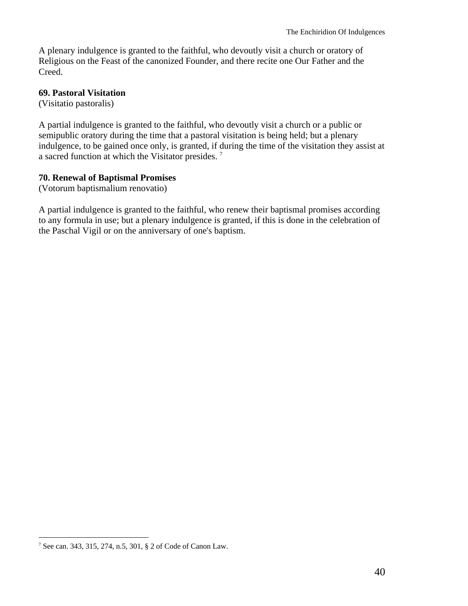A plenary indulgence is granted to the faithful, who devoutly visit a church or oratory of Religious on the Feast of the canonized Founder, and there recite one Our Father and the Creed.

### **69. Pastoral Visitation**

(Visitatio pastoralis)

A partial indulgence is granted to the faithful, who devoutly visit a church or a public or semipublic oratory during the time that a pastoral visitation is being held; but a plenary indulgence, to be gained once only, is granted, if during the time of the visitation they assist at a sacred function at which the Visitator presides. <sup>7</sup>

### **70. Renewal of Baptismal Promises**

(Votorum baptismalium renovatio)

A partial indulgence is granted to the faithful, who renew their baptismal promises according to any formula in use; but a plenary indulgence is granted, if this is done in the celebration of the Paschal Vigil or on the anniversary of one's baptism.

 $\overline{a}$ 

<sup>7</sup> See can. 343, 315, 274, n.5, 301, § 2 of Code of Canon Law.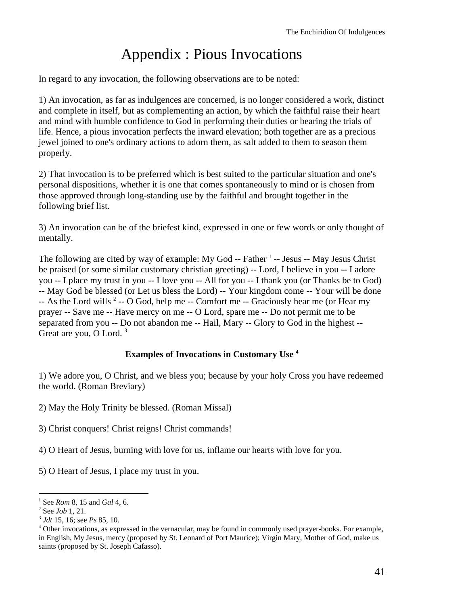# Appendix : Pious Invocations

In regard to any invocation, the following observations are to be noted:

1) An invocation, as far as indulgences are concerned, is no longer considered a work, distinct and complete in itself, but as complementing an action, by which the faithful raise their heart and mind with humble confidence to God in performing their duties or bearing the trials of life. Hence, a pious invocation perfects the inward elevation; both together are as a precious jewel joined to one's ordinary actions to adorn them, as salt added to them to season them properly.

2) That invocation is to be preferred which is best suited to the particular situation and one's personal dispositions, whether it is one that comes spontaneously to mind or is chosen from those approved through long-standing use by the faithful and brought together in the following brief list.

3) An invocation can be of the briefest kind, expressed in one or few words or only thought of mentally.

The following are cited by way of example: My God -- Father <sup>1</sup> -- Jesus -- May Jesus Christ be praised (or some similar customary christian greeting) -- Lord, I believe in you -- I adore you -- I place my trust in you -- I love you -- All for you -- I thank you (or Thanks be to God) -- May God be blessed (or Let us bless the Lord) -- Your kingdom come -- Your will be done  $-$  As the Lord wills  $2 - O$  God, help me  $-$  Comfort me  $-$  Graciously hear me (or Hear my prayer -- Save me -- Have mercy on me -- O Lord, spare me -- Do not permit me to be separated from you -- Do not abandon me -- Hail, Mary -- Glory to God in the highest -- Great are you, O Lord. <sup>3</sup>

### **Examples of Invocations in Customary Use <sup>4</sup>**

1) We adore you, O Christ, and we bless you; because by your holy Cross you have redeemed the world. (Roman Breviary)

2) May the Holy Trinity be blessed. (Roman Missal)

3) Christ conquers! Christ reigns! Christ commands!

4) O Heart of Jesus, burning with love for us, inflame our hearts with love for you.

5) O Heart of Jesus, I place my trust in you.

 $\overline{a}$ 1 See *Rom* 8, 15 and *Gal* 4, 6.

<sup>2</sup> See *Job* 1, 21.

<sup>3</sup> *Jdt* 15, 16; see *Ps* 85, 10.

<sup>&</sup>lt;sup>4</sup> Other invocations, as expressed in the vernacular, may be found in commonly used prayer-books. For example, in English, My Jesus, mercy (proposed by St. Leonard of Port Maurice); Virgin Mary, Mother of God, make us saints (proposed by St. Joseph Cafasso).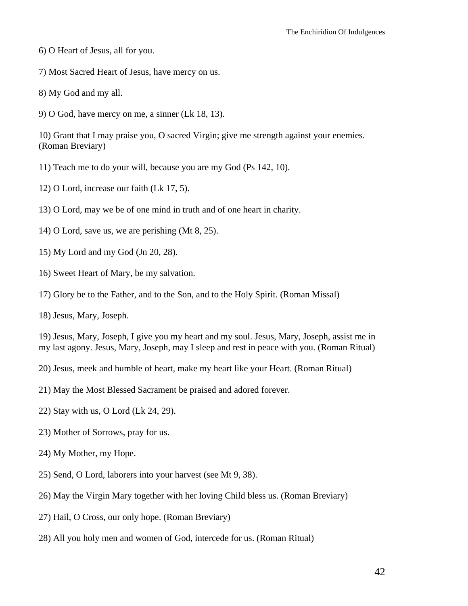- 6) O Heart of Jesus, all for you.
- 7) Most Sacred Heart of Jesus, have mercy on us.
- 8) My God and my all.
- 9) O God, have mercy on me, a sinner (Lk 18, 13).

10) Grant that I may praise you, O sacred Virgin; give me strength against your enemies. (Roman Breviary)

- 11) Teach me to do your will, because you are my God (Ps 142, 10).
- 12) O Lord, increase our faith (Lk 17, 5).
- 13) O Lord, may we be of one mind in truth and of one heart in charity.
- 14) O Lord, save us, we are perishing (Mt 8, 25).
- 15) My Lord and my God (Jn 20, 28).
- 16) Sweet Heart of Mary, be my salvation.
- 17) Glory be to the Father, and to the Son, and to the Holy Spirit. (Roman Missal)
- 18) Jesus, Mary, Joseph.

19) Jesus, Mary, Joseph, I give you my heart and my soul. Jesus, Mary, Joseph, assist me in my last agony. Jesus, Mary, Joseph, may I sleep and rest in peace with you. (Roman Ritual)

- 20) Jesus, meek and humble of heart, make my heart like your Heart. (Roman Ritual)
- 21) May the Most Blessed Sacrament be praised and adored forever.
- 22) Stay with us, O Lord (Lk 24, 29).
- 23) Mother of Sorrows, pray for us.
- 24) My Mother, my Hope.
- 25) Send, O Lord, laborers into your harvest (see Mt 9, 38).
- 26) May the Virgin Mary together with her loving Child bless us. (Roman Breviary)
- 27) Hail, O Cross, our only hope. (Roman Breviary)
- 28) All you holy men and women of God, intercede for us. (Roman Ritual)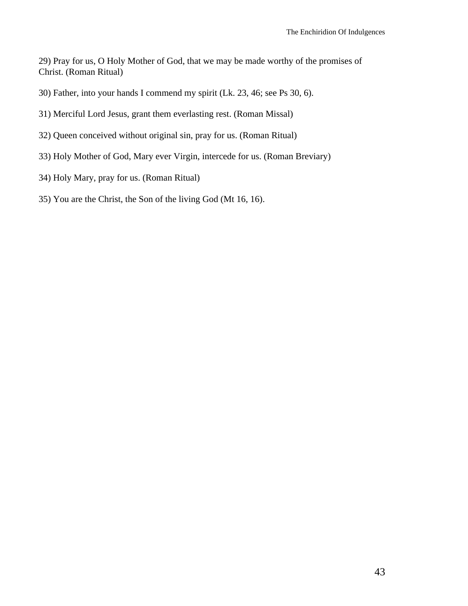29) Pray for us, O Holy Mother of God, that we may be made worthy of the promises of Christ. (Roman Ritual)

- 30) Father, into your hands I commend my spirit (Lk. 23, 46; see Ps 30, 6).
- 31) Merciful Lord Jesus, grant them everlasting rest. (Roman Missal)
- 32) Queen conceived without original sin, pray for us. (Roman Ritual)
- 33) Holy Mother of God, Mary ever Virgin, intercede for us. (Roman Breviary)
- 34) Holy Mary, pray for us. (Roman Ritual)
- 35) You are the Christ, the Son of the living God (Mt 16, 16).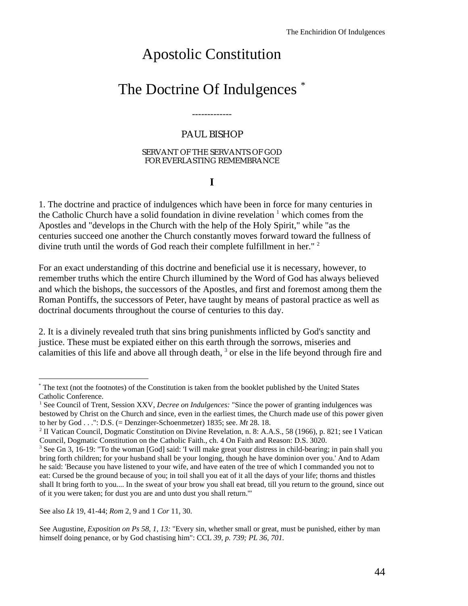## Apostolic Constitution

## The Doctrine Of Indulgences \*

### PAUL BISHOP

-------------

#### SERVANT OF THE SERVANTS OF GOD FOR EVERLASTING REMEMBRANCE

### **I**

1. The doctrine and practice of indulgences which have been in force for many centuries in the Catholic Church have a solid foundation in divine revelation  $\frac{1}{1}$  which comes from the Apostles and "develops in the Church with the help of the Holy Spirit," while "as the centuries succeed one another the Church constantly moves forward toward the fullness of divine truth until the words of God reach their complete fulfillment in her." <sup>2</sup>

For an exact understanding of this doctrine and beneficial use it is necessary, however, to remember truths which the entire Church illumined by the Word of God has always believed and which the bishops, the successors of the Apostles, and first and foremost among them the Roman Pontiffs, the successors of Peter, have taught by means of pastoral practice as well as doctrinal documents throughout the course of centuries to this day.

2. It is a divinely revealed truth that sins bring punishments inflicted by God's sanctity and justice. These must be expiated either on this earth through the sorrows, miseries and calamities of this life and above all through death,  $3$  or else in the life beyond through fire and

See also *Lk* 19, 41-44; *Rom* 2, 9 and 1 *Cor* 11, 30.

 $\overline{a}$ 

See Augustine, *Exposition on Ps 58, 1, 13:* "Every sin, whether small or great, must be punished, either by man himself doing penance, or by God chastising him": CCL *39, p. 739; PL 36, 701.*

<sup>\*</sup> The text (not the footnotes) of the Constitution is taken from the booklet published by the United States Catholic Conference.

<sup>&</sup>lt;sup>1</sup> See Council of Trent, Session XXV, *Decree on Indulgences:* "Since the power of granting indulgences was bestowed by Christ on the Church and since, even in the earliest times, the Church made use of this power given to her by God . . .": D.S. (= Denzinger-Schoenmetzer) 1835; see. *Mt* 28. 18.

<sup>&</sup>lt;sup>2</sup> II Vatican Council, Dogmatic Constitution on Divine Revelation, n. 8: A.A.S., 58 (1966), p. 821; see I Vatican Council, Dogmatic Constitution on the Catholic Faith., ch. 4 On Faith and Reason: D.S. 3020.

<sup>&</sup>lt;sup>3</sup> See Gn 3, 16-19: "To the woman [God] said: 'I will make great your distress in child-bearing; in pain shall you bring forth children; for your husband shall be your longing, though he have dominion over you.' And to Adam he said: 'Because you have listened to your wife, and have eaten of the tree of which I commanded you not to eat: Cursed be the ground because of you; in toil shall you eat of it all the days of your life; thorns and thistles shall It bring forth to you.... In the sweat of your brow you shall eat bread, till you return to the ground, since out of it you were taken; for dust you are and unto dust you shall return.'"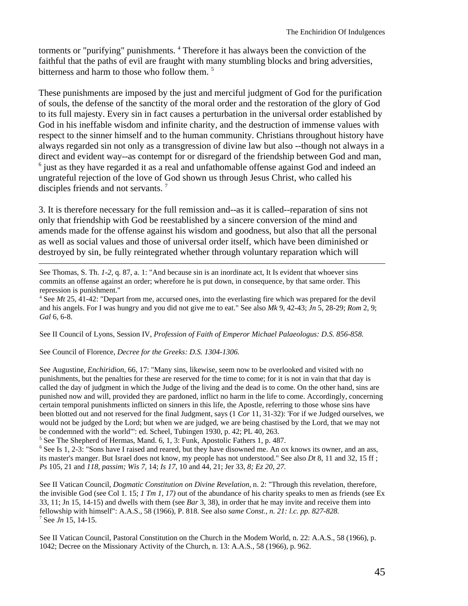torments or "purifying" punishments. <sup>4</sup> Therefore it has always been the conviction of the faithful that the paths of evil are fraught with many stumbling blocks and bring adversities, bitterness and harm to those who follow them.<sup>5</sup>

These punishments are imposed by the just and merciful judgment of God for the purification of souls, the defense of the sanctity of the moral order and the restoration of the glory of God to its full majesty. Every sin in fact causes a perturbation in the universal order established by God in his ineffable wisdom and infinite charity, and the destruction of immense values with respect to the sinner himself and to the human community. Christians throughout history have always regarded sin not only as a transgression of divine law but also --though not always in a direct and evident way--as contempt for or disregard of the friendship between God and man, <sup>6</sup> just as they have regarded it as a real and unfathomable offense against God and indeed an ungrateful rejection of the love of God shown us through Jesus Christ, who called his disciples friends and not servants.<sup>7</sup>

3. It is therefore necessary for the full remission and--as it is called--reparation of sins not only that friendship with God be reestablished by a sincere conversion of the mind and amends made for the offense against his wisdom and goodness, but also that all the personal as well as social values and those of universal order itself, which have been diminished or destroyed by sin, be fully reintegrated whether through voluntary reparation which will

See II Council of Lyons, Session IV, *Profession of Faith of Emperor Michael Palaeologus: D.S. 856-858.*

See Council of Florence, *Decree for the Greeks: D.S. 1304-1306.*

 $\overline{a}$ 

See Augustine, *Enchiridion*, 66, 17: "Many sins, likewise, seem now to be overlooked and visited with no punishments, but the penalties for these are reserved for the time to come; for it is not in vain that that day is called the day of judgment in which the Judge of the living and the dead is to come. On the other hand, sins are punished now and will, provided they are pardoned, inflict no harm in the life to come. Accordingly, concerning certain temporal punishments inflicted on sinners in this life, the Apostle, referring to those whose sins have been blotted out and not reserved for the final Judgment, says (1 *Cor* 11, 31-32): 'For if we Judged ourselves, we would not be judged by the Lord; but when we are judged, we are being chastised by the Lord, that we may not be condemned with the world"': ed. Scheel, Tubingen 1930, p. 42; PL 40, 263.

<sup>5</sup> See The Shepherd of Hermas, Mand. 6, 1, 3: Funk, Apostolic Fathers 1, p. 487.

<sup>6</sup> See Is 1, 2-3: "Sons have I raised and reared, but they have disowned me. An ox knows its owner, and an ass, its master's manger. But Israel does not know, my people has not understood." See also *Dt* 8, 11 and 32, 15 ff ; *Ps* 105, 21 and *118, passim; Wis 7,* 14; *Is 17,* 10 and 44, 21; Jer 33, *8; Ez 20, 27.*

See II Vatican Council, *Dogmatic Constitution on Divine Revelation,* n. 2: "Through this revelation, therefore, the invisible God (see Col 1. 15; *1 Tm 1, 17)* out of the abundance of his charity speaks to men as friends (see Ex 33, 11; Jn 15, 14-15) and dwells with them (see *Bar* 3, 38), in order that he may invite and receive them into fellowship with himself": A.A.S., 58 (1966), P. 818. See also *same Const., n. 21: l.c. pp. 827-828.* 7 See *Jn* 15, 14-15.

See II Vatican Council, Pastoral Constitution on the Church in the Modem World, n. 22: A.A.S., 58 (1966), p. 1042; Decree on the Missionary Activity of the Church, n. 13: A.A.S., 58 (1966), p. 962.

See Thomas, S. Th. *1-2*, q. 87, a. 1: "And because sin is an inordinate act, It Is evident that whoever sins commits an offense against an order; wherefore he is put down, in consequence, by that same order. This repression is punishment."

<sup>4</sup> See *Mt* 25, 41-42: "Depart from me, accursed ones, into the everlasting fire which was prepared for the devil and his angels. For I was hungry and you did not give me to eat." See also *Mk* 9, 42-43; *Jn* 5, 28-29; *Rom* 2, 9; *Gal* 6, 6-8.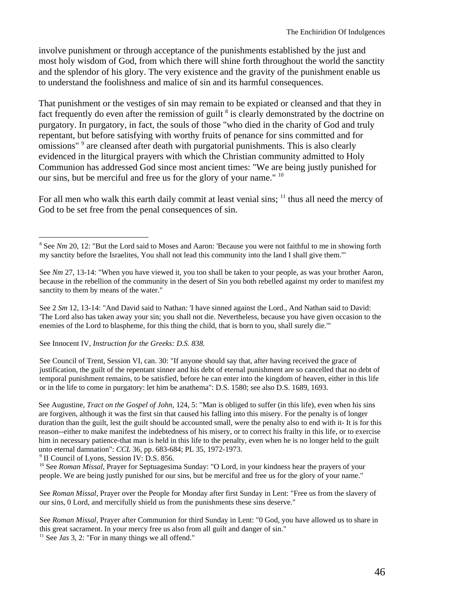involve punishment or through acceptance of the punishments established by the just and most holy wisdom of God, from which there will shine forth throughout the world the sanctity and the splendor of his glory. The very existence and the gravity of the punishment enable us to understand the foolishness and malice of sin and its harmful consequences.

That punishment or the vestiges of sin may remain to be expiated or cleansed and that they in fact frequently do even after the remission of guilt <sup>8</sup> is clearly demonstrated by the doctrine on purgatory. In purgatory, in fact, the souls of those "who died in the charity of God and truly repentant, but before satisfying with worthy fruits of penance for sins committed and for omissions"<sup>9</sup> are cleansed after death with purgatorial punishments. This is also clearly evidenced in the liturgical prayers with which the Christian community admitted to Holy Communion has addressed God since most ancient times: "We are being justly punished for our sins, but be merciful and free us for the glory of your name." <sup>10</sup>

For all men who walk this earth daily commit at least venial sins; <sup>11</sup> thus all need the mercy of God to be set free from the penal consequences of sin.

See 2 *Sm* 12, 13-14: "And David said to Nathan: 'I have sinned against the Lord., And Nathan said to David: 'The Lord also has taken away your sin; you shall not die. Nevertheless, because you have given occasion to the enemies of the Lord to blaspheme, for this thing the child, that is born to you, shall surely die.'"

See Innocent IV, *Instruction for the Greeks: D.S. 838.*

See Council of Trent, Session VI, can. 30: "If anyone should say that, after having received the grace of justification, the guilt of the repentant sinner and his debt of eternal punishment are so cancelled that no debt of temporal punishment remains, to be satisfied, before he can enter into the kingdom of heaven, either in this life or in the life to come in purgatory: let him be anathema": D.S. 1580; see also D.S. 1689, 1693.

See Augustine, *Tract on the Gospel of John*, 124, 5: "Man is obliged to suffer (in this life), even when his sins are forgiven, although it was the first sin that caused his falling into this misery. For the penalty is of longer duration than the guilt, lest the guilt should be accounted small, were the penalty also to end with it- It is for this reason--either to make manifest the indebtedness of his misery, or to correct his frailty in this life, or to exercise him in necessary patience-that man is held in this life to the penalty, even when he is no longer held to the guilt unto eternal damnation": *CCL* 36, pp. 683-684; PL 35, 1972-1973.

<sup>9</sup> II Council of Lyons, Session IV: D.S. 856.

<sup>10</sup> See *Roman Missal*, Prayer for Septuagesima Sunday: "O Lord, in your kindness hear the prayers of your people. We are being justly punished for our sins, but be merciful and free us for the glory of your name."

See *Roman Missal,* Prayer over the People for Monday after first Sunday in Lent: "Free us from the slavery of our sins, 0 Lord, and mercifully shield us from the punishments these sins deserve."

See *Roman Missal,* Prayer after Communion for third Sunday in Lent: "0 God, you have allowed us to share in this great sacrament. In your mercy free us also from all guilt and danger of sin."  $11$  See *Jas* 3, 2: "For in many things we all offend."

 $\overline{a}$ <sup>8</sup> See *Nm* 20, 12: "But the Lord said to Moses and Aaron: 'Because you were not faithful to me in showing forth my sanctity before the Israelites, You shall not lead this community into the land I shall give them.'"

See *Nm* 27, 13-14: "When you have viewed it, you too shall be taken to your people, as was your brother Aaron, because in the rebellion of the community in the desert of Sin you both rebelled against my order to manifest my sanctity to them by means of the water."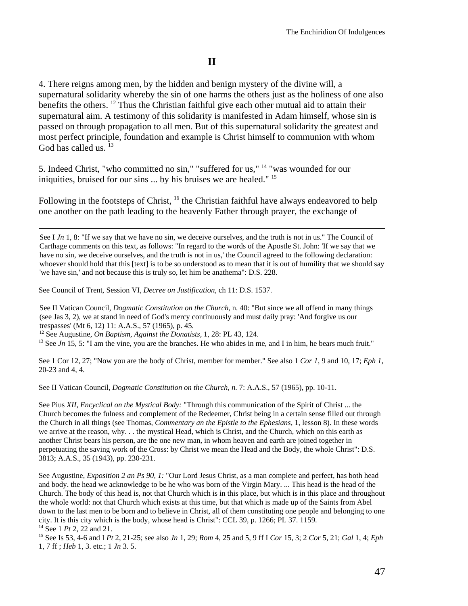### **II**

4. There reigns among men, by the hidden and benign mystery of the divine will, a supernatural solidarity whereby the sin of one harms the others just as the holiness of one also benefits the others. <sup>12</sup> Thus the Christian faithful give each other mutual aid to attain their supernatural aim. A testimony of this solidarity is manifested in Adam himself, whose sin is passed on through propagation to all men. But of this supernatural solidarity the greatest and most perfect principle, foundation and example is Christ himself to communion with whom God has called us. <sup>13</sup>

5. Indeed Christ, "who committed no sin," "suffered for us," <sup>14</sup> "was wounded for our iniquities, bruised for our sins ... by his bruises we are healed." <sup>15</sup>

Following in the footsteps of Christ, <sup>16</sup> the Christian faithful have always endeavored to help one another on the path leading to the heavenly Father through prayer, the exchange of

See I *Jn* 1, 8: "If we say that we have no sin, we deceive ourselves, and the truth is not in us." The Council of Carthage comments on this text, as follows: "In regard to the words of the Apostle St. John: 'If we say that we have no sin, we deceive ourselves, and the truth is not in us,' the Council agreed to the following declaration: whoever should hold that this [text] is to be so understood as to mean that it is out of humility that we should say 'we have sin,' and not because this is truly so, let him be anathema": D.S. 228.

See Council of Trent, Session VI, *Decree on Justification,* ch 11: D.S. 1537.

 $\overline{a}$ 

See II Vatican Council, *Dogmatic Constitution on the Church,* n. 40: "But since we all offend in many things (see Jas 3, 2), we at stand in need of God's mercy continuously and must daily pray: 'And forgive us our trespasses' (Mt 6, 12) 11: A.A.S., 57 (1965), p. 45.

<sup>12</sup> See Augustine, *On Baptism, Against the Donatists,* 1, 28: PL 43, 124.

 $13$  See *Jn* 15, 5: "I am the vine, you are the branches. He who abides in me, and I in him, he bears much fruit."

See 1 Cor 12, 27; "Now you are the body of Christ, member for member." See also 1 *Cor 1,* 9 and 10, 17; *Eph 1,* 20-23 and 4, 4.

See II Vatican Council, *Dogmatic Constitution on the Church, n.* 7: A.A.S., 57 (1965), pp. 10-11.

See Pius *XII, Encyclical on the Mystical Body:* "Through this communication of the Spirit of Christ ... the Church becomes the fulness and complement of the Redeemer, Christ being in a certain sense filled out through the Church in all things (see Thomas, *Commentary an the Epistle to the Ephesians,* 1, lesson 8). In these words we arrive at the reason, why. . . the mystical Head, which is Christ, and the Church, which on this earth as another Christ bears his person, are the one new man, in whom heaven and earth are joined together in perpetuating the saving work of the Cross: by Christ we mean the Head and the Body, the whole Christ": D.S. 3813; A.A.S., 35 (1943), pp. 230-231.

See Augustine, *Exposition 2 an Ps 90, 1:* "Our Lord Jesus Christ, as a man complete and perfect, has both head and body. the head we acknowledge to be he who was born of the Virgin Mary. ... This head is the head of the Church. The body of this head is, not that Church which is in this place, but which is in this place and throughout the whole world: not that Church which exists at this time, but that which is made up of the Saints from Abel down to the last men to be born and to believe in Christ, all of them constituting one people and belonging to one city. It is this city which is the body, whose head is Christ": CCL 39, p. 1266; PL 37. 1159. <sup>14</sup> See 1 *Pt* 2, 22 and 21.

<sup>15</sup> See Is 53, 4-6 and I *Pt* 2, 21-25; see also *Jn* 1, 29; *Rom* 4, 25 and 5, 9 ff I *Cor* 15, 3; 2 *Cor* 5, 21; *Gal* 1, 4; *Eph* 1, 7 ff ; *Heb* 1, 3. etc.; 1 *Jn* 3. 5.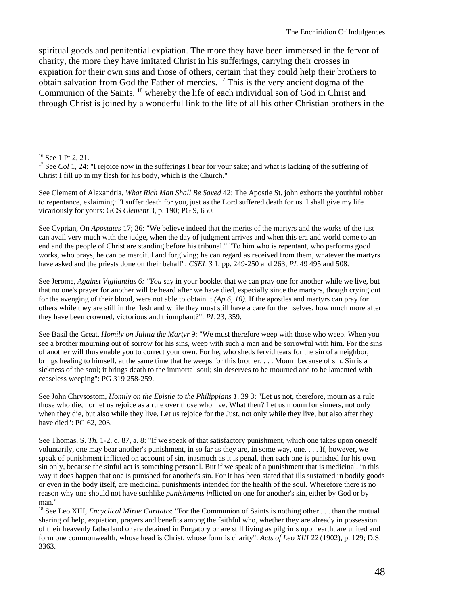spiritual goods and penitential expiation. The more they have been immersed in the fervor of charity, the more they have imitated Christ in his sufferings, carrying their crosses in expiation for their own sins and those of others, certain that they could help their brothers to obtain salvation from God the Father of mercies. <sup>17</sup> This is the very ancient dogma of the Communion of the Saints, <sup>18</sup> whereby the life of each individual son of God in Christ and through Christ is joined by a wonderful link to the life of all his other Christian brothers in the

<sup>16</sup> See 1 Pt 2, 21.

 $\overline{a}$ 

<sup>17</sup> See *Col* 1, 24: "I rejoice now in the sufferings I bear for your sake; and what is lacking of the suffering of Christ I fill up in my flesh for his body, which is the Church."

See Clement of Alexandria, *What Rich Man Shall Be Saved* 42: The Apostle St. john exhorts the youthful robber to repentance, exlaiming: "I suffer death for you, just as the Lord suffered death for us. I shall give my life vicariously for yours: GCS *Clement* 3, p. 190; PG 9, 650.

See Cyprian, On *Apostates* 17; 36: "We believe indeed that the merits of the martyrs and the works of the just can avail very much with the judge, when the day of judgment arrives and when this era and world come to an end and the people of Christ are standing before his tribunal." "To him who is repentant, who performs good works, who prays, he can be merciful and forgiving; he can regard as received from them, whatever the martyrs have asked and the priests done on their behalf": *CSEL 3* 1, pp. 249-250 and 263; *PL* 49 495 and 508.

See Jerome, *Against Vigilantius 6: "You* say in your booklet that we can pray one for another while we live, but that no one's prayer for another will be heard after we have died, especially since the martyrs, though crying out for the avenging of their blood, were not able to obtain it *(Ap 6, 10).* If the apostles and martyrs can pray for others while they are still in the flesh and while they must still have a care for themselves, how much more after they have been crowned, victorious and triumphant?": *PL* 23, 359.

See Basil the Great, *Homily on Julitta the Martyr* 9: "We must therefore weep with those who weep. When you see a brother mourning out of sorrow for his sins, weep with such a man and be sorrowful with him. For the sins of another will thus enable you to correct your own. For he, who sheds fervid tears for the sin of a neighbor, brings healing to himself, at the same time that he weeps for this brother. . . . Mourn because of sin. Sin is a sickness of the soul; it brings death to the immortal soul; sin deserves to be mourned and to be lamented with ceaseless weeping": PG 319 258-259.

See John Chrysostom, *Homily on the Epistle to the Philippians 1,* 39 3: "Let us not, therefore, mourn as a rule those who die, nor let us rejoice as a rule over those who live. What then? Let us mourn for sinners, not only when they die, but also while they live. Let us rejoice for the Just, not only while they live, but also after they have died": PG 62, 203.

See Thomas, S. *Th.* 1-2, q. 87, a. 8: "If we speak of that satisfactory punishment, which one takes upon oneself voluntarily, one may bear another's punishment, in so far as they are, in some way, one. . . . If, however, we speak of punishment inflicted on account of sin, inasmuch as it is penal, then each one is punished for his own sin only, because the sinful act is something personal. But if we speak of a punishment that is medicinal, in this way it does happen that one is punished for another's sin. For It has been stated that ills sustained in bodily goods or even in the body itself, are medicinal punishments intended for the health of the soul. Wherefore there is no reason why one should not have suchlike *punishments in*flicted on one for another's sin, either by God or by man."

<sup>18</sup> See Leo XIII, *Encyclical Mirae Caritatis*: "For the Communion of Saints is nothing other ... than the mutual sharing of help, expiation, prayers and benefits among the faithful who, whether they are already in possession of their heavenly fatherland or are detained in Purgatory or are still living as pilgrims upon earth, are united and form one commonwealth, whose head is Christ, whose form is charity": *Acts of Leo XIII 22* (1902), p. 129; D.S. 3363.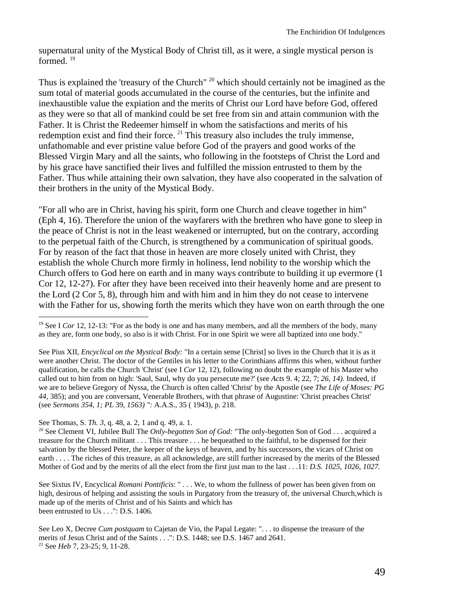supernatural unity of the Mystical Body of Christ till, as it were, a single mystical person is formed. <sup>19</sup>

Thus is explained the 'treasury of the Church" <sup>20</sup> which should certainly not be imagined as the sum total of material goods accumulated in the course of the centuries, but the infinite and inexhaustible value the expiation and the merits of Christ our Lord have before God, offered as they were so that all of mankind could be set free from sin and attain communion with the Father. It is Christ the Redeemer himself in whom the satisfactions and merits of his redemption exist and find their force.<sup>21</sup> This treasury also includes the truly immense, unfathomable and ever pristine value before God of the prayers and good works of the Blessed Virgin Mary and all the saints, who following in the footsteps of Christ the Lord and by his grace have sanctified their lives and fulfilled the mission entrusted to them by the Father. Thus while attaining their own salvation, they have also cooperated in the salvation of their brothers in the unity of the Mystical Body.

"For all who are in Christ, having his spirit, form one Church and cleave together in him" (Eph 4, 16). Therefore the union of the wayfarers with the brethren who have gone to sleep in the peace of Christ is not in the least weakened or interrupted, but on the contrary, according to the perpetual faith of the Church, is strengthened by a communication of spiritual goods. For by reason of the fact that those in heaven are more closely united with Christ, they establish the whole Church more firmly in holiness, lend nobility to the worship which the Church offers to God here on earth and in many ways contribute to building it up evermore (1 Cor 12, 12-27). For after they have been received into their heavenly home and are present to the Lord (2 Cor 5, 8), through him and with him and in him they do not cease to intervene with the Father for us, showing forth the merits which they have won on earth through the one

See Thomas, S. *Th. 3,* q. 48, a. 2, 1 and q. 49, a. 1.

 $\overline{a}$ 

See Sixtus IV, Encyclical *Romani Pontificis*: " . . . We, to whom the fullness of power has been given from on high, desirous of helping and assisting the souls in Purgatory from the treasury of, the universal Church,which is made up of the merits of Christ and of his Saints and which has been entrusted to Us . . .": D.S. 1406.

<sup>&</sup>lt;sup>19</sup> See I *Cor* 12, 12-13: "For as the body is one and has many members, and all the members of the body, many as they are, form one body, so also is it with Christ. For in one Spirit we were all baptized into one body."

See Pius XII, *Encyclical on the Mystical Body:* "In a certain sense [Christ] so lives in the Church that it is as it were another Christ. The doctor of the Gentiles in his letter to the Corinthians affirms this when, without further qualification, he calls the Church 'Christ' (see I *Cor* 12, 12), following no doubt the example of his Master who called out to him from on high: 'Saul, Saul, why do you persecute me?' (see *Acts* 9. 4; 22, 7; *26, 14).* Indeed, if we are to believe Gregory of Nyssa, the Church is often called 'Christ' by the Apostle (see *The Life of Moses: PG 44,* 385); and you are conversant, Venerable Brothers, with that phrase of Augustine: 'Christ preaches Christ' (see *Sermons 354, 1; PL* 39, *1563) ":* A.A.S., 35 ( 1943), p. 218.

<sup>20</sup> See Clement VI, Jubilee Bull The *Only-begotten Son of God:* "The only-begotten Son of God . . . acquired a treasure for the Church militant . . . This treasure . . . he bequeathed to the faithful, to be dispensed for their salvation by the blessed Peter, the keeper of the keys of heaven, and by his successors, the vicars of Christ on earth . . . . The riches of this treasure, as all acknowledge, are still further increased by the merits of the Blessed Mother of God and by the merits of all the elect from the first just man to the last . . .11: *D.S. 1025, 1026, 1027.*

See Leo X, Decree *Cum postquam* to Cajetan de Vio, the Papal Legate: ". . . to dispense the treasure of the merits of Jesus Christ and of the Saints . . .": D.S. 1448; see D.S. 1467 and 2641. 21 See *Heb* 7, 23-25; 9, 11-28.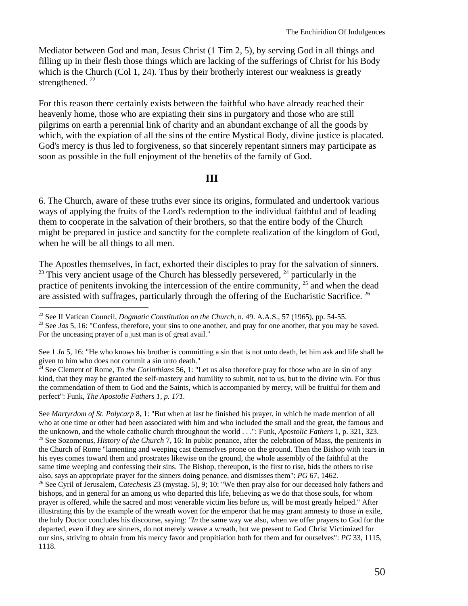Mediator between God and man, Jesus Christ (1 Tim 2, 5), by serving God in all things and filling up in their flesh those things which are lacking of the sufferings of Christ for his Body which is the Church (Col 1, 24). Thus by their brotherly interest our weakness is greatly strengthened.  $22$ 

For this reason there certainly exists between the faithful who have already reached their heavenly home, those who are expiating their sins in purgatory and those who are still pilgrims on earth a perennial link of charity and an abundant exchange of all the goods by which, with the expiation of all the sins of the entire Mystical Body, divine justice is placated. God's mercy is thus led to forgiveness, so that sincerely repentant sinners may participate as soon as possible in the full enjoyment of the benefits of the family of God.

### **III**

6. The Church, aware of these truths ever since its origins, formulated and undertook various ways of applying the fruits of the Lord's redemption to the individual faithful and of leading them to cooperate in the salvation of their brothers, so that the entire body of the Church might be prepared in justice and sanctity for the complete realization of the kingdom of God, when he will be all things to all men.

The Apostles themselves, in fact, exhorted their disciples to pray for the salvation of sinners. <sup>23</sup> This very ancient usage of the Church has blessedly persevered, <sup>24</sup> particularly in the practice of penitents invoking the intercession of the entire community,  $^{25}$  and when the dead are assisted with suffrages, particularly through the offering of the Eucharistic Sacrifice. <sup>26</sup>

 $\overline{a}$ 

See *Martyrdom of St. Polycarp* 8, 1: "But when at last he finished his prayer, in which he made mention of all who at one time or other had been associated with him and who included the small and the great, the famous and the unknown, and the whole catholic church throughout the world . . .": Funk, *Apostolic Fathers* 1, p. 321, 323. <sup>25</sup> See Sozomenus, *History of the Church* 7, 16: In public penance, after the celebration of Mass, the penitents in the Church of Rome "lamenting and weeping cast themselves prone on the ground. Then the Bishop with tears in his eyes comes toward them and prostrates likewise on the ground, the whole assembly of the faithful at the same time weeping and confessing their sins. The Bishop, thereupon, is the first to rise, bids the others to rise also, says an appropriate prayer for the sinners doing penance, and dismisses them": *PG* 67, 1462.

<sup>26</sup> See Cyril of Jerusalem, *Catechesis* 23 (mystag. 5), 9; 10: "We then pray also for our deceased holy fathers and bishops, and in general for an among us who departed this life, believing as we do that those souls, for whom prayer is offered, while the sacred and most venerable victim lies before us, will be most greatly helped." After illustrating this by the example of the wreath woven for the emperor that he may grant amnesty to those *in* exile, the holy Doctor concludes his discourse, saying: *"In* the same way we also, when we offer prayers to God for the departed, even if they are sinners, do not merely weave a wreath, but we present to God Christ Victimized for our sins, striving to obtain from his mercy favor and propitiation both for them and for ourselves": *PG* 33, 1115, 1118.

<sup>&</sup>lt;sup>22</sup> See II Vatican Council, *Dogmatic Constitution on the Church*, n. 49. A.A.S., 57 (1965), pp. 54-55.

<sup>&</sup>lt;sup>23</sup> See *Jas* 5, 16: "Confess, therefore, your sins to one another, and pray for one another, that you may be saved. For the unceasing prayer of a just man is of great avail."

See 1 *Jn* 5, 16: "He who knows his brother is committing a sin that is not unto death, let him ask and life shall be given to him who does not commit a sin unto death."

<sup>&</sup>lt;sup>24</sup> See Clement of Rome, *To the Corinthians* 56, 1: "Let us also therefore pray for those who are in sin of any kind, that they may be granted the self-mastery and humility to submit, not to us, but to the divine win. For thus the commendation of them to God and the Saints, which is accompanied by mercy, will be fruitful for them and perfect": Funk, *The Apostolic Fathers 1, p. 171.*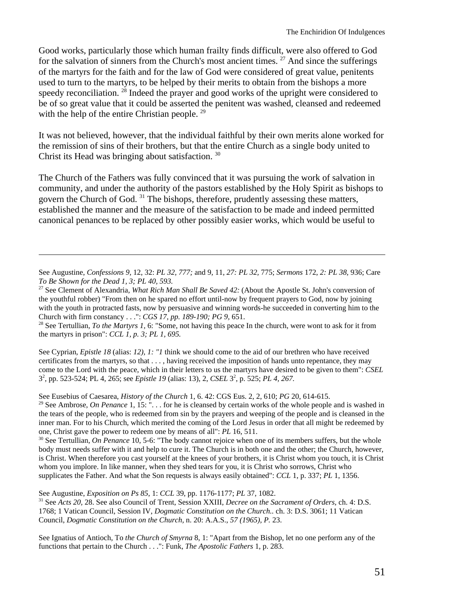Good works, particularly those which human frailty finds difficult, were also offered to God for the salvation of sinners from the Church's most ancient times. <sup>27</sup> And since the sufferings of the martyrs for the faith and for the law of God were considered of great value, penitents used to turn to the martyrs, to be helped by their merits to obtain from the bishops a more speedy reconciliation.<sup>28</sup> Indeed the prayer and good works of the upright were considered to be of so great value that it could be asserted the penitent was washed, cleansed and redeemed with the help of the entire Christian people.<sup>29</sup>

It was not believed, however, that the individual faithful by their own merits alone worked for the remission of sins of their brothers, but that the entire Church as a single body united to Christ its Head was bringing about satisfaction.<sup>30</sup>

The Church of the Fathers was fully convinced that it was pursuing the work of salvation in community, and under the authority of the pastors established by the Holy Spirit as bishops to govern the Church of God.<sup>31</sup> The bishops, therefore, prudently assessing these matters, established the manner and the measure of the satisfaction to be made and indeed permitted canonical penances to be replaced by other possibly easier works, which would be useful to

See Augustine, *Confessions 9,* 12, 32: *PL 32, 777;* and 9, 11, *27: PL 32,* 775; *Sermons* 172, *2: PL 38,* 936; Care *To Be Shown for the Dead 1, 3; PL 40, 593.*

<sup>27</sup> See Clement of Alexandria, *What Rich Man Shall Be Saved 42:* (About the Apostle St. John's conversion of the youthful robber) "From then on he spared no effort until-now by frequent prayers to God, now by joining with the youth in protracted fasts, now by persuasive and winning words-he succeeded in converting him to the Church with firm constancy . . .": *CGS 17, pp. 189-190; PG 9,* 651.

<sup>28</sup> See Tertullian, *To the Martyrs 1*, 6: "Some, not having this peace In the church, were wont to ask for it from the martyrs in prison": *CCL 1, p. 3; PL 1, 695.*

See Cyprian, *Epistle 18* (alias: *12), 1: "1* think we should come to the aid of our brethren who have received certificates from the martyrs, so that . . . , having received the imposition of hands unto repentance, they may come to the Lord with the peace, which in their letters to us the martyrs have desired to be given to them": *CSEL* 3 2 , pp. 523-524; PL 4, 265; see *Epistle 19* (alias: 13), 2, *CSEL* 3 2 , p. 525; *PL 4, 267.*

See Eusebius of Caesarea, *History of the Church* 1, 6. 42: CGS Eus. 2, 2, 610; *PG* 20, 614-615.

<sup>29</sup> See Ambrose, *On Penance* 1, 15: "... for he is cleansed by certain works of the whole people and is washed in the tears of the people, who is redeemed from sin by the prayers and weeping of the people and is cleansed in the inner man. For to his Church, which merited the coming of the Lord Jesus in order that all might be redeemed by one, Christ gave the power to redeem one by means of all": *PL* 16, 511.

<sup>30</sup> See Tertullian, *On Penance* 10, 5-6: "The body cannot rejoice when one of its members suffers, but the whole body must needs suffer with it and help to cure it. The Church is in both one and the other; the Church, however, is Christ. When therefore you cast yourself at the knees of your brothers, it is Christ whom you touch, it is Christ whom you implore. In like manner, when they shed tears for you, it is Christ who sorrows, Christ who supplicates the Father. And what the Son requests is always easily obtained": *CCL* 1, p. 337; *PL* 1, 1356.

See Augustine, *Exposition on Ps 85*, 1: *CCL* 39, pp. 1176-1177; *PL* 37, 1082.

 $\overline{a}$ 

<sup>31</sup> See *Acts 20,* 28. See also Council of Trent, Session XXIII, *Decree on the Sacrament of Orders,* ch. 4: D.S. 1768; 1 Vatican Council, Session IV, *Dogmatic Constitution on the Church..* ch. 3: D.S. 3061; 11 Vatican Council, *Dogmatic Constitution on the Church,* n. 20: A.A.S., *57 (1965), P.* 23.

See Ignatius of Antioch, To *the Church of Smyrna* 8, 1: "Apart from the Bishop, let no one perform any of the functions that pertain to the Church . . .": Funk, *The Apostolic Fathers* 1, p. 283.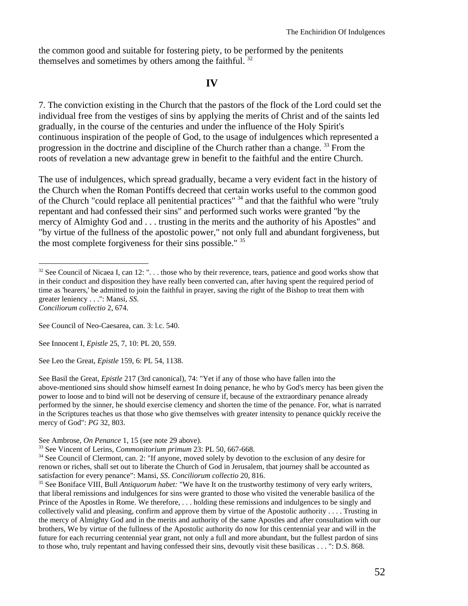the common good and suitable for fostering piety, to be performed by the penitents themselves and sometimes by others among the faithful.<sup>32</sup>

### **IV**

7. The conviction existing in the Church that the pastors of the flock of the Lord could set the individual free from the vestiges of sins by applying the merits of Christ and of the saints led gradually, in the course of the centuries and under the influence of the Holy Spirit's continuous inspiration of the people of God, to the usage of indulgences which represented a progression in the doctrine and discipline of the Church rather than a change. <sup>33</sup> From the roots of revelation a new advantage grew in benefit to the faithful and the entire Church.

The use of indulgences, which spread gradually, became a very evident fact in the history of the Church when the Roman Pontiffs decreed that certain works useful to the common good of the Church "could replace all penitential practices" <sup>34</sup> and that the faithful who were "truly repentant and had confessed their sins" and performed such works were granted "by the mercy of Almighty God and . . . trusting in the merits and the authority of his Apostles" and "by virtue of the fullness of the apostolic power," not only full and abundant forgiveness, but the most complete forgiveness for their sins possible." <sup>35</sup>

 $\overline{a}$ 

See Innocent I, *Epistle* 25, 7, 10: PL 20, 559.

See Leo the Great, *Epistle* 159, 6: PL 54, 1138.

See Basil the Great, *Epistle* 217 (3rd canonical), 74: "Yet if any of those who have fallen into the above-mentioned sins should show himself earnest In doing penance, he who by God's mercy has been given the power to loose and to bind will not be deserving of censure if, because of the extraordinary penance already performed by the sinner, he should exercise clemency and shorten the time of the penance. For, what is narrated in the Scriptures teaches us that those who give themselves with greater intensity to penance quickly receive the mercy of God": *PG* 32, 803.

See Ambrose, *On Penance* 1, 15 (see note 29 above).

<sup>33</sup> See Vincent of Lerins, *Commonitorium primum* 23: PL 50, 667-668.

<sup>34</sup> See Council of Clermont, can. 2: "If anyone, moved solely by devotion to the exclusion of any desire for renown or riches, shall set out to liberate the Church of God in Jerusalem, that journey shall be accounted as satisfaction for every penance": Mansi, *SS*. *Conciliorum collectio* 20, 816.

<sup>35</sup> See Boniface VIII, Bull *Antiquorum habet:* "We have It on the trustworthy testimony of very early writers, that liberal remissions and indulgences for sins were granted to those who visited the venerable basilica of the Prince of the Apostles in Rome. We therefore, . . . holding these remissions and indulgences to be singly and collectively valid and pleasing, confirm and approve them by virtue of the Apostolic authority . . . . Trusting in the mercy of Almighty God and in the merits and authority of the same Apostles and after consultation with our brothers, We by virtue of the fullness of the Apostolic authority do now for this centennial year and will in the future for each recurring centennial year grant, not only a full and more abundant, but the fullest pardon of sins to those who, truly repentant and having confessed their sins, devoutly visit these basilicas . . . ": D.S. 868.

 $32$  See Council of Nicaea I, can 12: " $\dots$  those who by their reverence, tears, patience and good works show that in their conduct and disposition they have really been converted can, after having spent the required period of time as 'hearers,' be admitted to join the faithful in prayer, saving the right of the Bishop to treat them with greater leniency . . .": Mansi, *SS*. *Conciliorum collectio* 2, 674.

See Council of Neo-Caesarea, can. 3: l.c. 540.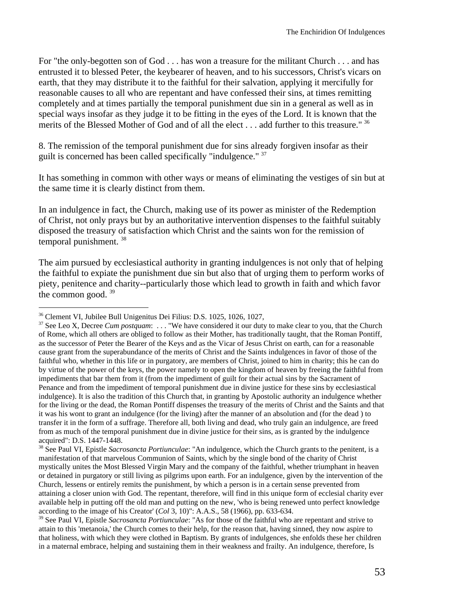For "the only-begotten son of God . . . has won a treasure for the militant Church . . . and has entrusted it to blessed Peter, the keybearer of heaven, and to his successors, Christ's vicars on earth, that they may distribute it to the faithful for their salvation, applying it mercifully for reasonable causes to all who are repentant and have confessed their sins, at times remitting completely and at times partially the temporal punishment due sin in a general as well as in special ways insofar as they judge it to be fitting in the eyes of the Lord. It is known that the merits of the Blessed Mother of God and of all the elect . . . add further to this treasure." <sup>36</sup>

8. The remission of the temporal punishment due for sins already forgiven insofar as their guilt is concerned has been called specifically "indulgence." <sup>37</sup>

It has something in common with other ways or means of eliminating the vestiges of sin but at the same time it is clearly distinct from them.

In an indulgence in fact, the Church, making use of its power as minister of the Redemption of Christ, not only prays but by an authoritative intervention dispenses to the faithful suitably disposed the treasury of satisfaction which Christ and the saints won for the remission of temporal punishment. <sup>38</sup>

The aim pursued by ecclesiastical authority in granting indulgences is not only that of helping the faithful to expiate the punishment due sin but also that of urging them to perform works of piety, penitence and charity--particularly those which lead to growth in faith and which favor the common good.  $39$ 

 $\overline{a}$ <sup>36</sup> Clement VI, Jubilee Bull Unigenitus Dei Filius: D.S. 1025, 1026, 1027,

<sup>&</sup>lt;sup>37</sup> See Leo X, Decree *Cum postquam*: . . . "We have considered it our duty to make clear to you, that the Church of Rome, which all others are obliged to follow as their Mother, has traditionally taught, that the Roman Pontiff, as the successor of Peter the Bearer of the Keys and as the Vicar of Jesus Christ on earth, can for a reasonable cause grant from the superabundance of the merits of Christ and the Saints indulgences in favor of those of the faithful who, whether in this life or in purgatory, are members of Christ, joined to him in charity; this he can do by virtue of the power of the keys, the power namely to open the kingdom of heaven by freeing the faithful from impediments that bar them from it (from the impediment of guilt for their actual sins by the Sacrament of Penance and from the impediment of temporal punishment due in divine justice for these sins by ecclesiastical indulgence). It is also the tradition of this Church that, in granting by Apostolic authority an indulgence whether for the living or the dead, the Roman Pontiff dispenses the treasury of the merits of Christ and the Saints and that it was his wont to grant an indulgence (for the living) after the manner of an absolution and (for the dead ) to transfer it in the form of a suffrage. Therefore all, both living and dead, who truly gain an indulgence, are freed from as much of the temporal punishment due in divine justice for their sins, as is granted by the indulgence acquired": D.S. 1447-1448.

<sup>38</sup> See Paul VI, Epistle *Sacrosancta Portiunculae*: "An indulgence, which the Church grants to the penitent, is a manifestation of that marvelous Communion of Saints, which by the single bond of the charity of Christ mystically unites the Most Blessed Virgin Mary and the company of the faithful, whether triumphant in heaven or detained in purgatory or still living as pilgrims upon earth. For an indulgence, given by the intervention of the Church, lessens or entirely remits the punishment, by which a person is in a certain sense prevented from attaining a closer union with God. The repentant, therefore, will find in this unique form of ecclesial charity ever available help in putting off the old man and putting on the new, 'who is being renewed unto perfect knowledge according to the image of his Creator' (*Col* 3, 10)": A.A.S., 58 (1966), pp. 633-634.

<sup>39</sup> See Paul VI, Epistle *Sacrosancta Portiunculae*: "As for those of the faithful who are repentant and strive to attain to this 'metanoia,' the Church comes to their help, for the reason that, having sinned, they now aspire to that holiness, with which they were clothed in Baptism. By grants of indulgences, she enfolds these her children in a maternal embrace, helping and sustaining them in their weakness and frailty. An indulgence, therefore, Is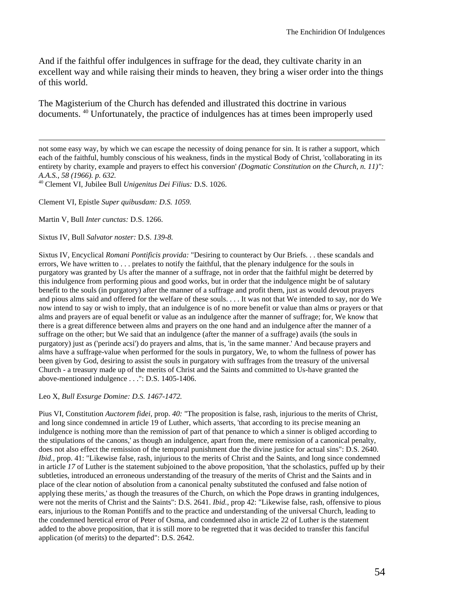And if the faithful offer indulgences in suffrage for the dead, they cultivate charity in an excellent way and while raising their minds to heaven, they bring a wiser order into the things of this world.

The Magisterium of the Church has defended and illustrated this doctrine in various documents. <sup>40</sup> Unfortunately, the practice of indulgences has at times been improperly used

Clement VI, Epistle *Super quibusdam: D.S. 1059.*

Martin V, Bull *Inter cunctas:* D.S. 1266.

 $\overline{a}$ 

Sixtus IV, Bull *Salvator noster:* D.S. *139-8.*

Sixtus IV, Encyclical *Romani Pontificis provida:* "Desiring to counteract by Our Briefs. . . these scandals and errors, We have written to . . . prelates to notify the faithful, that the plenary indulgence for the souls in purgatory was granted by Us after the manner of a suffrage, not in order that the faithful might be deterred by this indulgence from performing pious and good works, but in order that the indulgence might be of salutary benefit to the souls (in purgatory) after the manner of a suffrage and profit them, just as would devout prayers and pious alms said and offered for the welfare of these souls. . . . It was not that We intended to say, nor do We now intend to say or wish to imply, that an indulgence is of no more benefit or value than alms or prayers or that alms and prayers are of equal benefit or value as an indulgence after the manner of suffrage; for, We know that there is a great difference between alms and prayers on the one hand and an indulgence after the manner of a suffrage on the other; but We said that an indulgence (after the manner of a suffrage) avails (the souls in purgatory) just as ('perinde acsi') do prayers and alms, that is, 'in the same manner.' And because prayers and alms have a suffrage-value when performed for the souls in purgatory, We, to whom the fullness of power has been given by God, desiring to assist the souls in purgatory with suffrages from the treasury of the universal Church - a treasury made up of the merits of Christ and the Saints and committed to Us-have granted the above-mentioned indulgence . . .": D.S. 1405-1406.

Leo X, *Bull Exsurge Domine: D.S. 1467-1472.*

Pius VI, Constitution *Auctorem fidei,* prop. *40:* "The proposition is false, rash, injurious to the merits of Christ, and long since condemned in article 19 of Luther, which asserts, 'that according to its precise meaning an indulgence is nothing more than the remission of part of that penance to which a sinner is obliged according to the stipulations of the canons,' as though an indulgence, apart from the, mere remission of a canonical penalty, does not also effect the remission of the temporal punishment due the divine justice for actual sins": D.S. 2640. *Ibid.,* prop. 41: "Likewise false, rash, injurious to the merits of Christ and the Saints, and long since condemned in article *17* of Luther is the statement subjoined to the above proposition, 'that the scholastics, puffed up by their subtleties, introduced an erroneous understanding of the treasury of the merits of Christ and the Saints and in place of the clear notion of absolution from a canonical penalty substituted the confused and false notion of applying these merits,' as though the treasures of the Church, on which the Pope draws in granting indulgences, were not the merits of Christ and the Saints": D.S. 2641. *Ibid.,* prop 42: "Likewise false, rash, offensive to pious ears, injurious to the Roman Pontiffs and to the practice and understanding of the universal Church, leading to the condemned heretical error of Peter of Osma, and condemned also in article 22 of Luther is the statement added to the above proposition, that it is still more to be regretted that it was decided to transfer this fanciful application (of merits) to the departed": D.S. 2642.

not some easy way, by which we can escape the necessity of doing penance for sin. It is rather a support, which each of the faithful, humbly conscious of his weakness, finds in the mystical Body of Christ, 'collaborating in its entirety by charity, example and prayers to effect his conversion' *(Dogmatic Constitution on the Church, n. 11)": A.A.S., 58 (1966). p. 632.*

<sup>40</sup> Clement VI, Jubilee Bull *Unigenitus Dei Filius:* D.S. 1026.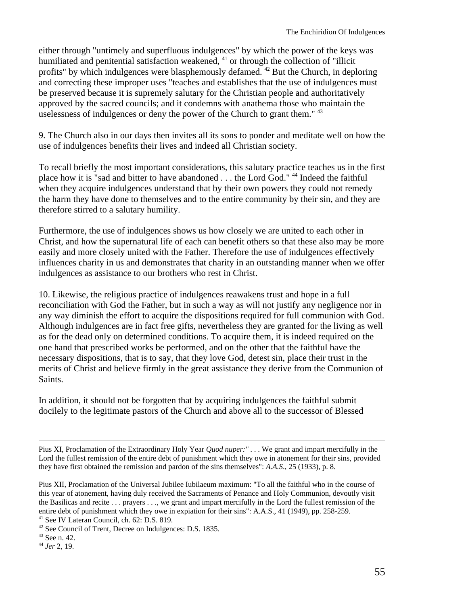either through "untimely and superfluous indulgences" by which the power of the keys was humiliated and penitential satisfaction weakened, <sup>41</sup> or through the collection of "illicit profits" by which indulgences were blasphemously defamed. <sup>42</sup> But the Church, in deploring and correcting these improper uses "teaches and establishes that the use of indulgences must be preserved because it is supremely salutary for the Christian people and authoritatively approved by the sacred councils; and it condemns with anathema those who maintain the uselessness of indulgences or deny the power of the Church to grant them." <sup>43</sup>

9. The Church also in our days then invites all its sons to ponder and meditate well on how the use of indulgences benefits their lives and indeed all Christian society.

To recall briefly the most important considerations, this salutary practice teaches us in the first place how it is "sad and bitter to have abandoned . . . the Lord God." <sup>44</sup> Indeed the faithful when they acquire indulgences understand that by their own powers they could not remedy the harm they have done to themselves and to the entire community by their sin, and they are therefore stirred to a salutary humility.

Furthermore, the use of indulgences shows us how closely we are united to each other in Christ, and how the supernatural life of each can benefit others so that these also may be more easily and more closely united with the Father. Therefore the use of indulgences effectively influences charity in us and demonstrates that charity in an outstanding manner when we offer indulgences as assistance to our brothers who rest in Christ.

10. Likewise, the religious practice of indulgences reawakens trust and hope in a full reconciliation with God the Father, but in such a way as will not justify any negligence nor in any way diminish the effort to acquire the dispositions required for full communion with God. Although indulgences are in fact free gifts, nevertheless they are granted for the living as well as for the dead only on determined conditions. To acquire them, it is indeed required on the one hand that prescribed works be performed, and on the other that the faithful have the necessary dispositions, that is to say, that they love God, detest sin, place their trust in the merits of Christ and believe firmly in the great assistance they derive from the Communion of Saints.

In addition, it should not be forgotten that by acquiring indulgences the faithful submit docilely to the legitimate pastors of the Church and above all to the successor of Blessed

 $\overline{a}$ 

Pius XI, Proclamation of the Extraordinary Holy Year *Quod nuper:" . . .* We grant and impart mercifully in the Lord the fullest remission of the entire debt of punishment which they owe in atonement for their sins, provided they have first obtained the remission and pardon of the sins themselves": *A.A.S*., 25 (1933), p. 8.

Pius XII, Proclamation of the Universal Jubilee Iubilaeum maximum: "To all the faithful who in the course of this year of atonement, having duly received the Sacraments of Penance and Holy Communion, devoutly visit the Basilicas and recite . . . prayers . . ., we grant and impart mercifully in the Lord the fullest remission of the entire debt of punishment which they owe in expiation for their sins": A.A.S., 41 (1949), pp. 258-259. <sup>41</sup> See IV Lateran Council, ch. 62: D.S. 819.

<sup>42</sup> See Council of Trent, Decree on Indulgences: D.S. 1835.

 $43$  See n. 42.

<sup>44</sup> *Jer* 2, 19.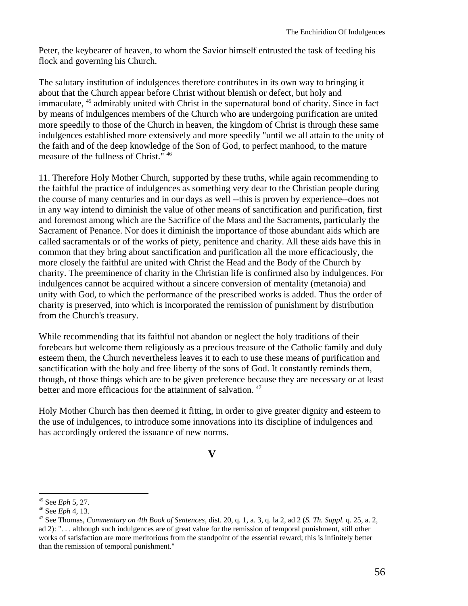Peter, the keybearer of heaven, to whom the Savior himself entrusted the task of feeding his flock and governing his Church.

The salutary institution of indulgences therefore contributes in its own way to bringing it about that the Church appear before Christ without blemish or defect, but holy and immaculate, <sup>45</sup> admirably united with Christ in the supernatural bond of charity. Since in fact by means of indulgences members of the Church who are undergoing purification are united more speedily to those of the Church in heaven, the kingdom of Christ is through these same indulgences established more extensively and more speedily "until we all attain to the unity of the faith and of the deep knowledge of the Son of God, to perfect manhood, to the mature measure of the fullness of Christ." <sup>46</sup>

11. Therefore Holy Mother Church, supported by these truths, while again recommending to the faithful the practice of indulgences as something very dear to the Christian people during the course of many centuries and in our days as well --this is proven by experience--does not in any way intend to diminish the value of other means of sanctification and purification, first and foremost among which are the Sacrifice of the Mass and the Sacraments, particularly the Sacrament of Penance. Nor does it diminish the importance of those abundant aids which are called sacramentals or of the works of piety, penitence and charity. All these aids have this in common that they bring about sanctification and purification all the more efficaciously, the more closely the faithful are united with Christ the Head and the Body of the Church by charity. The preeminence of charity in the Christian life is confirmed also by indulgences. For indulgences cannot be acquired without a sincere conversion of mentality (metanoia) and unity with God, to which the performance of the prescribed works is added. Thus the order of charity is preserved, into which is incorporated the remission of punishment by distribution from the Church's treasury.

While recommending that its faithful not abandon or neglect the holy traditions of their forebears but welcome them religiously as a precious treasure of the Catholic family and duly esteem them, the Church nevertheless leaves it to each to use these means of purification and sanctification with the holy and free liberty of the sons of God. It constantly reminds them, though, of those things which are to be given preference because they are necessary or at least better and more efficacious for the attainment of salvation.<sup>47</sup>

Holy Mother Church has then deemed it fitting, in order to give greater dignity and esteem to the use of indulgences, to introduce some innovations into its discipline of indulgences and has accordingly ordered the issuance of new norms.

### **V**

 $\overline{a}$ <sup>45</sup> See *Eph* 5, 27.

<sup>46</sup> See *Eph* 4, 13.

<sup>47</sup> See Thomas, *Commentary on 4th Book of Sentences*, dist. 20, q. 1, a. 3, q. la 2, ad 2 (*S. Th. Suppl.* q. 25, a. 2, ad 2): ". . . although such indulgences are of great value for the remission of temporal punishment, still other works of satisfaction are more meritorious from the standpoint of the essential reward; this is infinitely better than the remission of temporal punishment."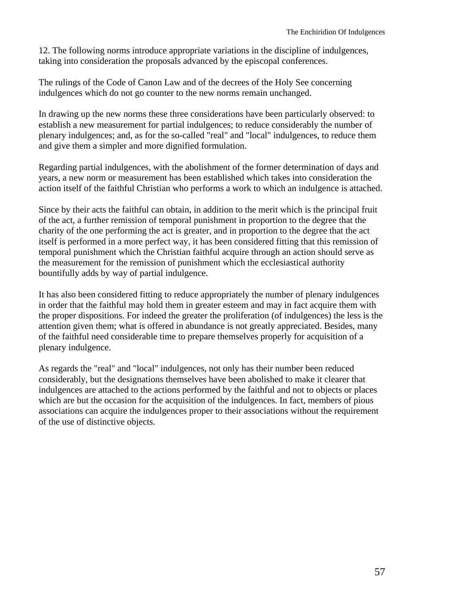12. The following norms introduce appropriate variations in the discipline of indulgences, taking into consideration the proposals advanced by the episcopal conferences.

The rulings of the Code of Canon Law and of the decrees of the Holy See concerning indulgences which do not go counter to the new norms remain unchanged.

In drawing up the new norms these three considerations have been particularly observed: to establish a new measurement for partial indulgences; to reduce considerably the number of plenary indulgences; and, as for the so-called "real" and "local" indulgences, to reduce them and give them a simpler and more dignified formulation.

Regarding partial indulgences, with the abolishment of the former determination of days and years, a new norm or measurement has been established which takes into consideration the action itself of the faithful Christian who performs a work to which an indulgence is attached.

Since by their acts the faithful can obtain, in addition to the merit which is the principal fruit of the act, a further remission of temporal punishment in proportion to the degree that the charity of the one performing the act is greater, and in proportion to the degree that the act itself is performed in a more perfect way, it has been considered fitting that this remission of temporal punishment which the Christian faithful acquire through an action should serve as the measurement for the remission of punishment which the ecclesiastical authority bountifully adds by way of partial indulgence.

It has also been considered fitting to reduce appropriately the number of plenary indulgences in order that the faithful may hold them in greater esteem and may in fact acquire them with the proper dispositions. For indeed the greater the proliferation (of indulgences) the less is the attention given them; what is offered in abundance is not greatly appreciated. Besides, many of the faithful need considerable time to prepare themselves properly for acquisition of a plenary indulgence.

As regards the "real" and "local" indulgences, not only has their number been reduced considerably, but the designations themselves have been abolished to make it clearer that indulgences are attached to the actions performed by the faithful and not to objects or places which are but the occasion for the acquisition of the indulgences. In fact, members of pious associations can acquire the indulgences proper to their associations without the requirement of the use of distinctive objects.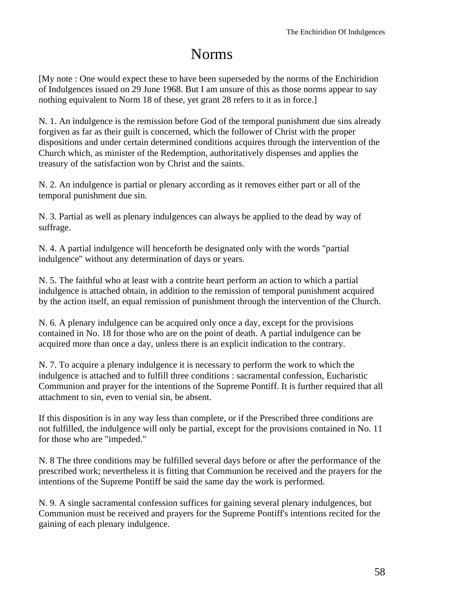## Norms

[My note : One would expect these to have been superseded by the norms of the Enchiridion of Indulgences issued on 29 June 1968. But I am unsure of this as those norms appear to say nothing equivalent to Norm 18 of these, yet grant 28 refers to it as in force.]

N. 1. An indulgence is the remission before God of the temporal punishment due sins already forgiven as far as their guilt is concerned, which the follower of Christ with the proper dispositions and under certain determined conditions acquires through the intervention of the Church which, as minister of the Redemption, authoritatively dispenses and applies the treasury of the satisfaction won by Christ and the saints.

N. 2. An indulgence is partial or plenary according as it removes either part or all of the temporal punishment due sin.

N. 3. Partial as well as plenary indulgences can always be applied to the dead by way of suffrage.

N. 4. A partial indulgence will henceforth be designated only with the words "partial indulgence" without any determination of days or years.

N. 5. The faithful who at least with a contrite heart perform an action to which a partial indulgence is attached obtain, in addition to the remission of temporal punishment acquired by the action itself, an equal remission of punishment through the intervention of the Church.

N. 6. A plenary indulgence can be acquired only once a day, except for the provisions contained in No. 18 for those who are on the point of death. A partial indulgence can be acquired more than once a day, unless there is an explicit indication to the contrary.

N. 7. To acquire a plenary indulgence it is necessary to perform the work to which the indulgence is attached and to fulfill three conditions : sacramental confession, Eucharistic Communion and prayer for the intentions of the Supreme Pontiff. It is further required that all attachment to sin, even to venial sin, be absent.

If this disposition is in any way less than complete, or if the Prescribed three conditions are not fulfilled, the indulgence will only be partial, except for the provisions contained in No. 11 for those who are "impeded."

N. 8 The three conditions may be fulfilled several days before or after the performance of the prescribed work; nevertheless it is fitting that Communion be received and the prayers for the intentions of the Supreme Pontiff be said the same day the work is performed.

N. 9. A single sacramental confession suffices for gaining several plenary indulgences, but Communion must be received and prayers for the Supreme Pontiff's intentions recited for the gaining of each plenary indulgence.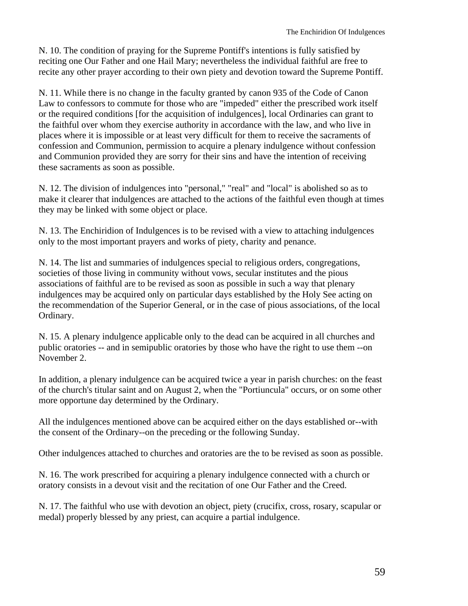N. 10. The condition of praying for the Supreme Pontiff's intentions is fully satisfied by reciting one Our Father and one Hail Mary; nevertheless the individual faithful are free to recite any other prayer according to their own piety and devotion toward the Supreme Pontiff.

N. 11. While there is no change in the faculty granted by canon 935 of the Code of Canon Law to confessors to commute for those who are "impeded" either the prescribed work itself or the required conditions [for the acquisition of indulgences], local Ordinaries can grant to the faithful over whom they exercise authority in accordance with the law, and who live in places where it is impossible or at least very difficult for them to receive the sacraments of confession and Communion, permission to acquire a plenary indulgence without confession and Communion provided they are sorry for their sins and have the intention of receiving these sacraments as soon as possible.

N. 12. The division of indulgences into "personal," "real" and "local" is abolished so as to make it clearer that indulgences are attached to the actions of the faithful even though at times they may be linked with some object or place.

N. 13. The Enchiridion of Indulgences is to be revised with a view to attaching indulgences only to the most important prayers and works of piety, charity and penance.

N. 14. The list and summaries of indulgences special to religious orders, congregations, societies of those living in community without vows, secular institutes and the pious associations of faithful are to be revised as soon as possible in such a way that plenary indulgences may be acquired only on particular days established by the Holy See acting on the recommendation of the Superior General, or in the case of pious associations, of the local Ordinary.

N. 15. A plenary indulgence applicable only to the dead can be acquired in all churches and public oratories -- and in semipublic oratories by those who have the right to use them --on November 2.

In addition, a plenary indulgence can be acquired twice a year in parish churches: on the feast of the church's titular saint and on August 2, when the "Portiuncula" occurs, or on some other more opportune day determined by the Ordinary.

All the indulgences mentioned above can be acquired either on the days established or--with the consent of the Ordinary--on the preceding or the following Sunday.

Other indulgences attached to churches and oratories are the to be revised as soon as possible.

N. 16. The work prescribed for acquiring a plenary indulgence connected with a church or oratory consists in a devout visit and the recitation of one Our Father and the Creed.

N. 17. The faithful who use with devotion an object, piety (crucifix, cross, rosary, scapular or medal) properly blessed by any priest, can acquire a partial indulgence.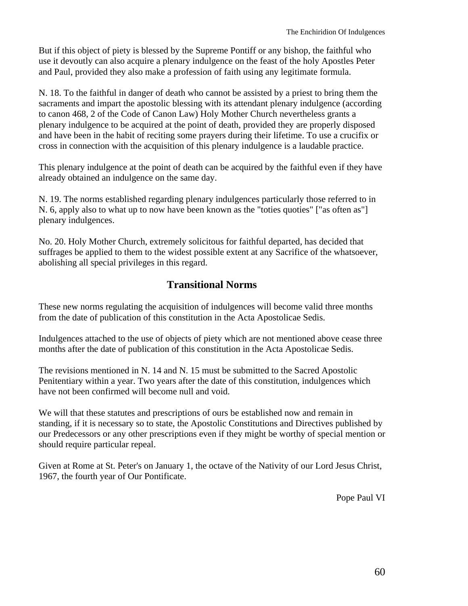But if this object of piety is blessed by the Supreme Pontiff or any bishop, the faithful who use it devoutly can also acquire a plenary indulgence on the feast of the holy Apostles Peter and Paul, provided they also make a profession of faith using any legitimate formula.

N. 18. To the faithful in danger of death who cannot be assisted by a priest to bring them the sacraments and impart the apostolic blessing with its attendant plenary indulgence (according to canon 468, 2 of the Code of Canon Law) Holy Mother Church nevertheless grants a plenary indulgence to be acquired at the point of death, provided they are properly disposed and have been in the habit of reciting some prayers during their lifetime. To use a crucifix or cross in connection with the acquisition of this plenary indulgence is a laudable practice.

This plenary indulgence at the point of death can be acquired by the faithful even if they have already obtained an indulgence on the same day.

N. 19. The norms established regarding plenary indulgences particularly those referred to in N. 6, apply also to what up to now have been known as the "toties quoties" ["as often as"] plenary indulgences.

No. 20. Holy Mother Church, extremely solicitous for faithful departed, has decided that suffrages be applied to them to the widest possible extent at any Sacrifice of the whatsoever, abolishing all special privileges in this regard.

### **Transitional Norms**

These new norms regulating the acquisition of indulgences will become valid three months from the date of publication of this constitution in the Acta Apostolicae Sedis.

Indulgences attached to the use of objects of piety which are not mentioned above cease three months after the date of publication of this constitution in the Acta Apostolicae Sedis.

The revisions mentioned in N. 14 and N. 15 must be submitted to the Sacred Apostolic Penitentiary within a year. Two years after the date of this constitution, indulgences which have not been confirmed will become null and void.

We will that these statutes and prescriptions of ours be established now and remain in standing, if it is necessary so to state, the Apostolic Constitutions and Directives published by our Predecessors or any other prescriptions even if they might be worthy of special mention or should require particular repeal.

Given at Rome at St. Peter's on January 1, the octave of the Nativity of our Lord Jesus Christ, 1967, the fourth year of Our Pontificate.

Pope Paul VI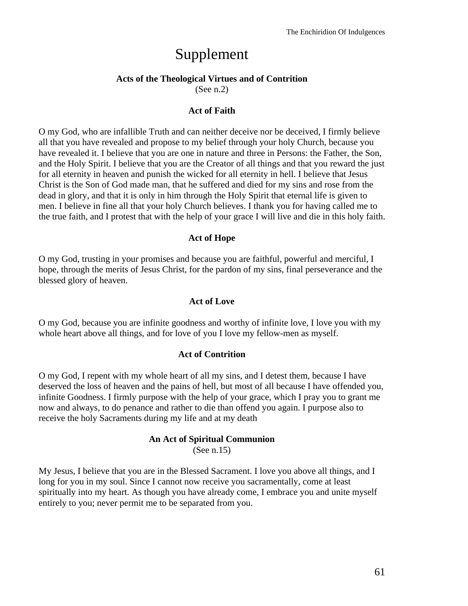## Supplement

#### **Acts of the Theological Virtues and of Contrition**

(See n.2)

#### **Act of Faith**

O my God, who are infallible Truth and can neither deceive nor be deceived, I firmly believe all that you have revealed and propose to my belief through your holy Church, because you have revealed it. I believe that you are one in nature and three in Persons: the Father, the Son, and the Holy Spirit. I believe that you are the Creator of all things and that you reward the just for all eternity in heaven and punish the wicked for all eternity in hell. I believe that Jesus Christ is the Son of God made man, that he suffered and died for my sins and rose from the dead in glory, and that it is only in him through the Holy Spirit that eternal life is given to men. I believe in fine all that your holy Church believes. I thank you for having called me to the true faith, and I protest that with the help of your grace I will live and die in this holy faith.

#### **Act of Hope**

O my God, trusting in your promises and because you are faithful, powerful and merciful, I hope, through the merits of Jesus Christ, for the pardon of my sins, final perseverance and the blessed glory of heaven.

#### **Act of Love**

O my God, because you are infinite goodness and worthy of infinite love, I love you with my whole heart above all things, and for love of you I love my fellow-men as myself.

#### **Act of Contrition**

O my God, I repent with my whole heart of all my sins, and I detest them, because I have deserved the loss of heaven and the pains of hell, but most of all because I have offended you, infinite Goodness. I firmly purpose with the help of your grace, which I pray you to grant me now and always, to do penance and rather to die than offend you again. I purpose also to receive the holy Sacraments during my life and at my death

#### **An Act of Spiritual Communion**

(See n.15)

My Jesus, I believe that you are in the Blessed Sacrament. I love you above all things, and I long for you in my soul. Since I cannot now receive you sacramentally, come at least spiritually into my heart. As though you have already come, I embrace you and unite myself entirely to you; never permit me to be separated from you.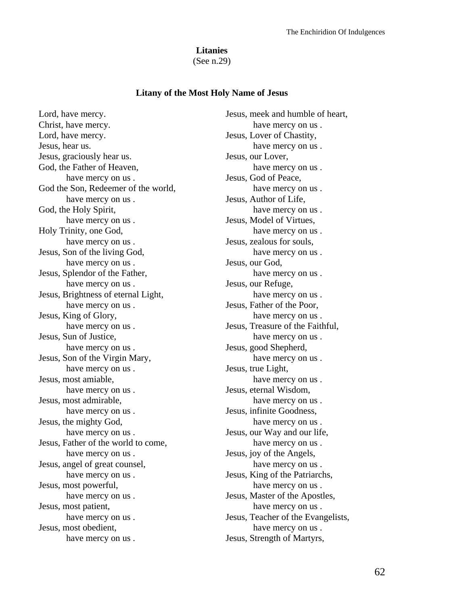#### **Litanies**

(See n.29)

#### **Litany of the Most Holy Name of Jesus**

Lord, have mercy. Christ, have mercy. Lord, have mercy. Jesus, hear us. Jesus, graciously hear us. God, the Father of Heaven, have mercy on us . God the Son, Redeemer of the world, have mercy on us . God, the Holy Spirit, have mercy on us . Holy Trinity, one God, have mercy on us . Jesus, Son of the living God, have mercy on us . Jesus, Splendor of the Father, have mercy on us . Jesus, Brightness of eternal Light, have mercy on us . Jesus, King of Glory, have mercy on us . Jesus, Sun of Justice, have mercy on us . Jesus, Son of the Virgin Mary, have mercy on us . Jesus, most amiable, have mercy on us . Jesus, most admirable, have mercy on us . Jesus, the mighty God, have mercy on us . Jesus, Father of the world to come, have mercy on us . Jesus, angel of great counsel, have mercy on us . Jesus, most powerful, have mercy on us . Jesus, most patient, have mercy on us . Jesus, most obedient, have mercy on us .

Jesus, meek and humble of heart, have mercy on us . Jesus, Lover of Chastity, have mercy on us . Jesus, our Lover, have mercy on us . Jesus, God of Peace, have mercy on us . Jesus, Author of Life, have mercy on us . Jesus, Model of Virtues, have mercy on us . Jesus, zealous for souls, have mercy on us . Jesus, our God, have mercy on us . Jesus, our Refuge, have mercy on us . Jesus, Father of the Poor, have mercy on us . Jesus, Treasure of the Faithful, have mercy on us . Jesus, good Shepherd, have mercy on us . Jesus, true Light, have mercy on us . Jesus, eternal Wisdom, have mercy on us . Jesus, infinite Goodness, have mercy on us . Jesus, our Way and our life, have mercy on us . Jesus, joy of the Angels, have mercy on us . Jesus, King of the Patriarchs, have mercy on us . Jesus, Master of the Apostles, have mercy on us . Jesus, Teacher of the Evangelists, have mercy on us . Jesus, Strength of Martyrs,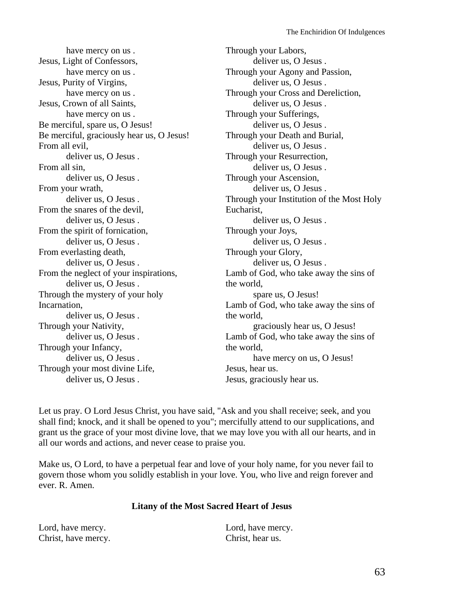have mercy on us . Jesus, Light of Confessors, have mercy on us . Jesus, Purity of Virgins, have mercy on us . Jesus, Crown of all Saints, have mercy on us . Be merciful, spare us, O Jesus! Be merciful, graciously hear us, O Jesus! From all evil, deliver us, O Jesus . From all sin, deliver us, O Jesus . From your wrath, deliver us, O Jesus . From the snares of the devil, deliver us, O Jesus . From the spirit of fornication, deliver us, O Jesus . From everlasting death, deliver us, O Jesus . From the neglect of your inspirations, deliver us, O Jesus . Through the mystery of your holy Incarnation, deliver us, O Jesus . Through your Nativity, deliver us, O Jesus . Through your Infancy, deliver us, O Jesus . Through your most divine Life, deliver us, O Jesus .

Through your Labors, deliver us, O Jesus . Through your Agony and Passion, deliver us, O Jesus . Through your Cross and Dereliction, deliver us, O Jesus . Through your Sufferings, deliver us, O Jesus . Through your Death and Burial, deliver us, O Jesus . Through your Resurrection, deliver us, O Jesus . Through your Ascension, deliver us, O Jesus . Through your Institution of the Most Holy Eucharist, deliver us, O Jesus . Through your Joys, deliver us, O Jesus . Through your Glory, deliver us, O Jesus . Lamb of God, who take away the sins of the world, spare us, O Jesus! Lamb of God, who take away the sins of the world, graciously hear us, O Jesus! Lamb of God, who take away the sins of the world, have mercy on us, O Jesus! Jesus, hear us. Jesus, graciously hear us.

Let us pray. O Lord Jesus Christ, you have said, "Ask and you shall receive; seek, and you shall find; knock, and it shall be opened to you"; mercifully attend to our supplications, and grant us the grace of your most divine love, that we may love you with all our hearts, and in all our words and actions, and never cease to praise you.

Make us, O Lord, to have a perpetual fear and love of your holy name, for you never fail to govern those whom you solidly establish in your love. You, who live and reign forever and ever. R. Amen.

#### **Litany of the Most Sacred Heart of Jesus**

Lord, have mercy. Christ, have mercy. Lord, have mercy. Christ, hear us.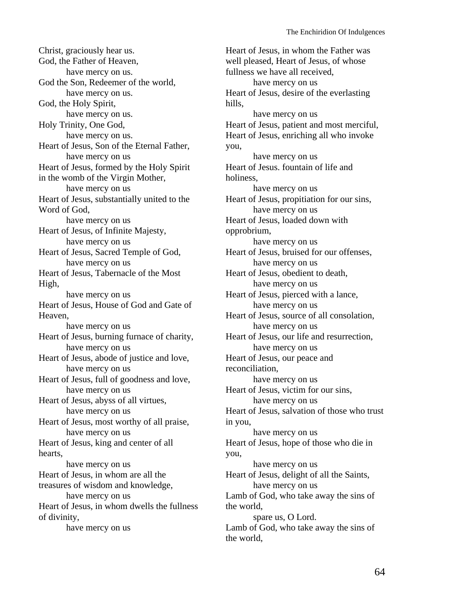Christ, graciously hear us. God, the Father of Heaven, have mercy on us. God the Son, Redeemer of the world, have mercy on us. God, the Holy Spirit, have mercy on us. Holy Trinity, One God, have mercy on us. Heart of Jesus, Son of the Eternal Father, have mercy on us Heart of Jesus, formed by the Holy Spirit in the womb of the Virgin Mother, have mercy on us Heart of Jesus, substantially united to the Word of God, have mercy on us Heart of Jesus, of Infinite Majesty, have mercy on us Heart of Jesus, Sacred Temple of God, have mercy on us Heart of Jesus, Tabernacle of the Most High, have mercy on us Heart of Jesus, House of God and Gate of Heaven, have mercy on us Heart of Jesus, burning furnace of charity, have mercy on us Heart of Jesus, abode of justice and love, have mercy on us Heart of Jesus, full of goodness and love, have mercy on us Heart of Jesus, abyss of all virtues, have mercy on us Heart of Jesus, most worthy of all praise, have mercy on us Heart of Jesus, king and center of all hearts, have mercy on us Heart of Jesus, in whom are all the treasures of wisdom and knowledge, have mercy on us Heart of Jesus, in whom dwells the fullness of divinity, have mercy on us

Heart of Jesus, in whom the Father was well pleased, Heart of Jesus, of whose fullness we have all received, have mercy on us Heart of Jesus, desire of the everlasting hills, have mercy on us Heart of Jesus, patient and most merciful, Heart of Jesus, enriching all who invoke you, have mercy on us Heart of Jesus. fountain of life and holiness, have mercy on us Heart of Jesus, propitiation for our sins, have mercy on us Heart of Jesus, loaded down with opprobrium, have mercy on us Heart of Jesus, bruised for our offenses, have mercy on us Heart of Jesus, obedient to death, have mercy on us Heart of Jesus, pierced with a lance, have mercy on us Heart of Jesus, source of all consolation, have mercy on us Heart of Jesus, our life and resurrection, have mercy on us Heart of Jesus, our peace and reconciliation, have mercy on us Heart of Jesus, victim for our sins, have mercy on us Heart of Jesus, salvation of those who trust in you, have mercy on us Heart of Jesus, hope of those who die in you, have mercy on us Heart of Jesus, delight of all the Saints, have mercy on us Lamb of God, who take away the sins of the world, spare us, O Lord. Lamb of God, who take away the sins of the world,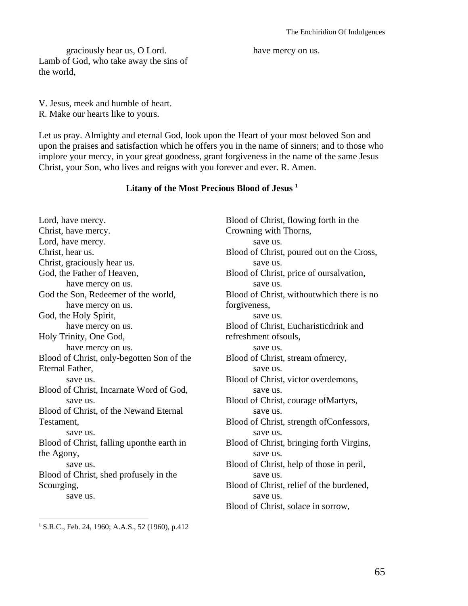graciously hear us, O Lord. Lamb of God, who take away the sins of the world,

V. Jesus, meek and humble of heart. R. Make our hearts like to yours.

Let us pray. Almighty and eternal God, look upon the Heart of your most beloved Son and upon the praises and satisfaction which he offers you in the name of sinners; and to those who implore your mercy, in your great goodness, grant forgiveness in the name of the same Jesus Christ, your Son, who lives and reigns with you forever and ever. R. Amen.

#### **Litany of the Most Precious Blood of Jesus <sup>1</sup>**

Lord, have mercy. Christ, have mercy. Lord, have mercy. Christ, hear us. Christ, graciously hear us. God, the Father of Heaven, have mercy on us. God the Son, Redeemer of the world, have mercy on us. God, the Holy Spirit, have mercy on us. Holy Trinity, One God, have mercy on us. Blood of Christ, only-begotten Son of the Eternal Father, save us. Blood of Christ, Incarnate Word of God, save us. Blood of Christ, of the Newand Eternal Testament, save us. Blood of Christ, falling uponthe earth in the Agony, save us. Blood of Christ, shed profusely in the Scourging, save us.

Blood of Christ, flowing forth in the Crowning with Thorns, save us. Blood of Christ, poured out on the Cross, save us. Blood of Christ, price of oursalvation, save us. Blood of Christ, withoutwhich there is no forgiveness, save us. Blood of Christ, Eucharisticdrink and refreshment ofsouls, save us. Blood of Christ, stream ofmercy, save us. Blood of Christ, victor overdemons, save us. Blood of Christ, courage ofMartyrs, save us. Blood of Christ, strength ofConfessors, save us. Blood of Christ, bringing forth Virgins, save us. Blood of Christ, help of those in peril, save us. Blood of Christ, relief of the burdened, save us. Blood of Christ, solace in sorrow,

 $\overline{a}$ 

have mercy on us.

<sup>&</sup>lt;sup>1</sup> S.R.C., Feb. 24, 1960; A.A.S., 52 (1960), p.412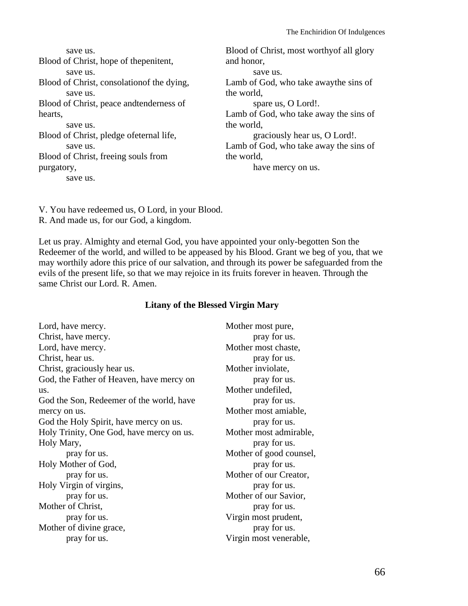save us. Blood of Christ, hope of thepenitent, save us. Blood of Christ, consolationof the dying, save us. Blood of Christ, peace andtenderness of hearts, save us. Blood of Christ, pledge ofeternal life, save us. Blood of Christ, freeing souls from purgatory, save us.

Blood of Christ, most worthyof all glory and honor, save us. Lamb of God, who take awaythe sins of the world, spare us, O Lord!. Lamb of God, who take away the sins of the world, graciously hear us, O Lord!. Lamb of God, who take away the sins of the world, have mercy on us.

V. You have redeemed us, O Lord, in your Blood. R. And made us, for our God, a kingdom.

Let us pray. Almighty and eternal God, you have appointed your only-begotten Son the Redeemer of the world, and willed to be appeased by his Blood. Grant we beg of you, that we may worthily adore this price of our salvation, and through its power be safeguarded from the evils of the present life, so that we may rejoice in its fruits forever in heaven. Through the same Christ our Lord. R. Amen.

### **Litany of the Blessed Virgin Mary**

| Lord, have mercy.                        | Mother most pure,       |
|------------------------------------------|-------------------------|
| Christ, have mercy.                      | pray for us.            |
| Lord, have mercy.                        | Mother most chaste,     |
| Christ, hear us.                         | pray for us.            |
| Christ, graciously hear us.              | Mother inviolate,       |
| God, the Father of Heaven, have mercy on | pray for us.            |
| us.                                      | Mother undefiled,       |
| God the Son, Redeemer of the world, have | pray for us.            |
| mercy on us.                             | Mother most amiable,    |
| God the Holy Spirit, have mercy on us.   | pray for us.            |
| Holy Trinity, One God, have mercy on us. | Mother most admirable,  |
| Holy Mary,                               | pray for us.            |
| pray for us.                             | Mother of good counsel, |
| Holy Mother of God,                      | pray for us.            |
| pray for us.                             | Mother of our Creator,  |
| Holy Virgin of virgins,                  | pray for us.            |
| pray for us.                             | Mother of our Savior,   |
| Mother of Christ,                        | pray for us.            |
| pray for us.                             | Virgin most prudent,    |
| Mother of divine grace,                  | pray for us.            |
| pray for us.                             | Virgin most venerable,  |

66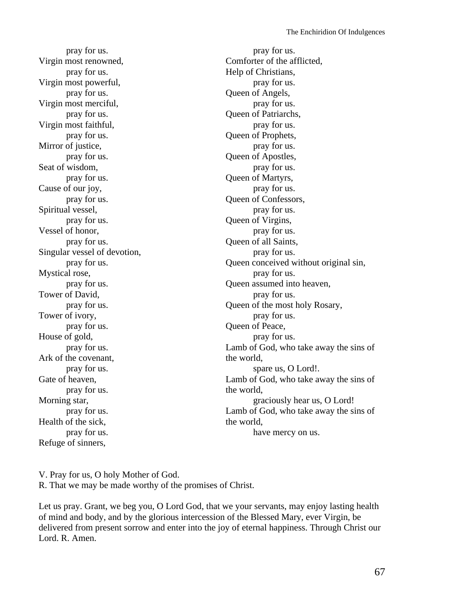pray for us. Virgin most renowned, pray for us. Virgin most powerful, pray for us. Virgin most merciful, pray for us. Virgin most faithful, pray for us. Mirror of justice, pray for us. Seat of wisdom, pray for us. Cause of our joy, pray for us. Spiritual vessel, pray for us. Vessel of honor, pray for us. Singular vessel of devotion, pray for us. Mystical rose, pray for us. Tower of David, pray for us. Tower of ivory, pray for us. House of gold, pray for us. Ark of the covenant, pray for us. Gate of heaven, pray for us. Morning star, pray for us. Health of the sick, pray for us. Refuge of sinners,

pray for us. Comforter of the afflicted, Help of Christians, pray for us. Queen of Angels, pray for us. Queen of Patriarchs, pray for us. Queen of Prophets, pray for us. Queen of Apostles, pray for us. Queen of Martyrs, pray for us. Queen of Confessors, pray for us. Queen of Virgins, pray for us. Queen of all Saints, pray for us. Queen conceived without original sin, pray for us. Queen assumed into heaven, pray for us. Queen of the most holy Rosary, pray for us. Queen of Peace, pray for us. Lamb of God, who take away the sins of the world, spare us, O Lord!. Lamb of God, who take away the sins of the world, graciously hear us, O Lord! Lamb of God, who take away the sins of the world, have mercy on us.

V. Pray for us, O holy Mother of God. R. That we may be made worthy of the promises of Christ.

Let us pray. Grant, we beg you, O Lord God, that we your servants, may enjoy lasting health of mind and body, and by the glorious intercession of the Blessed Mary, ever Virgin, be delivered from present sorrow and enter into the joy of eternal happiness. Through Christ our Lord. R. Amen.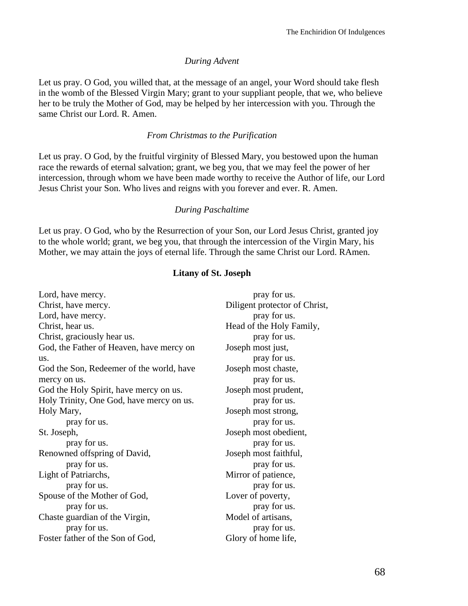### *During Advent*

Let us pray. O God, you willed that, at the message of an angel, your Word should take flesh in the womb of the Blessed Virgin Mary; grant to your suppliant people, that we, who believe her to be truly the Mother of God, may be helped by her intercession with you. Through the same Christ our Lord. R. Amen.

#### *From Christmas to the Purification*

Let us pray. O God, by the fruitful virginity of Blessed Mary, you bestowed upon the human race the rewards of eternal salvation; grant, we beg you, that we may feel the power of her intercession, through whom we have been made worthy to receive the Author of life, our Lord Jesus Christ your Son. Who lives and reigns with you forever and ever. R. Amen.

#### *During Paschaltime*

Let us pray. O God, who by the Resurrection of your Son, our Lord Jesus Christ, granted joy to the whole world; grant, we beg you, that through the intercession of the Virgin Mary, his Mother, we may attain the joys of eternal life. Through the same Christ our Lord. RAmen.

#### **Litany of St. Joseph**

Lord, have mercy. Christ, have mercy. Lord, have mercy. Christ, hear us. Christ, graciously hear us. God, the Father of Heaven, have mercy on us. God the Son, Redeemer of the world, have mercy on us. God the Holy Spirit, have mercy on us. Holy Trinity, One God, have mercy on us. Holy Mary, pray for us. St. Joseph, pray for us. Renowned offspring of David, pray for us. Light of Patriarchs, pray for us. Spouse of the Mother of God, pray for us. Chaste guardian of the Virgin, pray for us. Foster father of the Son of God, pray for us. Diligent protector of Christ, pray for us. Head of the Holy Family, pray for us. Joseph most just, pray for us. Joseph most chaste, pray for us. Joseph most prudent, pray for us. Joseph most strong, pray for us. Joseph most obedient, pray for us. Joseph most faithful, pray for us. Mirror of patience, pray for us. Lover of poverty, pray for us. Model of artisans, pray for us. Glory of home life,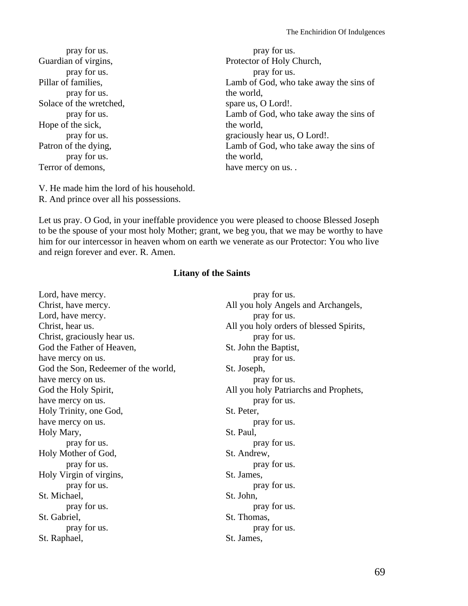pray for us. Guardian of virgins, pray for us. Pillar of families, pray for us. Solace of the wretched, pray for us. Hope of the sick, pray for us. Patron of the dying, pray for us. Terror of demons,

pray for us. Protector of Holy Church, pray for us. Lamb of God, who take away the sins of the world, spare us, O Lord!. Lamb of God, who take away the sins of the world, graciously hear us, O Lord!. Lamb of God, who take away the sins of the world, have mercy on us. .

V. He made him the lord of his household. R. And prince over all his possessions.

Let us pray. O God, in your ineffable providence you were pleased to choose Blessed Joseph to be the spouse of your most holy Mother; grant, we beg you, that we may be worthy to have him for our intercessor in heaven whom on earth we venerate as our Protector: You who live and reign forever and ever. R. Amen.

#### **Litany of the Saints**

| Lord, have mercy.                   | pray for us.                            |
|-------------------------------------|-----------------------------------------|
| Christ, have mercy.                 | All you holy Angels and Archangels,     |
| Lord, have mercy.                   | pray for us.                            |
| Christ, hear us.                    | All you holy orders of blessed Spirits, |
| Christ, graciously hear us.         | pray for us.                            |
| God the Father of Heaven,           | St. John the Baptist,                   |
| have mercy on us.                   | pray for us.                            |
| God the Son, Redeemer of the world, | St. Joseph,                             |
| have mercy on us.                   | pray for us.                            |
| God the Holy Spirit,                | All you holy Patriarchs and Prophets,   |
| have mercy on us.                   | pray for us.                            |
| Holy Trinity, one God,              | St. Peter,                              |
| have mercy on us.                   | pray for us.                            |
| Holy Mary,                          | St. Paul,                               |
| pray for us.                        | pray for us.                            |
| Holy Mother of God,                 | St. Andrew,                             |
| pray for us.                        | pray for us.                            |
| Holy Virgin of virgins,             | St. James,                              |
| pray for us.                        | pray for us.                            |
| St. Michael,                        | St. John,                               |
| pray for us.                        | pray for us.                            |
| St. Gabriel,                        | St. Thomas,                             |
| pray for us.                        | pray for us.                            |
| St. Raphael,                        | St. James,                              |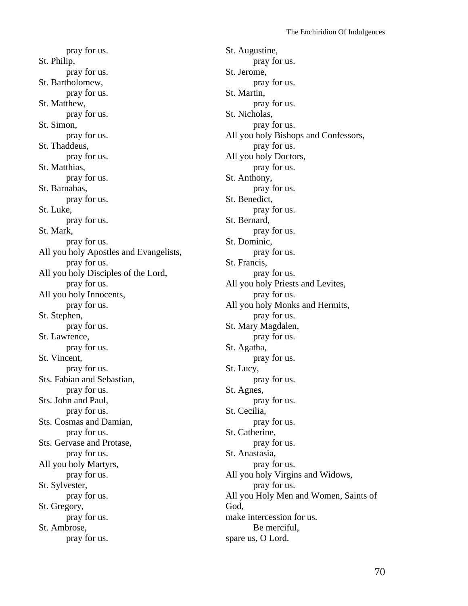pray for us. St. Philip, pray for us. St. Bartholomew, pray for us. St. Matthew, pray for us. St. Simon, pray for us. St. Thaddeus, pray for us. St. Matthias, pray for us. St. Barnabas, pray for us. St. Luke, pray for us. St. Mark, pray for us. All you holy Apostles and Evangelists, pray for us. All you holy Disciples of the Lord, pray for us. All you holy Innocents, pray for us. St. Stephen, pray for us. St. Lawrence, pray for us. St. Vincent, pray for us. Sts. Fabian and Sebastian, pray for us. Sts. John and Paul, pray for us. Sts. Cosmas and Damian, pray for us. Sts. Gervase and Protase, pray for us. All you holy Martyrs, pray for us. St. Sylvester, pray for us. St. Gregory, pray for us. St. Ambrose, pray for us.

St. Augustine, pray for us. St. Jerome, pray for us. St. Martin, pray for us. St. Nicholas, pray for us. All you holy Bishops and Confessors, pray for us. All you holy Doctors, pray for us. St. Anthony, pray for us. St. Benedict, pray for us. St. Bernard, pray for us. St. Dominic, pray for us. St. Francis, pray for us. All you holy Priests and Levites, pray for us. All you holy Monks and Hermits, pray for us. St. Mary Magdalen, pray for us. St. Agatha, pray for us. St. Lucy, pray for us. St. Agnes, pray for us. St. Cecilia, pray for us. St. Catherine, pray for us. St. Anastasia, pray for us. All you holy Virgins and Widows, pray for us. All you Holy Men and Women, Saints of God, make intercession for us. Be merciful, spare us, O Lord.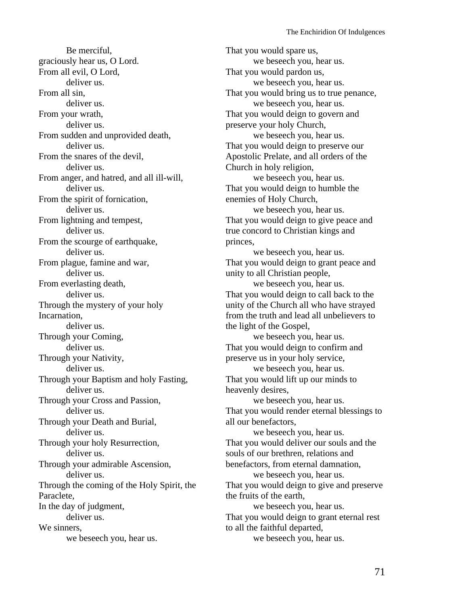Be merciful, graciously hear us, O Lord. From all evil, O Lord, deliver us. From all sin, deliver us. From your wrath, deliver us. From sudden and unprovided death, deliver us. From the snares of the devil, deliver us. From anger, and hatred, and all ill-will, deliver us. From the spirit of fornication, deliver us. From lightning and tempest, deliver us. From the scourge of earthquake, deliver us. From plague, famine and war, deliver us. From everlasting death, deliver us. Through the mystery of your holy Incarnation, deliver us. Through your Coming, deliver us. Through your Nativity, deliver us. Through your Baptism and holy Fasting, deliver us. Through your Cross and Passion, deliver us. Through your Death and Burial, deliver us. Through your holy Resurrection, deliver us. Through your admirable Ascension, deliver us. Through the coming of the Holy Spirit, the Paraclete, In the day of judgment, deliver us. We sinners. we beseech you, hear us.

That you would spare us, we beseech you, hear us. That you would pardon us, we beseech you, hear us. That you would bring us to true penance, we beseech you, hear us. That you would deign to govern and preserve your holy Church, we beseech you, hear us. That you would deign to preserve our Apostolic Prelate, and all orders of the Church in holy religion, we beseech you, hear us. That you would deign to humble the enemies of Holy Church, we beseech you, hear us. That you would deign to give peace and true concord to Christian kings and princes, we beseech you, hear us. That you would deign to grant peace and unity to all Christian people, we beseech you, hear us. That you would deign to call back to the unity of the Church all who have strayed from the truth and lead all unbelievers to the light of the Gospel, we beseech you, hear us. That you would deign to confirm and preserve us in your holy service, we beseech you, hear us. That you would lift up our minds to heavenly desires, we beseech you, hear us. That you would render eternal blessings to all our benefactors, we beseech you, hear us. That you would deliver our souls and the souls of our brethren, relations and benefactors, from eternal damnation, we beseech you, hear us. That you would deign to give and preserve the fruits of the earth, we beseech you, hear us. That you would deign to grant eternal rest to all the faithful departed, we beseech you, hear us.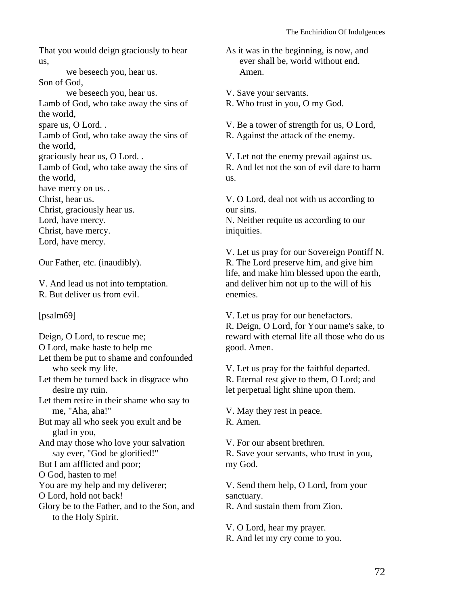That you would deign graciously to hear us, we beseech you, hear us. Son of God,

we beseech you, hear us. Lamb of God, who take away the sins of the world,

spare us, O Lord. .

Lamb of God, who take away the sins of the world, graciously hear us, O Lord. .

Lamb of God, who take away the sins of the world, have mercy on us. . Christ, hear us. Christ, graciously hear us. Lord, have mercy.

Christ, have mercy.

Lord, have mercy.

Our Father, etc. (inaudibly).

V. And lead us not into temptation. R. But deliver us from evil.

[psalm69]

Deign, O Lord, to rescue me; O Lord, make haste to help me Let them be put to shame and confounded who seek my life. Let them be turned back in disgrace who desire my ruin. Let them retire in their shame who say to me, "Aha, aha!" But may all who seek you exult and be glad in you, And may those who love your salvation say ever, "God be glorified!" But I am afflicted and poor; O God, hasten to me! You are my help and my deliverer; O Lord, hold not back! Glory be to the Father, and to the Son, and to the Holy Spirit.

As it was in the beginning, is now, and ever shall be, world without end. Amen.

V. Save your servants.

R. Who trust in you, O my God.

V. Be a tower of strength for us, O Lord,

R. Against the attack of the enemy.

V. Let not the enemy prevail against us. R. And let not the son of evil dare to harm us.

V. O Lord, deal not with us according to our sins.

N. Neither requite us according to our iniquities.

V. Let us pray for our Sovereign Pontiff N. R. The Lord preserve him, and give him life, and make him blessed upon the earth, and deliver him not up to the will of his enemies.

V. Let us pray for our benefactors. R. Deign, O Lord, for Your name's sake, to reward with eternal life all those who do us good. Amen.

V. Let us pray for the faithful departed. R. Eternal rest give to them, O Lord; and let perpetual light shine upon them.

V. May they rest in peace.

R. Amen.

V. For our absent brethren. R. Save your servants, who trust in you, my God.

V. Send them help, O Lord, from your sanctuary.

R. And sustain them from Zion.

V. O Lord, hear my prayer. R. And let my cry come to you.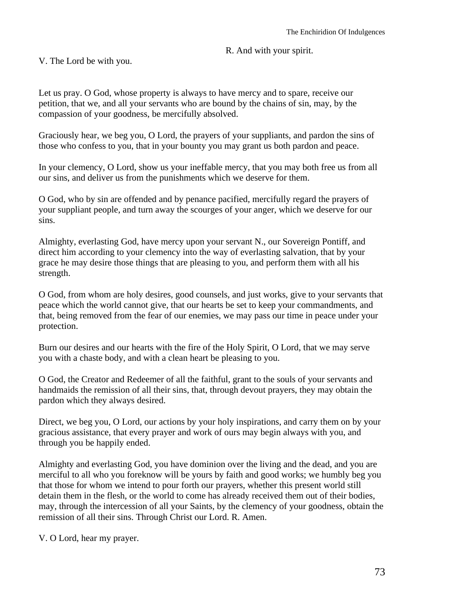R. And with your spirit.

V. The Lord be with you.

Let us pray. O God, whose property is always to have mercy and to spare, receive our petition, that we, and all your servants who are bound by the chains of sin, may, by the compassion of your goodness, be mercifully absolved.

Graciously hear, we beg you, O Lord, the prayers of your suppliants, and pardon the sins of those who confess to you, that in your bounty you may grant us both pardon and peace.

In your clemency, O Lord, show us your ineffable mercy, that you may both free us from all our sins, and deliver us from the punishments which we deserve for them.

O God, who by sin are offended and by penance pacified, mercifully regard the prayers of your suppliant people, and turn away the scourges of your anger, which we deserve for our sins.

Almighty, everlasting God, have mercy upon your servant N., our Sovereign Pontiff, and direct him according to your clemency into the way of everlasting salvation, that by your grace he may desire those things that are pleasing to you, and perform them with all his strength.

O God, from whom are holy desires, good counsels, and just works, give to your servants that peace which the world cannot give, that our hearts be set to keep your commandments, and that, being removed from the fear of our enemies, we may pass our time in peace under your protection.

Burn our desires and our hearts with the fire of the Holy Spirit, O Lord, that we may serve you with a chaste body, and with a clean heart be pleasing to you.

O God, the Creator and Redeemer of all the faithful, grant to the souls of your servants and handmaids the remission of all their sins, that, through devout prayers, they may obtain the pardon which they always desired.

Direct, we beg you, O Lord, our actions by your holy inspirations, and carry them on by your gracious assistance, that every prayer and work of ours may begin always with you, and through you be happily ended.

Almighty and everlasting God, you have dominion over the living and the dead, and you are merciful to all who you foreknow will be yours by faith and good works; we humbly beg you that those for whom we intend to pour forth our prayers, whether this present world still detain them in the flesh, or the world to come has already received them out of their bodies, may, through the intercession of all your Saints, by the clemency of your goodness, obtain the remission of all their sins. Through Christ our Lord. R. Amen.

V. O Lord, hear my prayer.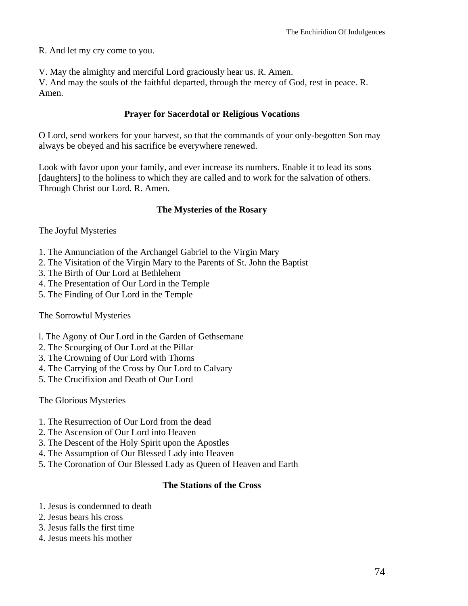R. And let my cry come to you.

V. May the almighty and merciful Lord graciously hear us. R. Amen.

V. And may the souls of the faithful departed, through the mercy of God, rest in peace. R. Amen.

## **Prayer for Sacerdotal or Religious Vocations**

O Lord, send workers for your harvest, so that the commands of your only-begotten Son may always be obeyed and his sacrifice be everywhere renewed.

Look with favor upon your family, and ever increase its numbers. Enable it to lead its sons [daughters] to the holiness to which they are called and to work for the salvation of others. Through Christ our Lord. R. Amen.

# **The Mysteries of the Rosary**

The Joyful Mysteries

- 1. The Annunciation of the Archangel Gabriel to the Virgin Mary
- 2. The Visitation of the Virgin Mary to the Parents of St. John the Baptist
- 3. The Birth of Our Lord at Bethlehem
- 4. The Presentation of Our Lord in the Temple
- 5. The Finding of Our Lord in the Temple

### The Sorrowful Mysteries

- l. The Agony of Our Lord in the Garden of Gethsemane
- 2. The Scourging of Our Lord at the Pillar
- 3. The Crowning of Our Lord with Thorns
- 4. The Carrying of the Cross by Our Lord to Calvary
- 5. The Crucifixion and Death of Our Lord

The Glorious Mysteries

- 1. The Resurrection of Our Lord from the dead
- 2. The Ascension of Our Lord into Heaven
- 3. The Descent of the Holy Spirit upon the Apostles
- 4. The Assumption of Our Blessed Lady into Heaven
- 5. The Coronation of Our Blessed Lady as Queen of Heaven and Earth

### **The Stations of the Cross**

- 1. Jesus is condemned to death
- 2. Jesus bears his cross
- 3. Jesus falls the first time
- 4. Jesus meets his mother